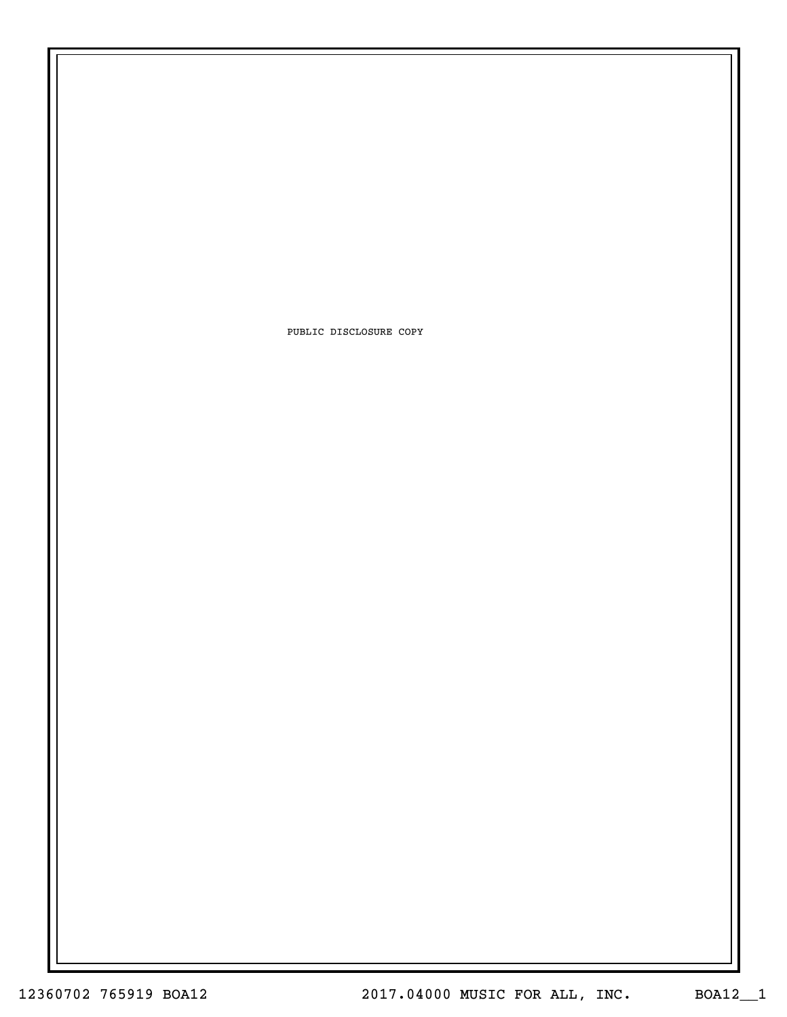PUBLIC DISCLOSURE COPY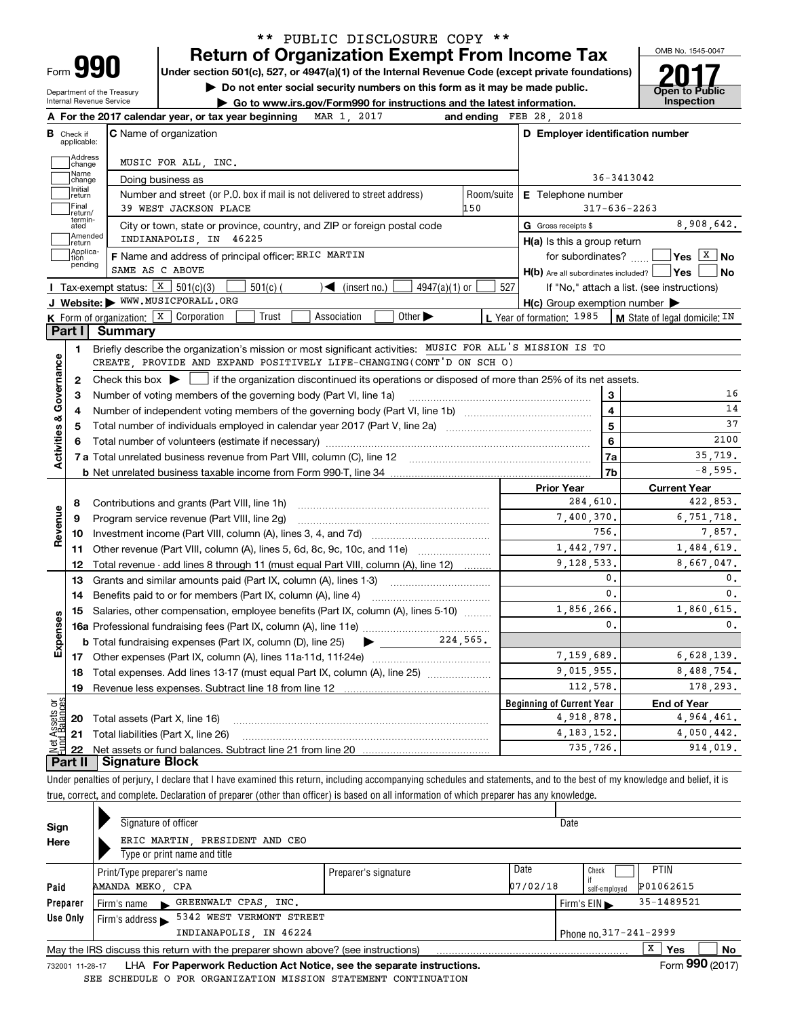## Return of Organization Exempt From Income Tax \*\* PUBLIC DISCLOSURE COPY \*\*

OMB No. 1545-0047

Under section 501(c), 527, or 4947(a)(1) of the Internal Revenue Code (except private foundations)

Department of the Treasury Internal Revenue Service

▶ Do not enter social security numbers on this form as it may be made public. <br>● Go to www.irs.gov/Form990 for instructions and the latest information. (Inspection  $\triangleright$  Go to www.irs.gov/Form990 for instructions and the latest information.

|                         |                                  | 2017<br>MAR 1.<br>A For the 2017 calendar year, or tax year beginning                                                                     | and ending     | FEB 28, 2018                                        |                                            |  |  |  |  |
|-------------------------|----------------------------------|-------------------------------------------------------------------------------------------------------------------------------------------|----------------|-----------------------------------------------------|--------------------------------------------|--|--|--|--|
|                         | <b>B</b> Check if<br>applicable: | <b>C</b> Name of organization                                                                                                             |                | D Employer identification number                    |                                            |  |  |  |  |
|                         | <b>Address</b><br>change         | MUSIC FOR ALL, INC.                                                                                                                       |                |                                                     |                                            |  |  |  |  |
|                         | Name<br>change                   | Doing business as                                                                                                                         |                | 36-3413042                                          |                                            |  |  |  |  |
|                         | Initial<br>return                | Number and street (or P.O. box if mail is not delivered to street address)                                                                | Room/suite     | E Telephone number                                  |                                            |  |  |  |  |
|                         | Final<br>return/                 | 39 WEST JACKSON PLACE                                                                                                                     | 150            |                                                     | $317 - 636 - 2263$                         |  |  |  |  |
|                         | termin-<br>ated                  | City or town, state or province, country, and ZIP or foreign postal code                                                                  |                | G Gross receipts \$                                 | 8,908,642.                                 |  |  |  |  |
|                         | Amended<br>return                | INDIANAPOLIS, IN 46225                                                                                                                    |                | $H(a)$ is this a group return                       |                                            |  |  |  |  |
|                         | Applica-<br>tion<br>pending      | F Name and address of principal officer: ERIC MARTIN                                                                                      |                | for subordinates?                                   | ∣Yes <u>│<sup>X</sup> │</u> No             |  |  |  |  |
|                         |                                  | SAME AS C ABOVE                                                                                                                           |                | $H(b)$ Are all subordinates included? $\Box$ Yes    | No                                         |  |  |  |  |
|                         |                                  | Tax-exempt status: $X$ 501(c)(3)<br>$\sqrt{\frac{2}{1}}$ (insert no.)<br>$4947(a)(1)$ or<br>$501(c)$ (                                    | 527            |                                                     | If "No," attach a list. (see instructions) |  |  |  |  |
|                         |                                  | J Website: WWW.MUSICFORALL.ORG                                                                                                            |                | $H(c)$ Group exemption number $\blacktriangleright$ |                                            |  |  |  |  |
|                         |                                  | Other $\blacktriangleright$<br><b>K</b> Form of organization: $X$ Corporation<br>Trust<br>Association                                     |                | L Year of formation: 1985                           | M State of legal domicile: IN              |  |  |  |  |
|                         | Part I                           | Summary                                                                                                                                   |                |                                                     |                                            |  |  |  |  |
|                         | 1                                | Briefly describe the organization's mission or most significant activities: MUSIC FOR ALL'S MISSION IS TO                                 |                |                                                     |                                            |  |  |  |  |
|                         |                                  | CREATE PROVIDE AND EXPAND POSITIVELY LIFE-CHANGING(CONT'D ON SCH O)                                                                       |                |                                                     |                                            |  |  |  |  |
| Governance              | $\mathbf{2}$                     | Check this box $\blacktriangleright$  <br>if the organization discontinued its operations or disposed of more than 25% of its net assets. |                |                                                     |                                            |  |  |  |  |
|                         | 3                                | Number of voting members of the governing body (Part VI, line 1a)                                                                         |                | 3                                                   | 16                                         |  |  |  |  |
|                         | 4                                | Number of independent voting members of the governing body (Part VI, line 1b)                                                             | $\overline{4}$ | 14<br>37                                            |                                            |  |  |  |  |
| <b>Activities &amp;</b> | 5                                |                                                                                                                                           | 5              | 2100                                                |                                            |  |  |  |  |
|                         | 6                                |                                                                                                                                           | 6              | 35,719.                                             |                                            |  |  |  |  |
|                         |                                  |                                                                                                                                           |                | 7a<br><b>7b</b>                                     | $-8,595.$                                  |  |  |  |  |
|                         |                                  |                                                                                                                                           |                | <b>Prior Year</b>                                   | <b>Current Year</b>                        |  |  |  |  |
|                         | 8                                | Contributions and grants (Part VIII, line 1h)                                                                                             |                | 284,610.                                            | 422,853.                                   |  |  |  |  |
|                         | 9                                | Program service revenue (Part VIII, line 2g)                                                                                              | 7,400,370.     |                                                     |                                            |  |  |  |  |
| Revenue                 | 10                               | Investment income (Part VIII, column (A), lines 3, 4, and 7d)                                                                             |                | 756.                                                | 6,751,718.<br>7,857.                       |  |  |  |  |
|                         | 11                               | Other revenue (Part VIII, column (A), lines 5, 6d, 8c, 9c, 10c, and 11e)                                                                  |                | 1,442,797.                                          | 1,484,619.                                 |  |  |  |  |
|                         | 12                               | Total revenue - add lines 8 through 11 (must equal Part VIII, column (A), line 12)                                                        |                | 9,128,533.                                          | 8,667,047.                                 |  |  |  |  |
|                         | 13                               | Grants and similar amounts paid (Part IX, column (A), lines 1-3)                                                                          |                | 0.                                                  | 0.                                         |  |  |  |  |
|                         | 14                               | Benefits paid to or for members (Part IX, column (A), line 4)                                                                             |                | $\mathbf{0}$ .                                      | $\mathbf{0}$ .                             |  |  |  |  |
|                         | 15                               | Salaries, other compensation, employee benefits (Part IX, column (A), lines 5-10)                                                         |                | 1,856,266.                                          | 1,860,615.                                 |  |  |  |  |
| Expenses                |                                  |                                                                                                                                           |                | $\mathbf{0}$ .                                      | 0.                                         |  |  |  |  |
|                         |                                  | $\frac{224}{565}$ .<br><b>b</b> Total fundraising expenses (Part IX, column (D), line 25)<br>▶                                            |                |                                                     |                                            |  |  |  |  |
|                         |                                  |                                                                                                                                           |                | 7.159.689.                                          | 6,628,139.                                 |  |  |  |  |
|                         | 18                               | Total expenses. Add lines 13-17 (must equal Part IX, column (A), line 25) <i>managered</i>                                                |                | 9,015,955.                                          | 8,488,754.                                 |  |  |  |  |
|                         | 19                               |                                                                                                                                           |                | 112,578.                                            | 178,293.                                   |  |  |  |  |
| ងន                      |                                  |                                                                                                                                           |                | <b>Beginning of Current Year</b>                    | <b>End of Year</b>                         |  |  |  |  |
| Assets<br>1 Balanc      | 20                               | Total assets (Part X, line 16)                                                                                                            |                | 4,918,878.                                          | 4,964,461.                                 |  |  |  |  |
|                         | 21                               | Total liabilities (Part X, line 26)                                                                                                       |                | 4, 183, 152.                                        | 4,050,442.                                 |  |  |  |  |
|                         | 22                               |                                                                                                                                           |                | 735.726.                                            | 914,019.                                   |  |  |  |  |
|                         | Part II                          | <b>Signature Block</b>                                                                                                                    |                |                                                     |                                            |  |  |  |  |

Under penalties of perjury, I declare that I have examined this return, including accompanying schedules and statements, and to the best of my knowledge and belief, it is true, correct, and complete. Declaration of preparer (other than officer) is based on all information of which preparer has any knowledge.

| Sign            | Signature of officer                                                              |                      |          | Date                             |                 |    |  |  |  |  |  |
|-----------------|-----------------------------------------------------------------------------------|----------------------|----------|----------------------------------|-----------------|----|--|--|--|--|--|
| Here            | ERIC MARTIN, PRESIDENT AND CEO                                                    |                      |          |                                  |                 |    |  |  |  |  |  |
|                 | Type or print name and title                                                      |                      |          |                                  |                 |    |  |  |  |  |  |
|                 | Print/Type preparer's name                                                        | Preparer's signature | Date     | Check                            | <b>PTIN</b>     |    |  |  |  |  |  |
| Paid            | AMANDA MEKO, CPA                                                                  |                      | 07/02/18 | self-emploved                    | P01062615       |    |  |  |  |  |  |
| Preparer        | GREENWALT CPAS, INC.<br>Firm's name $\blacktriangleright$                         |                      |          | Firm's $EIN \blacktriangleright$ | 35-1489521      |    |  |  |  |  |  |
| Use Only        | 5342 WEST VERMONT STREET<br>Firm's address $\blacktriangleright$                  |                      |          |                                  |                 |    |  |  |  |  |  |
|                 | INDIANAPOLIS, IN 46224<br>Phone no. 317-241-2999                                  |                      |          |                                  |                 |    |  |  |  |  |  |
|                 | May the IRS discuss this return with the preparer shown above? (see instructions) |                      |          |                                  | x<br><b>Yes</b> | No |  |  |  |  |  |
| 732001 11-28-17 | LHA For Paperwork Reduction Act Notice, see the separate instructions.            |                      |          |                                  | Form 990 (2017) |    |  |  |  |  |  |

For Paperwork Reduction Act Notice, see the separate instructions. LHA Form (2017) SEE SCHEDULE O FOR ORGANIZATION MISSION STATEMENT CONTINUATION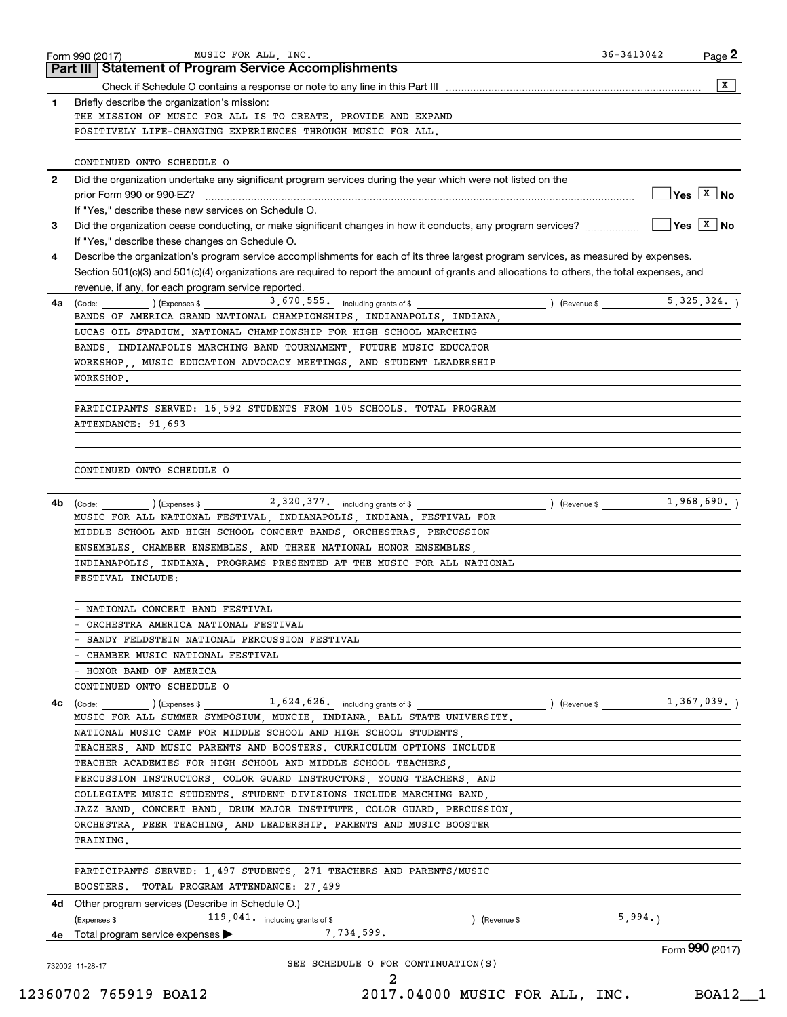|              | <b>Part III   Statement of Program Service Accomplishments</b>                                                                                                                     |                             |                                        |
|--------------|------------------------------------------------------------------------------------------------------------------------------------------------------------------------------------|-----------------------------|----------------------------------------|
|              |                                                                                                                                                                                    |                             | X                                      |
| $\mathbf{1}$ | Briefly describe the organization's mission:                                                                                                                                       |                             |                                        |
|              | THE MISSION OF MUSIC FOR ALL IS TO CREATE, PROVIDE AND EXPAND                                                                                                                      |                             |                                        |
|              | POSITIVELY LIFE-CHANGING EXPERIENCES THROUGH MUSIC FOR ALL.                                                                                                                        |                             |                                        |
|              | CONTINUED ONTO SCHEDULE O                                                                                                                                                          |                             |                                        |
| $\mathbf{2}$ | Did the organization undertake any significant program services during the year which were not listed on the                                                                       |                             |                                        |
|              |                                                                                                                                                                                    |                             | $\sqrt{}$ Yes $\sqrt{X}$ No            |
|              | If "Yes," describe these new services on Schedule O.                                                                                                                               |                             |                                        |
| 3            | Did the organization cease conducting, or make significant changes in how it conducts, any program services?                                                                       |                             | $\sqrt{}$ Yes $\sqrt{}$ X $\sqrt{}$ No |
|              | If "Yes," describe these changes on Schedule O.                                                                                                                                    |                             |                                        |
| 4            | Describe the organization's program service accomplishments for each of its three largest program services, as measured by expenses.                                               |                             |                                        |
|              | Section 501(c)(3) and 501(c)(4) organizations are required to report the amount of grants and allocations to others, the total expenses, and                                       |                             |                                        |
|              | revenue, if any, for each program service reported.                                                                                                                                |                             |                                        |
| 4a           | $(\text{Code:})$ $(\text{Expenses $})$ $(\text{Expenses $})$                                                                                                                       |                             | 5,325,324.                             |
|              | BANDS OF AMERICA GRAND NATIONAL CHAMPIONSHIPS, INDIANAPOLIS, INDIANA,                                                                                                              |                             |                                        |
|              | LUCAS OIL STADIUM. NATIONAL CHAMPIONSHIP FOR HIGH SCHOOL MARCHING                                                                                                                  |                             |                                        |
|              | BANDS INDIANAPOLIS MARCHING BAND TOURNAMENT FUTURE MUSIC EDUCATOR                                                                                                                  |                             |                                        |
|              | WORKSHOP,, MUSIC EDUCATION ADVOCACY MEETINGS, AND STUDENT LEADERSHIP                                                                                                               |                             |                                        |
|              | WORKSHOP.                                                                                                                                                                          |                             |                                        |
|              |                                                                                                                                                                                    |                             |                                        |
|              | PARTICIPANTS SERVED: 16,592 STUDENTS FROM 105 SCHOOLS. TOTAL PROGRAM                                                                                                               |                             |                                        |
|              | ATTENDANCE: 91,693                                                                                                                                                                 |                             |                                        |
|              |                                                                                                                                                                                    |                             |                                        |
|              |                                                                                                                                                                                    |                             |                                        |
|              | CONTINUED ONTO SCHEDULE O                                                                                                                                                          |                             |                                        |
|              |                                                                                                                                                                                    |                             |                                        |
| 4b           | $(\text{Code:})$ $(\text{Expenses $})$ $(\text{Expenses $})$ $(\text{Expenses $})$ $(\text{Expenses $})$ $(\text{Expenses $})$                                                     |                             | 1,968,690.                             |
|              | MUSIC FOR ALL NATIONAL FESTIVAL, INDIANAPOLIS, INDIANA. FESTIVAL FOR                                                                                                               |                             |                                        |
|              | MIDDLE SCHOOL AND HIGH SCHOOL CONCERT BANDS, ORCHESTRAS, PERCUSSION                                                                                                                |                             |                                        |
|              | ENSEMBLES, CHAMBER ENSEMBLES, AND THREE NATIONAL HONOR ENSEMBLES,                                                                                                                  |                             |                                        |
|              | INDIANAPOLIS INDIANA. PROGRAMS PRESENTED AT THE MUSIC FOR ALL NATIONAL                                                                                                             |                             |                                        |
|              | FESTIVAL INCLUDE:                                                                                                                                                                  |                             |                                        |
|              |                                                                                                                                                                                    |                             |                                        |
|              | - NATIONAL CONCERT BAND FESTIVAL                                                                                                                                                   |                             |                                        |
|              | ORCHESTRA AMERICA NATIONAL FESTIVAL                                                                                                                                                |                             |                                        |
|              | SANDY FELDSTEIN NATIONAL PERCUSSION FESTIVAL                                                                                                                                       |                             |                                        |
|              | CHAMBER MUSIC NATIONAL FESTIVAL                                                                                                                                                    |                             |                                        |
|              | HONOR BAND OF AMERICA                                                                                                                                                              |                             |                                        |
|              | CONTINUED ONTO SCHEDULE O                                                                                                                                                          |                             |                                        |
| 4c           | 1,624,626. including grants of \$<br>$\left(\text{Code:}\begin{array}{c}\text{Code:}\end{array}\right)$ $\left(\text{Expenses $}\begin{array}{c}\text{EXpenses}\end{array}\right)$ | (Revenue \$ _ 1, 367, 039.) |                                        |
|              | MUSIC FOR ALL SUMMER SYMPOSIUM, MUNCIE, INDIANA, BALL STATE UNIVERSITY.                                                                                                            |                             |                                        |
|              | NATIONAL MUSIC CAMP FOR MIDDLE SCHOOL AND HIGH SCHOOL STUDENTS<br>TEACHERS, AND MUSIC PARENTS AND BOOSTERS. CURRICULUM OPTIONS INCLUDE                                             |                             |                                        |
|              |                                                                                                                                                                                    |                             |                                        |
|              | TEACHER ACADEMIES FOR HIGH SCHOOL AND MIDDLE SCHOOL TEACHERS,                                                                                                                      |                             |                                        |
|              | PERCUSSION INSTRUCTORS, COLOR GUARD INSTRUCTORS, YOUNG TEACHERS, AND<br>COLLEGIATE MUSIC STUDENTS. STUDENT DIVISIONS INCLUDE MARCHING BAND,                                        |                             |                                        |
|              | JAZZ BAND, CONCERT BAND, DRUM MAJOR INSTITUTE, COLOR GUARD, PERCUSSION,                                                                                                            |                             |                                        |
|              |                                                                                                                                                                                    |                             |                                        |
|              |                                                                                                                                                                                    |                             |                                        |
|              | ORCHESTRA, PEER TEACHING, AND LEADERSHIP. PARENTS AND MUSIC BOOSTER                                                                                                                |                             |                                        |
|              | TRAINING.                                                                                                                                                                          |                             |                                        |
|              |                                                                                                                                                                                    |                             |                                        |
|              | PARTICIPANTS SERVED: 1,497 STUDENTS, 271 TEACHERS AND PARENTS/MUSIC                                                                                                                |                             |                                        |
|              | BOOSTERS.<br>TOTAL PROGRAM ATTENDANCE: 27,499                                                                                                                                      |                             |                                        |
|              | Other program services (Describe in Schedule O.)                                                                                                                                   |                             |                                        |
| 4d -         | 119, 041. including grants of \$<br>(Expenses \$<br>) (Revenue \$                                                                                                                  | 5,994.                      |                                        |
| 4е           | 7,734,599.<br>Total program service expenses                                                                                                                                       |                             | Form 990 (2017)                        |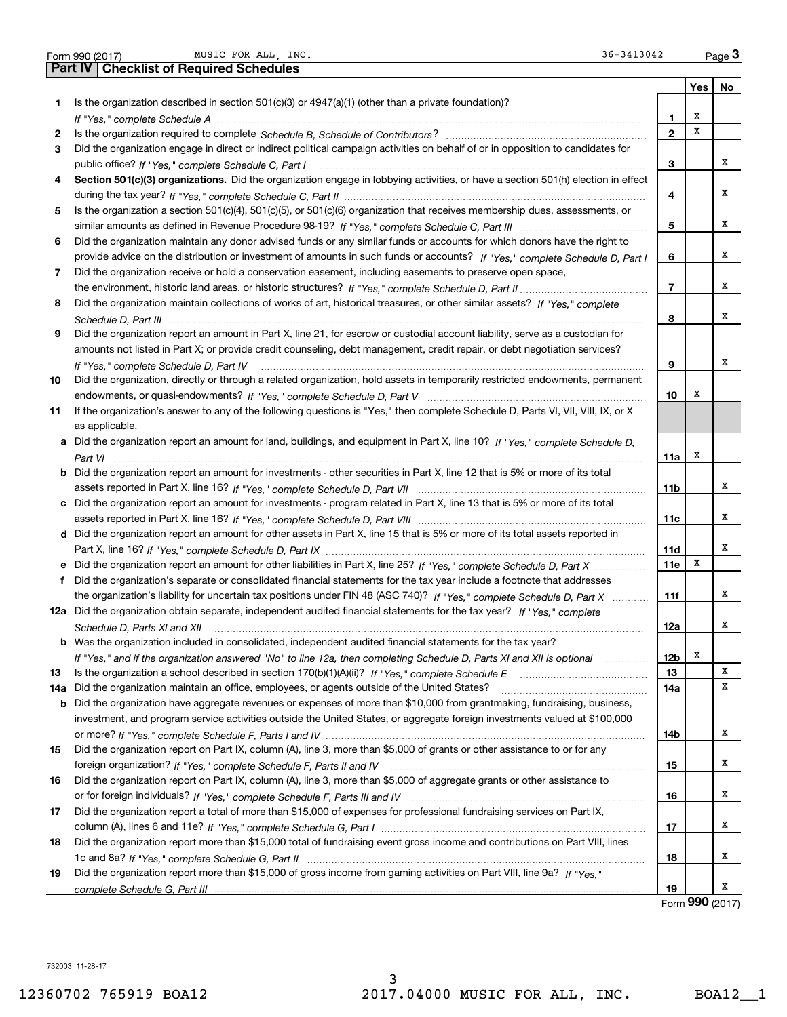|  | Form 990 (2017) |  |
|--|-----------------|--|

|     | 36-3413042<br>MUSIC FOR ALL, INC.<br>Form 990 (2017)                                                                             |                |     | Page $3$ |
|-----|----------------------------------------------------------------------------------------------------------------------------------|----------------|-----|----------|
|     | <b>Checklist of Required Schedules</b><br>Part IV                                                                                |                |     |          |
|     |                                                                                                                                  |                | Yes | No       |
| 1   | Is the organization described in section $501(c)(3)$ or $4947(a)(1)$ (other than a private foundation)?                          |                |     |          |
|     |                                                                                                                                  | 1              | х   |          |
| 2   |                                                                                                                                  | $\overline{2}$ | x   |          |
| З.  | Did the organization engage in direct or indirect political campaign activities on behalf of or in opposition to candidates for  |                |     |          |
|     |                                                                                                                                  | 3              |     | х        |
| 4   | Section 501(c)(3) organizations. Did the organization engage in lobbying activities, or have a section 501(h) election in effect |                |     |          |
|     |                                                                                                                                  | 4              |     | х        |
| 5   | Is the organization a section 501(c)(4), 501(c)(5), or 501(c)(6) organization that receives membership dues, assessments, or     |                |     |          |
|     |                                                                                                                                  | 5              |     | х        |
| 6   | Did the organization maintain any donor advised funds or any similar funds or accounts for which donors have the right to        |                |     |          |
|     | provide advice on the distribution or investment of amounts in such funds or accounts? If "Yes," complete Schedule D, Part I     | 6              |     | х        |
| 7   | Did the organization receive or hold a conservation easement, including easements to preserve open space,                        |                |     |          |
|     |                                                                                                                                  | $\overline{7}$ |     | х        |
| 8   | Did the organization maintain collections of works of art, historical treasures, or other similar assets? If "Yes," complete     |                |     |          |
|     |                                                                                                                                  | 8              |     | х        |
| 9   | Did the organization report an amount in Part X, line 21, for escrow or custodial account liability, serve as a custodian for    |                |     |          |
|     |                                                                                                                                  |                |     |          |
|     | amounts not listed in Part X; or provide credit counseling, debt management, credit repair, or debt negotiation services?        | 9              |     | х        |
|     |                                                                                                                                  |                |     |          |
| 10  | Did the organization, directly or through a related organization, hold assets in temporarily restricted endowments, permanent    |                | х   |          |
|     |                                                                                                                                  | 10             |     |          |
| 11  | If the organization's answer to any of the following questions is "Yes," then complete Schedule D, Parts VI, VII, VIII, IX, or X |                |     |          |
|     | as applicable.                                                                                                                   |                |     |          |
|     | a Did the organization report an amount for land, buildings, and equipment in Part X, line 10? If "Yes," complete Schedule D,    |                |     |          |
|     |                                                                                                                                  | 11a            | х   |          |
| b   | Did the organization report an amount for investments - other securities in Part X, line 12 that is 5% or more of its total      |                |     |          |
|     |                                                                                                                                  | 11b            |     | Χ        |
| c   | Did the organization report an amount for investments - program related in Part X, line 13 that is 5% or more of its total       |                |     |          |
|     |                                                                                                                                  | 11c            |     | х        |
|     | d Did the organization report an amount for other assets in Part X, line 15 that is 5% or more of its total assets reported in   |                |     |          |
|     |                                                                                                                                  | 11d            |     | х        |
|     | Did the organization report an amount for other liabilities in Part X, line 25? If "Yes," complete Schedule D, Part X            | <b>11e</b>     | х   |          |
|     | f Did the organization's separate or consolidated financial statements for the tax year include a footnote that addresses        |                |     |          |
|     | the organization's liability for uncertain tax positions under FIN 48 (ASC 740)? If "Yes," complete Schedule D, Part X           | 11f            |     | х        |
|     | 12a Did the organization obtain separate, independent audited financial statements for the tax year? If "Yes," complete          |                |     |          |
|     | Schedule D, Parts XI and XII                                                                                                     | 12a            |     | х        |
| b   | Was the organization included in consolidated, independent audited financial statements for the tax year?                        |                |     |          |
|     | If "Yes," and if the organization answered "No" to line 12a, then completing Schedule D, Parts XI and XII is optional manum      | 12b            | x   |          |
| 13  |                                                                                                                                  | 13             |     | х        |
| 14a | Did the organization maintain an office, employees, or agents outside of the United States?                                      | 14a            |     | х        |
| b   | Did the organization have aggregate revenues or expenses of more than \$10,000 from grantmaking, fundraising, business,          |                |     |          |
|     | investment, and program service activities outside the United States, or aggregate foreign investments valued at \$100,000       |                |     |          |
|     |                                                                                                                                  | 14b            |     | Χ        |
| 15  | Did the organization report on Part IX, column (A), line 3, more than \$5,000 of grants or other assistance to or for any        |                |     |          |
|     |                                                                                                                                  | 15             |     | х        |
| 16  | Did the organization report on Part IX, column (A), line 3, more than \$5,000 of aggregate grants or other assistance to         |                |     |          |
|     |                                                                                                                                  | 16             |     | Χ        |
| 17  | Did the organization report a total of more than \$15,000 of expenses for professional fundraising services on Part IX,          |                |     |          |
|     |                                                                                                                                  | 17             |     | х        |
| 18  | Did the organization report more than \$15,000 total of fundraising event gross income and contributions on Part VIII, lines     |                |     |          |
|     |                                                                                                                                  | 18             |     | Χ        |
| 19  | Did the organization report more than \$15,000 of gross income from gaming activities on Part VIII, line 9a? If "Yes."           |                |     |          |
|     |                                                                                                                                  | 19             |     | х        |

Form 990 (2017)

732003 11-28-17

 $Page 3$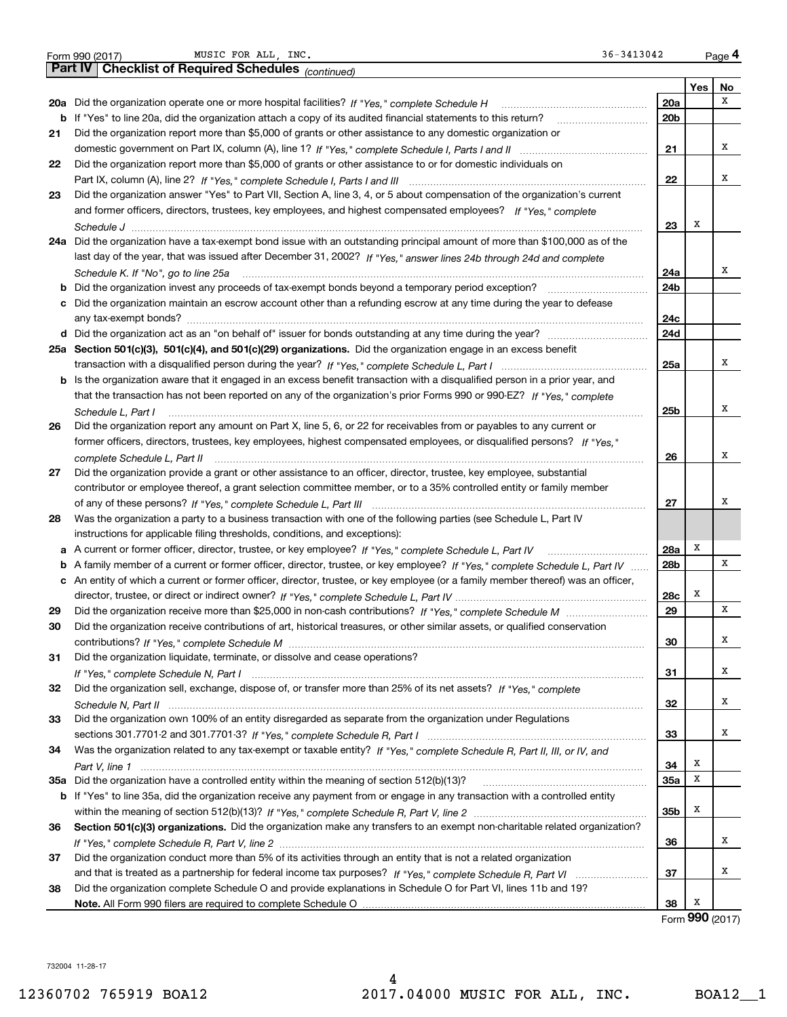|    | 36-3413042<br>MUSIC FOR ALL, INC.<br>Form 990 (2017)                                                                              |                 |        | Page 4          |
|----|-----------------------------------------------------------------------------------------------------------------------------------|-----------------|--------|-----------------|
|    | <b>Checklist of Required Schedules (continued)</b><br><b>Part IV</b>                                                              |                 |        |                 |
|    |                                                                                                                                   |                 | Yes    | No              |
|    |                                                                                                                                   | 20a             |        | х               |
|    | b If "Yes" to line 20a, did the organization attach a copy of its audited financial statements to this return?                    | 20 <sub>b</sub> |        |                 |
| 21 | Did the organization report more than \$5,000 of grants or other assistance to any domestic organization or                       |                 |        |                 |
|    |                                                                                                                                   | 21              |        | х               |
| 22 | Did the organization report more than \$5,000 of grants or other assistance to or for domestic individuals on                     |                 |        |                 |
|    |                                                                                                                                   | 22              |        | х               |
| 23 | Did the organization answer "Yes" to Part VII, Section A, line 3, 4, or 5 about compensation of the organization's current        |                 |        |                 |
|    | and former officers, directors, trustees, key employees, and highest compensated employees? If "Yes," complete                    |                 |        |                 |
|    |                                                                                                                                   | 23              | Х      |                 |
|    | 24a Did the organization have a tax-exempt bond issue with an outstanding principal amount of more than \$100,000 as of the       |                 |        |                 |
|    | last day of the year, that was issued after December 31, 2002? If "Yes," answer lines 24b through 24d and complete                |                 |        |                 |
|    | Schedule K. If "No", go to line 25a                                                                                               | 24a             |        | X               |
|    |                                                                                                                                   | 24b             |        |                 |
|    | c Did the organization maintain an escrow account other than a refunding escrow at any time during the year to defease            |                 |        |                 |
|    |                                                                                                                                   | 24c             |        |                 |
|    | d Did the organization act as an "on behalf of" issuer for bonds outstanding at any time during the year?                         | 24d             |        |                 |
|    | 25a Section 501(c)(3), 501(c)(4), and 501(c)(29) organizations. Did the organization engage in an excess benefit                  |                 |        |                 |
|    |                                                                                                                                   | 25a             |        | х               |
|    | b Is the organization aware that it engaged in an excess benefit transaction with a disqualified person in a prior year, and      |                 |        |                 |
|    | that the transaction has not been reported on any of the organization's prior Forms 990 or 990-EZ? If "Yes," complete             |                 |        |                 |
|    | Schedule L, Part I                                                                                                                | 25b             |        | Χ               |
| 26 | Did the organization report any amount on Part X, line 5, 6, or 22 for receivables from or payables to any current or             |                 |        |                 |
|    | former officers, directors, trustees, key employees, highest compensated employees, or disqualified persons? If "Yes."            |                 |        |                 |
|    |                                                                                                                                   | 26              |        | Χ               |
| 27 | Did the organization provide a grant or other assistance to an officer, director, trustee, key employee, substantial              |                 |        |                 |
|    | contributor or employee thereof, a grant selection committee member, or to a 35% controlled entity or family member               |                 |        |                 |
|    |                                                                                                                                   | 27              |        | х               |
| 28 | Was the organization a party to a business transaction with one of the following parties (see Schedule L, Part IV                 |                 |        |                 |
|    | instructions for applicable filing thresholds, conditions, and exceptions):                                                       |                 |        |                 |
|    |                                                                                                                                   | 28a             | Х      |                 |
|    | b A family member of a current or former officer, director, trustee, or key employee? If "Yes," complete Schedule L, Part IV      | 28b             |        | x               |
|    | c An entity of which a current or former officer, director, trustee, or key employee (or a family member thereof) was an officer, |                 |        |                 |
|    |                                                                                                                                   | 28c             | Х      |                 |
| 29 |                                                                                                                                   | 29              |        | х               |
| 30 | Did the organization receive contributions of art, historical treasures, or other similar assets, or qualified conservation       |                 |        |                 |
|    |                                                                                                                                   | 30              |        | х               |
| 31 | Did the organization liquidate, terminate, or dissolve and cease operations?                                                      |                 |        |                 |
|    |                                                                                                                                   | 31              |        | x               |
| 32 | Did the organization sell, exchange, dispose of, or transfer more than 25% of its net assets? If "Yes," complete                  |                 |        |                 |
|    |                                                                                                                                   | 32              |        | х               |
| 33 | Did the organization own 100% of an entity disregarded as separate from the organization under Regulations                        |                 |        | X               |
|    |                                                                                                                                   | 33              |        |                 |
| 34 | Was the organization related to any tax-exempt or taxable entity? If "Yes," complete Schedule R, Part II, III, or IV, and         |                 |        |                 |
|    |                                                                                                                                   | 34              | х<br>х |                 |
|    | 35a Did the organization have a controlled entity within the meaning of section 512(b)(13)?                                       | <b>35a</b>      |        |                 |
|    | b If "Yes" to line 35a, did the organization receive any payment from or engage in any transaction with a controlled entity       |                 | х      |                 |
|    |                                                                                                                                   | 35b             |        |                 |
| 36 | Section 501(c)(3) organizations. Did the organization make any transfers to an exempt non-charitable related organization?        |                 |        | X               |
|    |                                                                                                                                   | 36              |        |                 |
| 37 | Did the organization conduct more than 5% of its activities through an entity that is not a related organization                  |                 |        | х               |
|    |                                                                                                                                   | 37              |        |                 |
| 38 | Did the organization complete Schedule O and provide explanations in Schedule O for Part VI, lines 11b and 19?                    |                 | х      |                 |
|    | Note. All Form 990 filers are required to complete Schedule O                                                                     | 38              |        | Form 990 (2017) |
|    |                                                                                                                                   |                 |        |                 |

732004 11-28-17

4 12360702 765919 BOA12 2017.04000 MUSIC FOR ALL, INC. BOA12\_\_1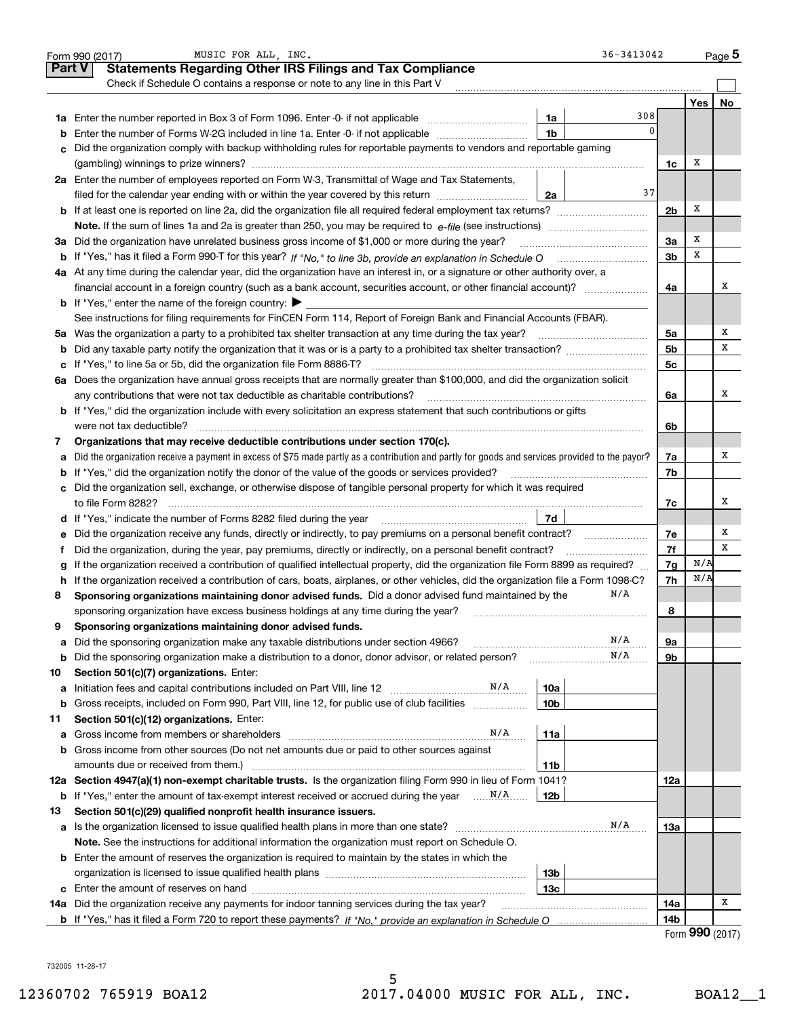|               | 36-3413042<br>MUSIC FOR ALL. INC.<br>Form 990 (2017)                                                                                                                                  |                |                                | Page $5$ |
|---------------|---------------------------------------------------------------------------------------------------------------------------------------------------------------------------------------|----------------|--------------------------------|----------|
| <b>Part V</b> | <b>Statements Regarding Other IRS Filings and Tax Compliance</b>                                                                                                                      |                |                                |          |
|               | Check if Schedule O contains a response or note to any line in this Part V                                                                                                            |                |                                |          |
|               |                                                                                                                                                                                       |                | Yes                            | No       |
|               | 308<br>1a                                                                                                                                                                             |                |                                |          |
| b             | $\mathbf 0$<br>1 <sub>b</sub><br>Enter the number of Forms W-2G included in line 1a. Enter -0- if not applicable                                                                      |                |                                |          |
| c             | Did the organization comply with backup withholding rules for reportable payments to vendors and reportable gaming                                                                    |                |                                |          |
|               |                                                                                                                                                                                       | 1c             | X                              |          |
|               | 2a Enter the number of employees reported on Form W-3, Transmittal of Wage and Tax Statements,                                                                                        |                |                                |          |
|               | 37<br>filed for the calendar year ending with or within the year covered by this return<br>2a                                                                                         |                |                                |          |
|               | <b>b</b> If at least one is reported on line 2a, did the organization file all required federal employment tax returns?                                                               | 2 <sub>b</sub> | X                              |          |
|               |                                                                                                                                                                                       |                |                                |          |
|               | 3a Did the organization have unrelated business gross income of \$1,000 or more during the year?                                                                                      | 3a             | X                              |          |
| b             |                                                                                                                                                                                       | 3b             | X                              |          |
|               | 4a At any time during the calendar year, did the organization have an interest in, or a signature or other authority over, a                                                          |                |                                |          |
|               |                                                                                                                                                                                       | 4a             |                                | х        |
|               | <b>b</b> If "Yes," enter the name of the foreign country: $\blacktriangleright$                                                                                                       |                |                                |          |
|               | See instructions for filing requirements for FinCEN Form 114, Report of Foreign Bank and Financial Accounts (FBAR).                                                                   |                |                                |          |
| 5a            | Was the organization a party to a prohibited tax shelter transaction at any time during the tax year?                                                                                 | 5a             |                                | x        |
| b             | Did any taxable party notify the organization that it was or is a party to a prohibited tax shelter transaction?                                                                      | 5 <sub>b</sub> |                                | х        |
| c             |                                                                                                                                                                                       | 5 <sub>c</sub> |                                |          |
| 6a            | Does the organization have annual gross receipts that are normally greater than \$100,000, and did the organization solicit                                                           |                |                                |          |
|               | any contributions that were not tax deductible as charitable contributions?                                                                                                           | 6a             |                                | x        |
| b             | If "Yes," did the organization include with every solicitation an express statement that such contributions or gifts                                                                  |                |                                |          |
|               | were not tax deductible?                                                                                                                                                              | 6b             |                                |          |
| 7             | Organizations that may receive deductible contributions under section 170(c).                                                                                                         |                |                                |          |
| а             | Did the organization receive a payment in excess of \$75 made partly as a contribution and partly for goods and services provided to the payor?                                       | 7a             |                                | х        |
| b             | If "Yes," did the organization notify the donor of the value of the goods or services provided?                                                                                       | 7b             |                                |          |
| c             | Did the organization sell, exchange, or otherwise dispose of tangible personal property for which it was required                                                                     |                |                                |          |
|               | to file Form 8282?                                                                                                                                                                    | 7с             |                                | х        |
|               | 7d<br>d If "Yes," indicate the number of Forms 8282 filed during the year manufactured in the set of the number of Forms 8282 filed during the year manufactured in the substitution. |                |                                |          |
| е             | Did the organization receive any funds, directly or indirectly, to pay premiums on a personal benefit contract?                                                                       | 7e             |                                | х        |
|               | Did the organization, during the year, pay premiums, directly or indirectly, on a personal benefit contract?                                                                          | 7f             |                                | х        |
|               | If the organization received a contribution of qualified intellectual property, did the organization file Form 8899 as required?                                                      | 7g             | N/A                            |          |
| h             | If the organization received a contribution of cars, boats, airplanes, or other vehicles, did the organization file a Form 1098-C?                                                    | 7h             | N/A                            |          |
| 8             | N/A<br>Sponsoring organizations maintaining donor advised funds. Did a donor advised fund maintained by the                                                                           |                |                                |          |
|               | sponsoring organization have excess business holdings at any time during the year?                                                                                                    | 8              |                                |          |
| 9             | Sponsoring organizations maintaining donor advised funds.                                                                                                                             |                |                                |          |
| а             | N/A<br>Did the sponsoring organization make any taxable distributions under section 4966?                                                                                             | 9а             |                                |          |
| b             | N/A<br>Did the sponsoring organization make a distribution to a donor, donor advisor, or related person?                                                                              | 9b             |                                |          |
| 10            | Section 501(c)(7) organizations. Enter:                                                                                                                                               |                |                                |          |
| а             | N/A<br>10a<br>Initiation fees and capital contributions included on Part VIII, line 12                                                                                                |                |                                |          |
| b             | 10 <sub>b</sub><br>Gross receipts, included on Form 990, Part VIII, line 12, for public use of club facilities                                                                        |                |                                |          |
| 11            | Section 501(c)(12) organizations. Enter:                                                                                                                                              |                |                                |          |
| а             | N/A<br>11a<br>Gross income from members or shareholders                                                                                                                               |                |                                |          |
| b             | Gross income from other sources (Do not net amounts due or paid to other sources against                                                                                              |                |                                |          |
|               | 11b<br>amounts due or received from them.)                                                                                                                                            |                |                                |          |
|               | 12a Section 4947(a)(1) non-exempt charitable trusts. Is the organization filing Form 990 in lieu of Form 1041?                                                                        | 12a            |                                |          |
| b             | 12b                                                                                                                                                                                   |                |                                |          |
| 13            | Section 501(c)(29) qualified nonprofit health insurance issuers.                                                                                                                      |                |                                |          |
| а             | N/A<br>Is the organization licensed to issue qualified health plans in more than one state?                                                                                           | 13а            |                                |          |
|               | Note. See the instructions for additional information the organization must report on Schedule O.                                                                                     |                |                                |          |
|               | <b>b</b> Enter the amount of reserves the organization is required to maintain by the states in which the                                                                             |                |                                |          |
|               | 13 <sub>b</sub>                                                                                                                                                                       |                |                                |          |
| c             | 13c                                                                                                                                                                                   |                |                                |          |
|               | 14a Did the organization receive any payments for indoor tanning services during the tax year?                                                                                        | 14a            |                                | х        |
|               |                                                                                                                                                                                       | 14b            | $\mathbf{QQ} \cap \mathbf{QQ}$ |          |

Form 990 (2017)

732005 11-28-17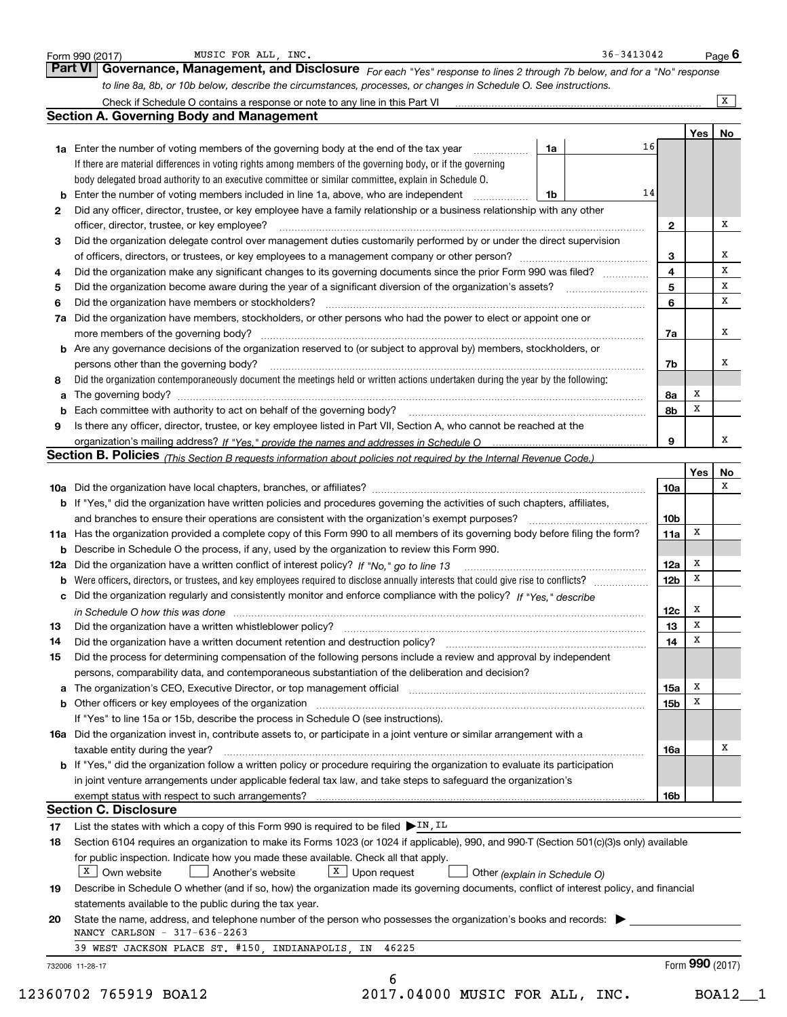|    | Check if Schedule O contains a response or note to any line in this Part VI [11] [12] Check if Schedule O contains a response or note to any line in this Part VI          |    |    |                 |             | X  |
|----|----------------------------------------------------------------------------------------------------------------------------------------------------------------------------|----|----|-----------------|-------------|----|
|    | <b>Section A. Governing Body and Management</b>                                                                                                                            |    |    |                 |             |    |
|    |                                                                                                                                                                            |    |    |                 | Yes         | No |
|    | 1a Enter the number of voting members of the governing body at the end of the tax year <i>manumum</i>                                                                      | 1a | 16 |                 |             |    |
|    | If there are material differences in voting rights among members of the governing body, or if the governing                                                                |    |    |                 |             |    |
|    | body delegated broad authority to an executive committee or similar committee, explain in Schedule O.                                                                      |    |    |                 |             |    |
| b  | Enter the number of voting members included in line 1a, above, who are independent                                                                                         | 1b | 14 |                 |             |    |
| 2  | Did any officer, director, trustee, or key employee have a family relationship or a business relationship with any other                                                   |    |    |                 |             |    |
|    | officer, director, trustee, or key employee?                                                                                                                               |    |    | $\mathbf{2}$    |             | x  |
| з  | Did the organization delegate control over management duties customarily performed by or under the direct supervision                                                      |    |    |                 |             | x  |
|    |                                                                                                                                                                            |    |    | з<br>4          |             | X  |
| 4  | Did the organization make any significant changes to its governing documents since the prior Form 990 was filed?                                                           |    |    | 5               |             | х  |
| 5  | Did the organization have members or stockholders?                                                                                                                         |    |    | 6               |             | х  |
| 6  | Did the organization have members, stockholders, or other persons who had the power to elect or appoint one or                                                             |    |    |                 |             |    |
| 7a |                                                                                                                                                                            |    |    |                 |             | x  |
|    | b Are any governance decisions of the organization reserved to (or subject to approval by) members, stockholders, or                                                       |    |    | 7a              |             |    |
|    | persons other than the governing body?                                                                                                                                     |    |    | 7b              |             | х  |
| 8  | Did the organization contemporaneously document the meetings held or written actions undertaken during the year by the following:                                          |    |    |                 |             |    |
|    |                                                                                                                                                                            |    |    | 8a              | x           |    |
|    |                                                                                                                                                                            |    |    | 8b              | X           |    |
| 9  | Is there any officer, director, trustee, or key employee listed in Part VII, Section A, who cannot be reached at the                                                       |    |    |                 |             |    |
|    |                                                                                                                                                                            |    |    | 9               |             | x  |
|    | Section B. Policies (This Section B requests information about policies not required by the Internal Revenue Code.)                                                        |    |    |                 |             |    |
|    |                                                                                                                                                                            |    |    |                 | Yes         | No |
|    |                                                                                                                                                                            |    |    | 10a             |             | х  |
|    | b If "Yes," did the organization have written policies and procedures governing the activities of such chapters, affiliates,                                               |    |    |                 |             |    |
|    | and branches to ensure their operations are consistent with the organization's exempt purposes?                                                                            |    |    | 10 <sub>b</sub> |             |    |
|    | 11a Has the organization provided a complete copy of this Form 990 to all members of its governing body before filing the form?                                            |    |    | 11a             | х           |    |
|    | <b>b</b> Describe in Schedule O the process, if any, used by the organization to review this Form 990.                                                                     |    |    |                 |             |    |
|    |                                                                                                                                                                            |    |    | 12a             | x           |    |
| b  |                                                                                                                                                                            |    |    | 12 <sub>b</sub> | x           |    |
|    | c Did the organization regularly and consistently monitor and enforce compliance with the policy? If "Yes," describe                                                       |    |    |                 |             |    |
|    | in Schedule O how this was done manufactured and contain an according to the state of the state of the state o                                                             |    |    | 12c             | x           |    |
| 13 |                                                                                                                                                                            |    |    | 13              | $\mathbf x$ |    |
| 14 | Did the organization have a written document retention and destruction policy? manufactured and the organization have a written document retention and destruction policy? |    |    | 14              | X           |    |
| 15 | Did the process for determining compensation of the following persons include a review and approval by independent                                                         |    |    |                 |             |    |
|    | persons, comparability data, and contemporaneous substantiation of the deliberation and decision?                                                                          |    |    |                 |             |    |
|    |                                                                                                                                                                            |    |    | 15a             | х           |    |
|    | <b>b</b> Other officers or key employees of the organization                                                                                                               |    |    | 15b             | X           |    |
|    | If "Yes" to line 15a or 15b, describe the process in Schedule O (see instructions).                                                                                        |    |    |                 |             |    |
|    | 16a Did the organization invest in, contribute assets to, or participate in a joint venture or similar arrangement with a                                                  |    |    |                 |             |    |
|    | taxable entity during the year?                                                                                                                                            |    |    | 16a             |             | х  |
|    | <b>b</b> If "Yes," did the organization follow a written policy or procedure requiring the organization to evaluate its participation                                      |    |    |                 |             |    |
|    | in joint venture arrangements under applicable federal tax law, and take steps to safeguard the organization's                                                             |    |    |                 |             |    |
|    | exempt status with respect to such arrangements?                                                                                                                           |    |    | 16b             |             |    |
|    | <b>Section C. Disclosure</b>                                                                                                                                               |    |    |                 |             |    |
| 17 | List the states with which a copy of this Form 990 is required to be filed $\triangleright$ IN, IL                                                                         |    |    |                 |             |    |
| 18 | Section 6104 requires an organization to make its Forms 1023 (or 1024 if applicable), 990, and 990-T (Section 501(c)(3)s only) available                                   |    |    |                 |             |    |
|    | for public inspection. Indicate how you made these available. Check all that apply.                                                                                        |    |    |                 |             |    |
|    | $\boxed{\text{x}}$ Own website<br>$X$ Upon request<br>Another's website<br>Other (explain in Schedule O)                                                                   |    |    |                 |             |    |
| 19 | Describe in Schedule O whether (and if so, how) the organization made its governing documents, conflict of interest policy, and financial                                  |    |    |                 |             |    |
|    | statements available to the public during the tax year.                                                                                                                    |    |    |                 |             |    |
| 20 | State the name, address, and telephone number of the person who possesses the organization's books and records:                                                            |    |    |                 |             |    |
|    | NANCY CARLSON - 317-636-2263                                                                                                                                               |    |    |                 |             |    |
|    | 39 WEST JACKSON PLACE ST. #150, INDIANAPOLIS, IN 46225                                                                                                                     |    |    |                 |             |    |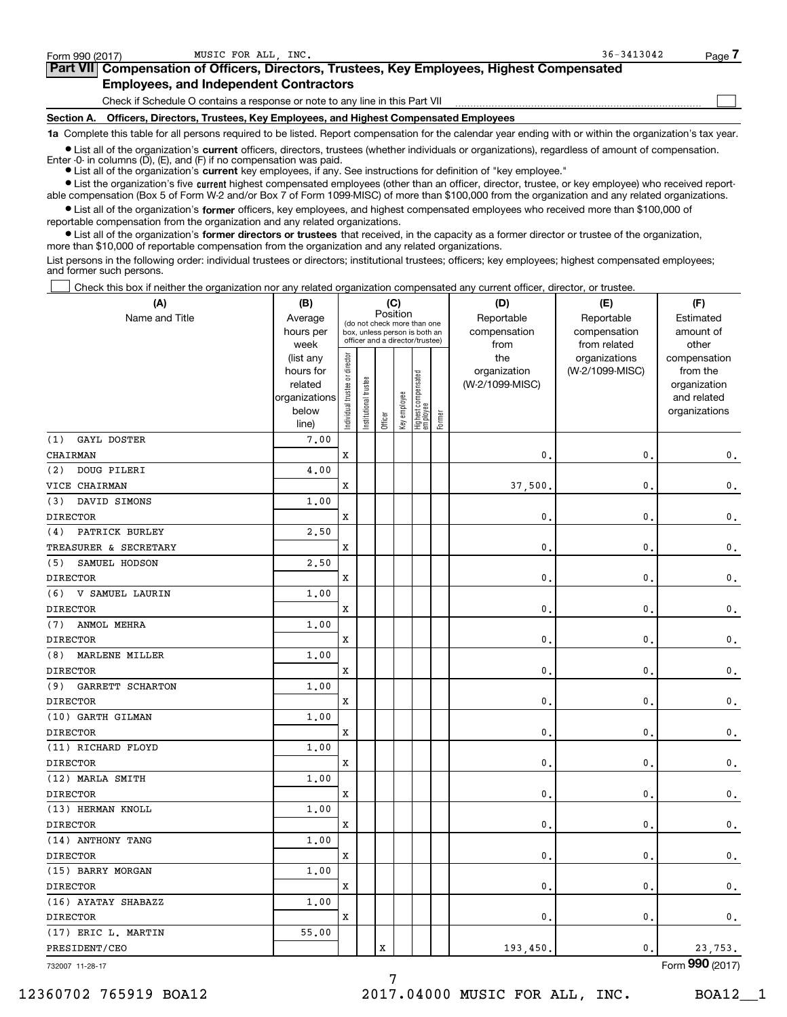$\begin{array}{c} \hline \end{array}$ 

| Part VII Compensation of Officers, Directors, Trustees, Key Employees, Highest Compensated |
|--------------------------------------------------------------------------------------------|
| <b>Employees, and Independent Contractors</b>                                              |

Check if Schedule O contains a response or note to any line in this Part VII

Section A. Officers, Directors, Trustees, Key Employees, and Highest Compensated Employees

1a Complete this table for all persons required to be listed. Report compensation for the calendar year ending with or within the organization's tax year.

Ist all of the organization's current officers, directors, trustees (whether individuals or organizations), regardless of amount of compensation.

Enter -0- in columns  $(D)$ ,  $(E)$ , and  $(F)$  if no compensation was paid.

**Examber 1 List all of the organization's current** key employees, if any. See instructions for definition of "key employee."

Ist the organization's five current highest compensated employees (other than an officer, director, trustee, or key employee) who received reportable compensation (Box 5 of Form W-2 and/or Box 7 of Form 1099-MISC) of more than \$100,000 from the organization and any related organizations.

 $\bullet$  List all of the organization's former officers, key employees, and highest compensated employees who received more than \$100,000 of reportable compensation from the organization and any related organizations.

• List all of the organization's former directors or trustees that received, in the capacity as a former director or trustee of the organization, more than \$10,000 of reportable compensation from the organization and any related organizations.

List persons in the following order: individual trustees or directors; institutional trustees; officers; key employees; highest compensated employees; and former such persons.

Check this box if neither the organization nor any related organization compensated any current officer, director, or trustee.  $\Box$ 

| (A)                            | (B)                  |                                |                                                                          | (C)     |              |                                   |        | (D)                        | (E)                        | (F)                    |
|--------------------------------|----------------------|--------------------------------|--------------------------------------------------------------------------|---------|--------------|-----------------------------------|--------|----------------------------|----------------------------|------------------------|
| Name and Title                 | Average<br>hours per |                                | Position<br>(do not check more than one<br>box, unless person is both an |         |              |                                   |        | Reportable<br>compensation | Reportable<br>compensation | Estimated<br>amount of |
|                                | week                 |                                | officer and a director/trustee)                                          |         |              |                                   |        | from                       | from related               | other                  |
|                                | (list any            |                                |                                                                          |         |              |                                   |        | the                        | organizations              | compensation           |
|                                | hours for            |                                |                                                                          |         |              |                                   |        | organization               | (W-2/1099-MISC)            | from the               |
|                                | related              |                                |                                                                          |         |              |                                   |        | (W-2/1099-MISC)            |                            | organization           |
|                                | organizations        |                                |                                                                          |         |              |                                   |        |                            |                            | and related            |
|                                | below<br>line)       | Individual trustee or director | Institutional trustee                                                    | Officer | Key employee | Highest compensated<br>  employee | Former |                            |                            | organizations          |
| (1)<br>GAYL DOSTER             | 7.00                 |                                |                                                                          |         |              |                                   |        |                            |                            |                        |
| CHAIRMAN                       |                      | X                              |                                                                          |         |              |                                   |        | $\mathbf{0}$ .             | $\mathbf{0}$ .             | $\mathbf 0$ .          |
| DOUG PILERI<br>(2)             | 4,00                 |                                |                                                                          |         |              |                                   |        |                            |                            |                        |
| VICE CHAIRMAN                  |                      | X                              |                                                                          |         |              |                                   |        | 37,500                     | $\mathbf{0}$ .             | $\mathbf 0$ .          |
| DAVID SIMONS<br>(3)            | 1.00                 |                                |                                                                          |         |              |                                   |        |                            |                            |                        |
| <b>DIRECTOR</b>                |                      | x                              |                                                                          |         |              |                                   |        | $\mathbf{0}$               | $\mathbf{0}$ .             | $\mathsf{0}\,.$        |
| PATRICK BURLEY<br>(4)          | 2,50                 |                                |                                                                          |         |              |                                   |        |                            |                            |                        |
| TREASURER & SECRETARY          |                      | x                              |                                                                          |         |              |                                   |        | $\mathbf{0}$ .             | $\mathbf{0}$ .             | $\mathbf{0}$ .         |
| SAMUEL HODSON<br>(5)           | 2.50                 |                                |                                                                          |         |              |                                   |        |                            |                            |                        |
| <b>DIRECTOR</b>                |                      | x                              |                                                                          |         |              |                                   |        | $\mathbf{0}$ .             | $\mathbf{0}$ .             | $\mathbf{0}$ .         |
| V SAMUEL LAURIN<br>(6)         | 1.00                 |                                |                                                                          |         |              |                                   |        |                            |                            |                        |
| <b>DIRECTOR</b>                |                      | x                              |                                                                          |         |              |                                   |        | $\mathbf{0}$ .             | $\mathbf{0}$ .             | $\mathbf 0$ .          |
| ANMOL MEHRA<br>(7)             | 1.00                 |                                |                                                                          |         |              |                                   |        |                            |                            |                        |
| <b>DIRECTOR</b>                |                      | x                              |                                                                          |         |              |                                   |        | $\mathbf{0}$ .             | $\mathbf{0}$ .             | $\mathbf 0$ .          |
| MARLENE MILLER<br>(8)          | 1.00                 |                                |                                                                          |         |              |                                   |        |                            |                            |                        |
| <b>DIRECTOR</b>                |                      | x                              |                                                                          |         |              |                                   |        | $\mathbf{0}$ .             | $\mathbf{0}$ .             | $\mathbf 0$ .          |
| <b>GARRETT SCHARTON</b><br>(9) | 1.00                 |                                |                                                                          |         |              |                                   |        |                            |                            |                        |
| <b>DIRECTOR</b>                |                      | X                              |                                                                          |         |              |                                   |        | $\mathbf{0}$ .             | $\mathbf{0}$ .             | $\mathbf 0$ .          |
| (10) GARTH GILMAN              | 1.00                 |                                |                                                                          |         |              |                                   |        |                            |                            |                        |
| <b>DIRECTOR</b>                |                      | X                              |                                                                          |         |              |                                   |        | $\mathbf{0}$ .             | $\mathbf{0}$ .             | $\mathbf{0}$ .         |
| (11) RICHARD FLOYD             | 1.00                 |                                |                                                                          |         |              |                                   |        |                            |                            |                        |
| <b>DIRECTOR</b>                |                      | X                              |                                                                          |         |              |                                   |        | $\mathbf 0$ .              | $\mathbf{0}$ .             | $\mathbf{0}$ .         |
| (12) MARLA SMITH               | 1.00                 |                                |                                                                          |         |              |                                   |        |                            |                            |                        |
| <b>DIRECTOR</b>                |                      | x                              |                                                                          |         |              |                                   |        | $\mathbf 0$ .              | $\mathbf{0}$ .             | $\mathbf{0}$ .         |
| (13) HERMAN KNOLL              | 1.00                 |                                |                                                                          |         |              |                                   |        |                            |                            |                        |
| <b>DIRECTOR</b>                |                      | X                              |                                                                          |         |              |                                   |        | $\mathbf 0$ .              | $\mathbf{0}$ .             | $\mathbf 0$ .          |
| (14) ANTHONY TANG              | 1.00                 |                                |                                                                          |         |              |                                   |        |                            |                            |                        |
| <b>DIRECTOR</b>                |                      | x                              |                                                                          |         |              |                                   |        | $\mathbf{0}$ .             | $\mathbf{0}$ .             | $\mathbf{0}$ .         |
| (15) BARRY MORGAN              | 1.00                 |                                |                                                                          |         |              |                                   |        |                            |                            |                        |
| <b>DIRECTOR</b>                |                      | X                              |                                                                          |         |              |                                   |        | $\mathbf{0}$ .             | $\mathbf{0}$ .             | $\mathbf 0$ .          |
| (16) AYATAY SHABAZZ            | 1.00                 |                                |                                                                          |         |              |                                   |        |                            |                            |                        |
| <b>DIRECTOR</b>                |                      | x                              |                                                                          |         |              |                                   |        | $\mathbf{0}$ .             | $\mathbf{0}$ .             | $\mathbf{0}$ .         |
| (17) ERIC L. MARTIN            | 55.00                |                                |                                                                          |         |              |                                   |        |                            |                            |                        |
| PRESIDENT/CEO                  |                      |                                |                                                                          | X       |              |                                   |        | 193,450.                   | 0.                         | 23,753.                |

732007 11-28-17

Form **990** (2017)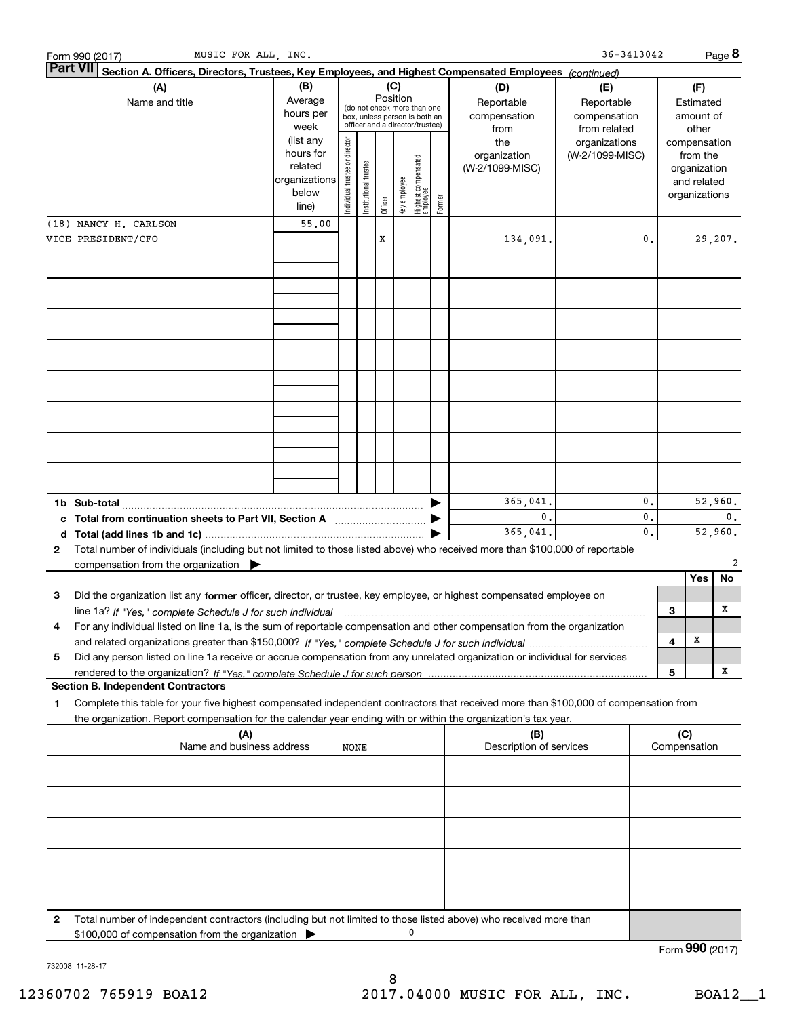|   | MUSIC FOR ALL, INC.<br>Form 990 (2017)                                                                                                                              |                                                                      |                                |                       |         |              |                                                                                                             |        |                                           | $36 - 3413042$                                    |                      |     |                                        | Page 8                                                                   |
|---|---------------------------------------------------------------------------------------------------------------------------------------------------------------------|----------------------------------------------------------------------|--------------------------------|-----------------------|---------|--------------|-------------------------------------------------------------------------------------------------------------|--------|-------------------------------------------|---------------------------------------------------|----------------------|-----|----------------------------------------|--------------------------------------------------------------------------|
|   | <b>Part VII</b><br>Section A. Officers, Directors, Trustees, Key Employees, and Highest Compensated Employees (continued)                                           |                                                                      |                                |                       |         |              |                                                                                                             |        |                                           |                                                   |                      |     |                                        |                                                                          |
|   | (A)<br>Name and title                                                                                                                                               | (B)<br>Average<br>hours per<br>week                                  |                                |                       |         |              | Position<br>(do not check more than one<br>box, unless person is both an<br>officer and a director/trustee) |        | (D)<br>Reportable<br>compensation<br>from | (E)<br>Reportable<br>compensation<br>from related |                      |     | (F)<br>Estimated<br>amount of<br>other |                                                                          |
|   |                                                                                                                                                                     | (list any<br>hours for<br>related<br>organizations<br>below<br>line) | Individual trustee or director | Institutional trustee | Officer | Key employee | Highest compensated<br>employee                                                                             | Former | the<br>organization<br>(W-2/1099-MISC)    | organizations<br>(W-2/1099-MISC)                  |                      |     |                                        | compensation<br>from the<br>organization<br>and related<br>organizations |
|   | (18) NANCY H. CARLSON                                                                                                                                               | 55.00                                                                |                                |                       |         |              |                                                                                                             |        |                                           |                                                   |                      |     |                                        |                                                                          |
|   | VICE PRESIDENT/CFO                                                                                                                                                  |                                                                      |                                |                       | x       |              |                                                                                                             |        | 134,091.                                  |                                                   | 0.                   |     |                                        | 29,207.                                                                  |
|   |                                                                                                                                                                     |                                                                      |                                |                       |         |              |                                                                                                             |        |                                           |                                                   |                      |     |                                        |                                                                          |
|   |                                                                                                                                                                     |                                                                      |                                |                       |         |              |                                                                                                             |        |                                           |                                                   |                      |     |                                        |                                                                          |
|   |                                                                                                                                                                     |                                                                      |                                |                       |         |              |                                                                                                             |        |                                           |                                                   |                      |     |                                        |                                                                          |
|   |                                                                                                                                                                     |                                                                      |                                |                       |         |              |                                                                                                             |        |                                           |                                                   |                      |     |                                        |                                                                          |
|   | 1b Sub-total<br>c Total from continuation sheets to Part VII, Section A [11, 11, 11, 11, 12]                                                                        |                                                                      |                                |                       |         |              |                                                                                                             |        | 365,041.<br>$\mathbf{0}$ .                |                                                   | $\mathbf{0}$ .<br>0. |     |                                        | 52,960.<br>0.                                                            |
|   |                                                                                                                                                                     |                                                                      |                                |                       |         |              |                                                                                                             |        | 365,041                                   |                                                   | $\mathbf{0}$ .       |     |                                        | 52,960.                                                                  |
| 2 | Total number of individuals (including but not limited to those listed above) who received more than \$100,000 of reportable                                        |                                                                      |                                |                       |         |              |                                                                                                             |        |                                           |                                                   |                      |     |                                        |                                                                          |
|   | compensation from the organization                                                                                                                                  |                                                                      |                                |                       |         |              |                                                                                                             |        |                                           |                                                   |                      |     |                                        | 2                                                                        |
| 3 | Did the organization list any former officer, director, or trustee, key employee, or highest compensated employee on                                                |                                                                      |                                |                       |         |              |                                                                                                             |        |                                           |                                                   |                      |     | Yes                                    | No.                                                                      |
|   |                                                                                                                                                                     |                                                                      |                                |                       |         |              |                                                                                                             |        |                                           |                                                   |                      | 3   |                                        | х                                                                        |
|   | For any individual listed on line 1a, is the sum of reportable compensation and other compensation from the organization                                            |                                                                      |                                |                       |         |              |                                                                                                             |        |                                           |                                                   |                      |     |                                        |                                                                          |
|   |                                                                                                                                                                     |                                                                      |                                |                       |         |              |                                                                                                             |        |                                           |                                                   |                      | 4   | х                                      |                                                                          |
| 5 | Did any person listed on line 1a receive or accrue compensation from any unrelated organization or individual for services                                          |                                                                      |                                |                       |         |              |                                                                                                             |        |                                           |                                                   |                      |     |                                        |                                                                          |
|   | <b>Section B. Independent Contractors</b>                                                                                                                           |                                                                      |                                |                       |         |              |                                                                                                             |        |                                           |                                                   |                      | 5   |                                        | х                                                                        |
| 1 | Complete this table for your five highest compensated independent contractors that received more than \$100,000 of compensation from                                |                                                                      |                                |                       |         |              |                                                                                                             |        |                                           |                                                   |                      |     |                                        |                                                                          |
|   | the organization. Report compensation for the calendar year ending with or within the organization's tax year.                                                      |                                                                      |                                |                       |         |              |                                                                                                             |        |                                           |                                                   |                      |     |                                        |                                                                          |
|   | (A)<br>Name and business address                                                                                                                                    |                                                                      |                                |                       |         |              |                                                                                                             |        | (B)<br>Description of services            |                                                   |                      | (C) |                                        |                                                                          |
|   |                                                                                                                                                                     |                                                                      | NONE                           |                       |         |              |                                                                                                             |        |                                           |                                                   |                      |     | Compensation                           |                                                                          |
|   |                                                                                                                                                                     |                                                                      |                                |                       |         |              |                                                                                                             |        |                                           |                                                   |                      |     |                                        |                                                                          |
|   |                                                                                                                                                                     |                                                                      |                                |                       |         |              |                                                                                                             |        |                                           |                                                   |                      |     |                                        |                                                                          |
|   |                                                                                                                                                                     |                                                                      |                                |                       |         |              |                                                                                                             |        |                                           |                                                   |                      |     |                                        |                                                                          |
|   |                                                                                                                                                                     |                                                                      |                                |                       |         |              |                                                                                                             |        |                                           |                                                   |                      |     |                                        |                                                                          |
| 2 | Total number of independent contractors (including but not limited to those listed above) who received more than<br>\$100,000 of compensation from the organization |                                                                      |                                |                       |         |              | 0                                                                                                           |        |                                           |                                                   |                      |     |                                        |                                                                          |
|   |                                                                                                                                                                     |                                                                      |                                |                       |         |              |                                                                                                             |        |                                           |                                                   |                      |     |                                        | Form 990 (2017)                                                          |

732008 11-28-17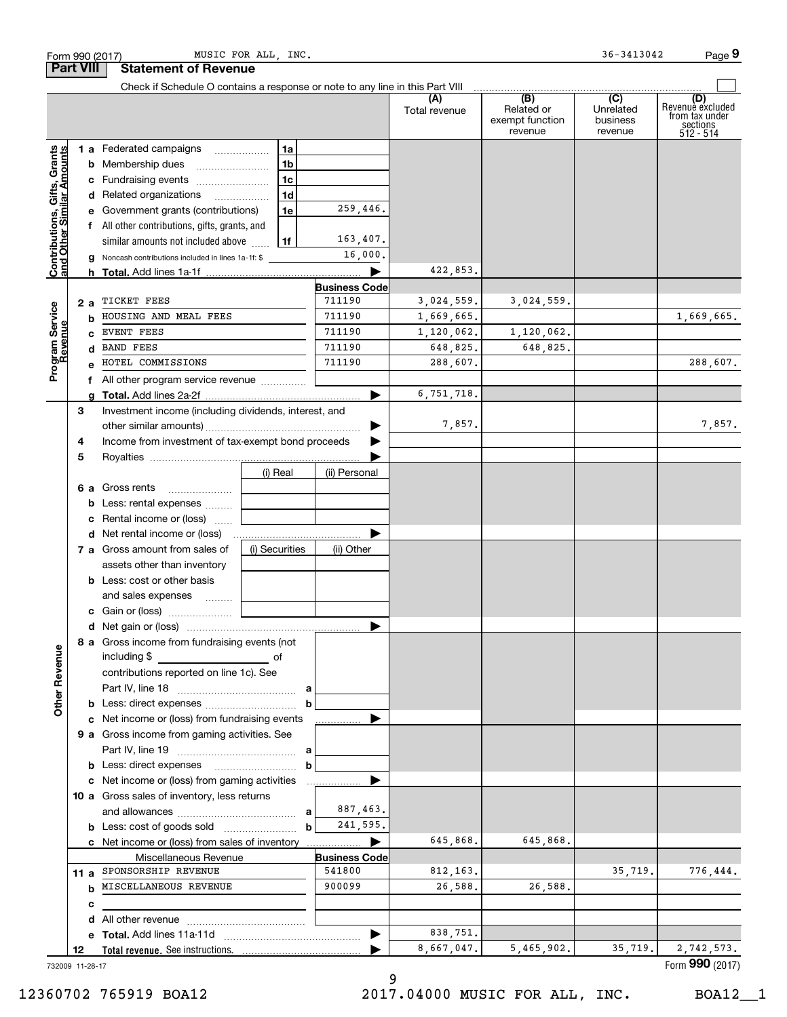| Form 990 (2017)                                           |      |                                                                                                                                                                                                                                          | MUSIC FOR ALL, INC. |                      |                      |                                                 | 36-3413042                              | Page 9                                                             |
|-----------------------------------------------------------|------|------------------------------------------------------------------------------------------------------------------------------------------------------------------------------------------------------------------------------------------|---------------------|----------------------|----------------------|-------------------------------------------------|-----------------------------------------|--------------------------------------------------------------------|
| <b>Part VIII</b>                                          |      | <b>Statement of Revenue</b>                                                                                                                                                                                                              |                     |                      |                      |                                                 |                                         |                                                                    |
|                                                           |      | Check if Schedule O contains a response or note to any line in this Part VIII                                                                                                                                                            |                     |                      | (A)<br>Total revenue | (B)<br>Related or<br>exempt function<br>revenue | (C)<br>Unrelated<br>business<br>revenue | (D)<br>Revenue excluded<br>from tax under<br>sections<br>512 - 514 |
|                                                           |      | 1 a Federated campaigns                                                                                                                                                                                                                  | 1a                  |                      |                      |                                                 |                                         |                                                                    |
| Contributions, Gifts, Grants<br>and Other Similar Amounts |      |                                                                                                                                                                                                                                          | 1 <sub>b</sub>      |                      |                      |                                                 |                                         |                                                                    |
|                                                           |      | c Fundraising events                                                                                                                                                                                                                     | 1c                  |                      |                      |                                                 |                                         |                                                                    |
|                                                           |      | d Related organizations                                                                                                                                                                                                                  | 1d                  |                      |                      |                                                 |                                         |                                                                    |
|                                                           |      | e Government grants (contributions)                                                                                                                                                                                                      | 1e                  | 259,446.             |                      |                                                 |                                         |                                                                    |
|                                                           |      | f All other contributions, gifts, grants, and                                                                                                                                                                                            |                     |                      |                      |                                                 |                                         |                                                                    |
|                                                           |      | similar amounts not included above                                                                                                                                                                                                       | 1f                  | 163,407.             |                      |                                                 |                                         |                                                                    |
|                                                           |      | <b>g</b> Noncash contributions included in lines 1a-1f: \$                                                                                                                                                                               |                     | 16,000.              |                      |                                                 |                                         |                                                                    |
|                                                           |      |                                                                                                                                                                                                                                          |                     |                      | 422,853.             |                                                 |                                         |                                                                    |
|                                                           |      |                                                                                                                                                                                                                                          |                     | <b>Business Code</b> |                      |                                                 |                                         |                                                                    |
|                                                           | 2 a  | TICKET FEES                                                                                                                                                                                                                              |                     | 711190               | 3,024,559.           | 3,024,559.                                      |                                         |                                                                    |
| Program Service<br>Revenue                                | b    | HOUSING AND MEAL FEES                                                                                                                                                                                                                    |                     | 711190               | 1,669,665.           |                                                 |                                         | 1,669,665.                                                         |
|                                                           |      | EVENT FEES                                                                                                                                                                                                                               |                     | 711190               | 1,120,062.           | 1,120,062.                                      |                                         |                                                                    |
|                                                           |      | <b>BAND FEES</b>                                                                                                                                                                                                                         |                     | 711190               | 648,825.             | 648,825.                                        |                                         |                                                                    |
|                                                           |      | HOTEL COMMISSIONS                                                                                                                                                                                                                        |                     | 711190               | 288,607.             |                                                 |                                         | 288,607.                                                           |
|                                                           |      |                                                                                                                                                                                                                                          |                     |                      |                      |                                                 |                                         |                                                                    |
|                                                           |      |                                                                                                                                                                                                                                          |                     |                      | 6,751,718.           |                                                 |                                         |                                                                    |
|                                                           | 3    | Investment income (including dividends, interest, and                                                                                                                                                                                    |                     |                      |                      |                                                 |                                         |                                                                    |
|                                                           |      |                                                                                                                                                                                                                                          |                     | ▶                    | 7,857.               |                                                 |                                         | 7,857.                                                             |
|                                                           | 4    | Income from investment of tax-exempt bond proceeds                                                                                                                                                                                       |                     |                      |                      |                                                 |                                         |                                                                    |
|                                                           | 5    |                                                                                                                                                                                                                                          |                     |                      |                      |                                                 |                                         |                                                                    |
|                                                           |      |                                                                                                                                                                                                                                          | (i) Real            | (ii) Personal        |                      |                                                 |                                         |                                                                    |
|                                                           |      | <b>6 a</b> Gross rents                                                                                                                                                                                                                   |                     |                      |                      |                                                 |                                         |                                                                    |
|                                                           |      | <b>b</b> Less: rental expenses                                                                                                                                                                                                           |                     |                      |                      |                                                 |                                         |                                                                    |
|                                                           |      | c Rental income or (loss)                                                                                                                                                                                                                |                     |                      |                      |                                                 |                                         |                                                                    |
|                                                           |      |                                                                                                                                                                                                                                          |                     |                      |                      |                                                 |                                         |                                                                    |
|                                                           |      | 7 a Gross amount from sales of                                                                                                                                                                                                           | (i) Securities      | (ii) Other           |                      |                                                 |                                         |                                                                    |
|                                                           |      | assets other than inventory                                                                                                                                                                                                              |                     |                      |                      |                                                 |                                         |                                                                    |
|                                                           |      | <b>b</b> Less: cost or other basis                                                                                                                                                                                                       |                     |                      |                      |                                                 |                                         |                                                                    |
|                                                           |      | and sales expenses                                                                                                                                                                                                                       |                     |                      |                      |                                                 |                                         |                                                                    |
|                                                           |      |                                                                                                                                                                                                                                          |                     |                      |                      |                                                 |                                         |                                                                    |
|                                                           |      |                                                                                                                                                                                                                                          |                     |                      |                      |                                                 |                                         |                                                                    |
|                                                           |      | 8 a Gross income from fundraising events (not                                                                                                                                                                                            |                     |                      |                      |                                                 |                                         |                                                                    |
|                                                           |      | including \$                                                                                                                                                                                                                             |                     |                      |                      |                                                 |                                         |                                                                    |
|                                                           |      | and the contract of the contract of the contract of the contract of the contract of the contract of the contract of<br>contributions reported on line 1c). See                                                                           |                     |                      |                      |                                                 |                                         |                                                                    |
|                                                           |      |                                                                                                                                                                                                                                          |                     |                      |                      |                                                 |                                         |                                                                    |
| <b>Other Revenue</b>                                      |      | <b>b</b> Less: direct expenses <i>managered</i> in the set of the set of the set of the set of the set of the set of the set of the set of the set of the set of the set of the set of the set of the set of the set of the set of the s | b                   |                      |                      |                                                 |                                         |                                                                    |
|                                                           |      | c Net income or (loss) from fundraising events                                                                                                                                                                                           |                     |                      |                      |                                                 |                                         |                                                                    |
|                                                           |      | 9 a Gross income from gaming activities. See                                                                                                                                                                                             |                     |                      |                      |                                                 |                                         |                                                                    |
|                                                           |      |                                                                                                                                                                                                                                          | a                   |                      |                      |                                                 |                                         |                                                                    |
|                                                           |      |                                                                                                                                                                                                                                          | b                   |                      |                      |                                                 |                                         |                                                                    |
|                                                           |      | c Net income or (loss) from gaming activities                                                                                                                                                                                            |                     | .                    |                      |                                                 |                                         |                                                                    |
|                                                           |      | 10 a Gross sales of inventory, less returns                                                                                                                                                                                              |                     |                      |                      |                                                 |                                         |                                                                    |
|                                                           |      |                                                                                                                                                                                                                                          | a                   | 887,463.             |                      |                                                 |                                         |                                                                    |
|                                                           |      |                                                                                                                                                                                                                                          | b                   | 241,595.             |                      |                                                 |                                         |                                                                    |
|                                                           |      | c Net income or (loss) from sales of inventory                                                                                                                                                                                           |                     |                      | 645,868.             | 645,868.                                        |                                         |                                                                    |
|                                                           |      | Miscellaneous Revenue                                                                                                                                                                                                                    |                     | <b>Business Code</b> |                      |                                                 |                                         |                                                                    |
|                                                           | 11 a | SPONSORSHIP REVENUE                                                                                                                                                                                                                      |                     | 541800               | 812, 163.            |                                                 | 35,719.                                 | 776,444.                                                           |
|                                                           | b    | MISCELLANEOUS REVENUE                                                                                                                                                                                                                    |                     | 900099               | 26,588.              | 26,588.                                         |                                         |                                                                    |
|                                                           |      |                                                                                                                                                                                                                                          |                     |                      |                      |                                                 |                                         |                                                                    |
|                                                           | c    |                                                                                                                                                                                                                                          |                     |                      |                      |                                                 |                                         |                                                                    |
|                                                           | d    |                                                                                                                                                                                                                                          |                     |                      | 838,751.             |                                                 |                                         |                                                                    |
|                                                           |      |                                                                                                                                                                                                                                          |                     | ▶                    | 8,667,047.           | 5,465,902.                                      | 35,719.                                 | 2,742,573.                                                         |
|                                                           | 12   |                                                                                                                                                                                                                                          |                     |                      |                      |                                                 |                                         | Form 990 (2017)                                                    |

732009 11-28-17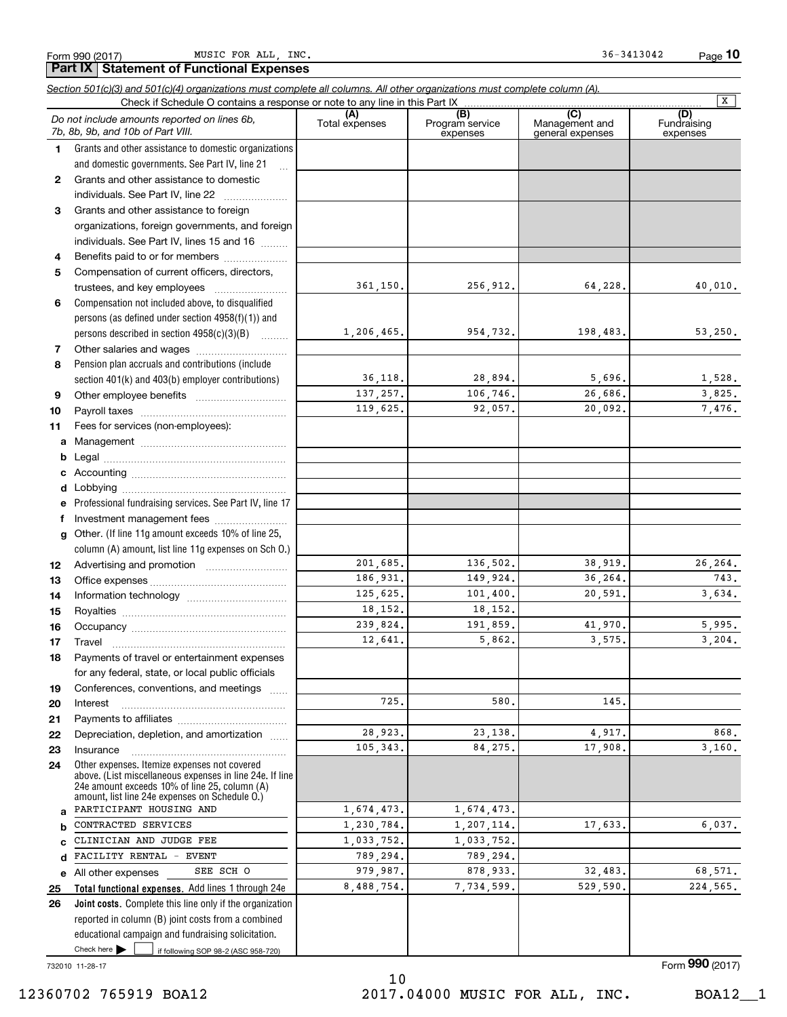1

2

3

4 5

6

7 8

9

17

a b c d e 25

Form 990 (2017) MUSIC FOR ALL,INC. 36-3413042 Page MUSIC FOR ALL INC.  $36-3413042$ 

Page 10

106,746. 26,686. 3,825. 92,057. 20,092. 7,476.

136,502. 38,919. 26,264. 149,924. 36,264. 743. 101,400. 20,591. 3,634.

191,859. 41,970. 5,995. 5,862. 3,575. 3,204.

23,138. 4,917. 868. 84,275. 17,908. 3,160.

1,207,114. 17,633. 6,037.

878,933. 32,483. 68,571. 7,734,599. 529,590. 224,565.

580. 145.

(A) (B) (C) (D) Section 501(c)(3) and 501(c)(4) organizations must complete all columns. All other organizations must complete column (A). Grants and other assistance to domestic organizations and domestic governments. See Part IV, line 21 Compensation not included above, to disqualified persons (as defined under section 4958(f)(1)) and persons described in section  $4958(c)(3)(B)$ Pension plan accruals and contributions (include section 401(k) and 403(b) employer contributions) Check if Schedule O contains a response or note to any line in this Part IX (C) (C) (C) (C) (C) (C) (A) (B)<br>Total expenses Program service expenses Management and general expenses Fundraising expenses .<br>... Grants and other assistance to domestic individuals. See Part IV, line 22 ..................... Grants and other assistance to foreign organizations, foreign governments, and foreign individuals. See Part IV, lines 15 and 16  $\ldots$ Benefits paid to or for members .................... Compensation of current officers, directors, trustees, and key employees  $\ldots$   $\ldots$   $\ldots$   $\ldots$   $\ldots$   $\ldots$ Other salaries and wages ~~~~~~~~~~ Do not include amounts reported on lines 6b, 7b, 8b, 9b, and 10b of Part VIII. **Part IX Statement of Functional Expenses**  $\boxed{\mathbf{X}}$ 361,150. 1,206,465. 36,118. 256,912. 64,228. 40,010. 954,732. 198,483. 53,250. 28,894. 5,696. 1,528.

> 137,257. 119,625.

> 201,685. 186,931. 125,625. 18,152. 239,824. 12,641.

> > 725.

28,923. 105,343.

10 11 a b c d Other employee benefits ~~~~~~~~~~ Payroll taxes ~~~~~~~~~~~~~~~~ Fees for services (non-employees): Management ~~~~~~~~~~~~~~~~ Legal ~~~~~~~~~~~~~~~~~~~~ Accounting ~~~~~~~~~~~~~~~~~ Lobbying ~~~~~~~~~~~~~~~~~~

e f g 12 13 14 15 16 Professional fundraising services. See Part IV, line 17 Other. (If line 11g amount exceeds 10% of line 25, column (A) amount, list line 11g expenses on Sch O.) Investment management fees ........................ Advertising and promotion *www.community.com* Office expenses ~~~~~~~~~~~~~~~ Information technology ~~~~~~~~~~~ Royalties ~~~~~~~~~~~~~~~~~~ Occupancy ~~~~~~~~~~~~~~~~~

18 19 20 21 22 23 24 Other expenses. Itemize expenses not covered above. (List miscellaneous expenses in line 24e. If line Travel ~~~~~~~~~~~~~~~~~~~ Payments of travel or entertainment expenses for any federal, state, or local public officials Conferences, conventions, and meetings Interest Payments to affiliates ~~~~~~~~~~~~ ~~~~~~~~~~~~~~~~~~ Depreciation, depletion, and amortization ...... Insurance ~~~~~~~~~~~~~~~~~

Total functional expenses. Add lines 1 through 24e 24e amount exceeds 10% of line 25, column (A) amount, list line 24e expenses on Schedule O.) All other expenses 1,674,473. 1,230,784. 1,033,752. 789,294. 979,987. 8,488,754. PARTICIPANT HOUSING AND CONTRACTED SERVICES CLINICIAN AND JUDGE FEE FACILITY RENTAL - EVENT SEE SCH O

If following SOP 98-2 (ASC 958-720) Joint costs. Complete this line only if the organization 26 reported in column (B) joint costs from a combined educational campaign and fundraising solicitation.  $\blacktriangleright$   $\sqcup$ 

732010 11-28-17

Form **990** (2017)

10 12360702 765919 BOA12 2017.04000 MUSIC FOR ALL, INC. BOA12\_\_1

1,674,473.

1,033,752. 789,294.

18,152.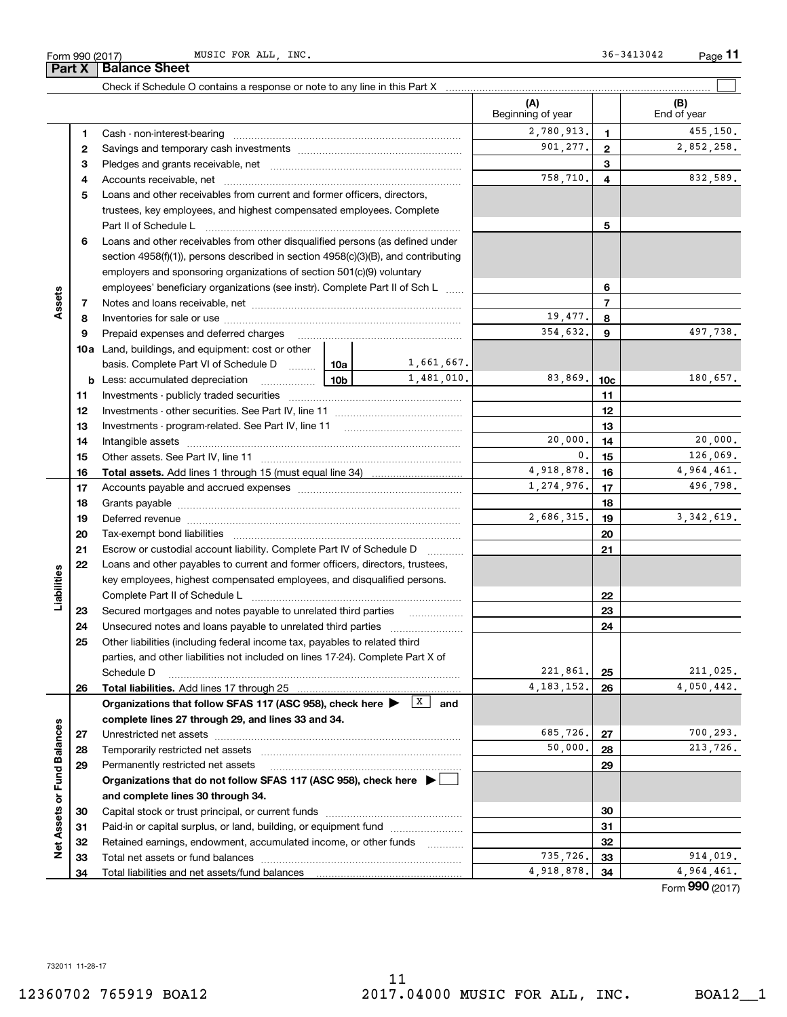11

Form 990 (2017) MUSIC FOR ALL, INC. Some of the set of the set of the set of the set of the Page Page 11

 $\boxed{\phantom{1}}$ 

|                   |    |                                                                                                                     |            |                             | (A)<br>Beginning of year |                 | (B)<br>End of year |
|-------------------|----|---------------------------------------------------------------------------------------------------------------------|------------|-----------------------------|--------------------------|-----------------|--------------------|
|                   | 1  | Cash - non-interest-bearing                                                                                         |            |                             | 2,780,913.               | 1               | 455,150.           |
|                   | 2  |                                                                                                                     |            |                             | 901,277.                 | $\mathbf{2}$    | 2,852,258.         |
|                   | з  |                                                                                                                     |            | 3                           |                          |                 |                    |
|                   | 4  |                                                                                                                     |            |                             | 758,710.                 | 4               | 832,589.           |
|                   | 5  | Loans and other receivables from current and former officers, directors,                                            |            |                             |                          |                 |                    |
|                   |    | trustees, key employees, and highest compensated employees. Complete                                                |            |                             |                          |                 |                    |
|                   |    |                                                                                                                     |            |                             |                          | 5               |                    |
|                   | 6  | Loans and other receivables from other disqualified persons (as defined under                                       |            |                             |                          |                 |                    |
|                   |    | section $4958(f)(1)$ , persons described in section $4958(c)(3)(B)$ , and contributing                              |            |                             |                          |                 |                    |
|                   |    | employers and sponsoring organizations of section 501(c)(9) voluntary                                               |            |                             |                          |                 |                    |
|                   |    | employees' beneficiary organizations (see instr). Complete Part II of Sch L                                         |            |                             |                          | 6               |                    |
| Assets            | 7  |                                                                                                                     |            |                             |                          | $\overline{7}$  |                    |
|                   | 8  |                                                                                                                     |            |                             | 19,477.                  | 8               |                    |
|                   | 9  | Prepaid expenses and deferred charges                                                                               |            |                             | 354,632.                 | 9               | 497,738.           |
|                   |    | <b>10a</b> Land, buildings, and equipment: cost or other                                                            |            |                             |                          |                 |                    |
|                   |    | basis. Complete Part VI of Schedule D    10a                                                                        |            | 1,661,667.                  |                          |                 |                    |
|                   |    | <u>  10b</u><br><b>b</b> Less: accumulated depreciation                                                             |            | 1,481,010.                  | 83.869.                  | 10 <sub>c</sub> | 180,657.           |
|                   | 11 |                                                                                                                     |            |                             |                          | 11              |                    |
|                   | 12 |                                                                                                                     |            |                             |                          | 12              |                    |
|                   | 13 |                                                                                                                     |            |                             |                          | 13              |                    |
|                   | 14 |                                                                                                                     |            |                             | 20,000.                  | 14              | 20,000.            |
|                   | 15 |                                                                                                                     |            |                             | 0.                       | 15              | 126,069.           |
|                   | 16 |                                                                                                                     |            |                             | 4,918,878.               | 16              | 4,964,461.         |
|                   | 17 |                                                                                                                     | 1,274,976. | 17                          | 496,798.                 |                 |                    |
|                   | 18 |                                                                                                                     |            |                             | 18                       |                 |                    |
|                   | 19 | Deferred revenue manual contracts and contracts are all the manual contracts and contracts are all the contracts of |            | 2,686,315.                  | 19                       | 3, 342, 619.    |                    |
|                   | 20 |                                                                                                                     |            |                             |                          | 20              |                    |
|                   | 21 | Escrow or custodial account liability. Complete Part IV of Schedule D                                               |            |                             |                          | 21              |                    |
|                   | 22 | Loans and other payables to current and former officers, directors, trustees,                                       |            |                             |                          |                 |                    |
| Liabilities       |    | key employees, highest compensated employees, and disqualified persons.                                             |            |                             |                          |                 |                    |
|                   |    |                                                                                                                     |            |                             |                          | 22              |                    |
|                   | 23 | Secured mortgages and notes payable to unrelated third parties                                                      |            |                             |                          | 23              |                    |
|                   | 24 | Unsecured notes and loans payable to unrelated third parties                                                        |            |                             |                          | 24              |                    |
|                   | 25 | Other liabilities (including federal income tax, payables to related third                                          |            |                             |                          |                 |                    |
|                   |    | parties, and other liabilities not included on lines 17-24). Complete Part X of                                     |            |                             |                          |                 |                    |
|                   |    | Schedule D                                                                                                          |            |                             | 221,861.                 | 25              | 211,025.           |
|                   | 26 | Total liabilities. Add lines 17 through 25                                                                          |            |                             | 4, 183, 152.             | 26              | 4,050,442.         |
|                   |    | Organizations that follow SFAS 117 (ASC 958), check here                                                            |            | $\boxed{\mathbf{x}}$<br>and |                          |                 |                    |
|                   |    | complete lines 27 through 29, and lines 33 and 34.                                                                  |            |                             |                          |                 |                    |
|                   | 27 |                                                                                                                     |            |                             | 685,726.                 | 27              | 700, 293.          |
|                   | 28 | Temporarily restricted net assets                                                                                   |            |                             | 50,000.                  | 28              | 213,726.           |
|                   | 29 | Permanently restricted net assets                                                                                   |            |                             |                          | 29              |                    |
|                   |    | Organizations that do not follow SFAS 117 (ASC 958), check here ▶ □                                                 |            |                             |                          |                 |                    |
| or Fund Balances  |    | and complete lines 30 through 34.                                                                                   |            |                             |                          |                 |                    |
|                   | 30 | Capital stock or trust principal, or current funds                                                                  |            |                             |                          | 30              |                    |
|                   | 31 | Paid-in or capital surplus, or land, building, or equipment fund                                                    |            |                             |                          | 31              |                    |
| <b>Net Assets</b> | 32 | Retained earnings, endowment, accumulated income, or other funds                                                    |            | 1.1.1.1.1.1.1.1.1.1         |                          | 32              |                    |
|                   | 33 | Total net assets or fund balances                                                                                   |            |                             | 735,726.                 | 33              | 914,019.           |
|                   | 34 |                                                                                                                     |            |                             | 4,918,878.               | 34              | 4,964,461.<br>nnn. |

Check if Schedule O contains a response or note to any line in this Part X

Form 990 (2017)  $\frac{M}{P}$  Part X | Balance Sheet

Form **990** (2017)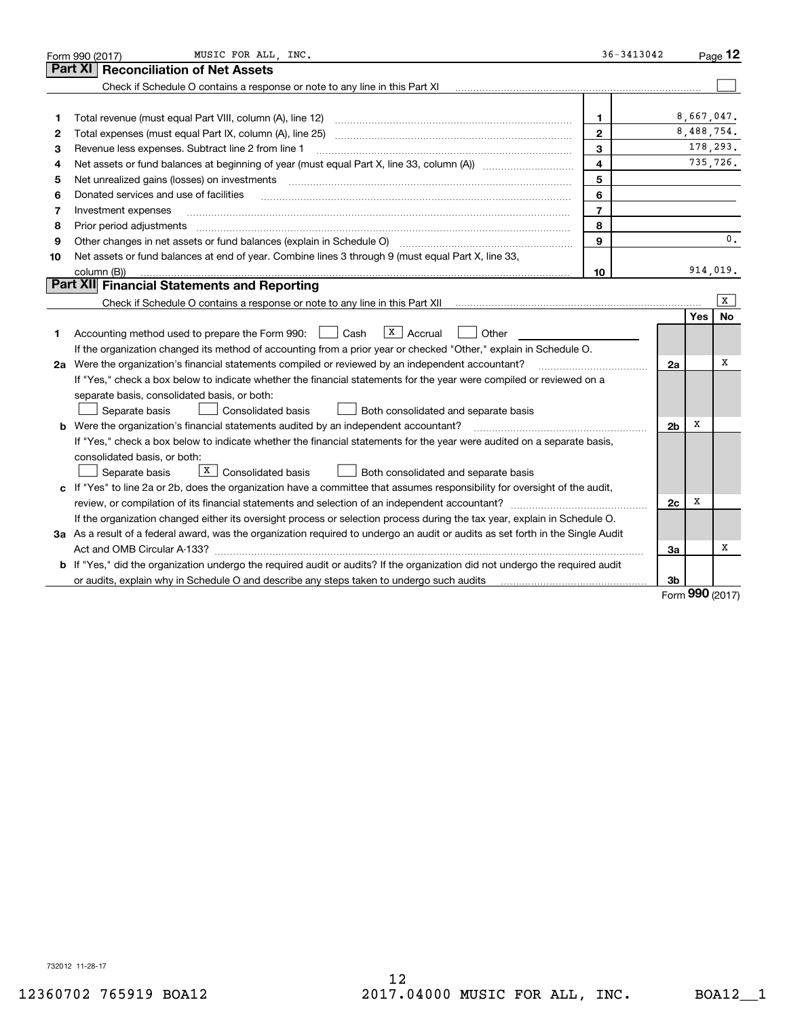|                | MUSIC FOR ALL, INC.<br>Form 990 (2017)                                                                                                                                                                                         | 36-3413042     |                |     | Page $12$      |
|----------------|--------------------------------------------------------------------------------------------------------------------------------------------------------------------------------------------------------------------------------|----------------|----------------|-----|----------------|
| <b>Part XI</b> | <b>Reconciliation of Net Assets</b>                                                                                                                                                                                            |                |                |     |                |
|                | Check if Schedule O contains a response or note to any line in this Part XI                                                                                                                                                    |                |                |     |                |
|                |                                                                                                                                                                                                                                |                |                |     |                |
| 1              | Total revenue (must equal Part VIII, column (A), line 12)                                                                                                                                                                      | 1              |                |     | 8,667,047.     |
| 2              |                                                                                                                                                                                                                                | $\mathbf{2}$   |                |     | 8,488,754.     |
| 3              | Revenue less expenses. Subtract line 2 from line 1                                                                                                                                                                             | 3              |                |     | 178,293.       |
| 4              |                                                                                                                                                                                                                                | 4              |                |     | 735,726.       |
| 5              | Net unrealized gains (losses) on investments [11] matter continuum matter of the state of the state of the state of the state of the state of the state of the state of the state of the state of the state of the state of th | 5              |                |     |                |
| 6              | Donated services and use of facilities                                                                                                                                                                                         | 6              |                |     |                |
| 7              | Investment expenses                                                                                                                                                                                                            | $\overline{7}$ |                |     |                |
| 8              | Prior period adjustments                                                                                                                                                                                                       | 8              |                |     |                |
| 9              | Other changes in net assets or fund balances (explain in Schedule O) [[11] [2000] [12] [2000] [2000] [2000] [2000] [2000] [2000] [2000] [2000] [2000] [2000] [2000] [2000] [2000] [2000] [2000] [2000] [2000] [2000] [2000] [2 | 9              |                |     | $\mathbf{0}$ . |
| 10             | Net assets or fund balances at end of year. Combine lines 3 through 9 (must equal Part X, line 33,                                                                                                                             |                |                |     |                |
|                | column (B))                                                                                                                                                                                                                    | 10             |                |     | 914,019.       |
|                | Part XII Financial Statements and Reporting                                                                                                                                                                                    |                |                |     |                |
|                |                                                                                                                                                                                                                                |                |                |     | x              |
|                |                                                                                                                                                                                                                                |                |                | Yes | No             |
| 1              | $X \mid \text{Accrual}$<br>Accounting method used to prepare the Form 990: <u>[</u> Cash<br>Other                                                                                                                              |                |                |     |                |
|                | If the organization changed its method of accounting from a prior year or checked "Other," explain in Schedule O.                                                                                                              |                |                |     |                |
|                | 2a Were the organization's financial statements compiled or reviewed by an independent accountant?                                                                                                                             |                | 2a             |     | х              |
|                | If "Yes," check a box below to indicate whether the financial statements for the year were compiled or reviewed on a                                                                                                           |                |                |     |                |
|                | separate basis, consolidated basis, or both:                                                                                                                                                                                   |                |                |     |                |
|                | Separate basis<br>Consolidated basis<br>Both consolidated and separate basis                                                                                                                                                   |                |                |     |                |
|                | <b>b</b> Were the organization's financial statements audited by an independent accountant?                                                                                                                                    |                | 2 <sub>b</sub> | х   |                |
|                | If "Yes," check a box below to indicate whether the financial statements for the year were audited on a separate basis,                                                                                                        |                |                |     |                |
|                | consolidated basis, or both:                                                                                                                                                                                                   |                |                |     |                |
|                | $\boxed{\texttt{X}}$ Consolidated basis<br>Separate basis<br>Both consolidated and separate basis                                                                                                                              |                |                |     |                |
|                | c If "Yes" to line 2a or 2b, does the organization have a committee that assumes responsibility for oversight of the audit,                                                                                                    |                |                |     |                |
|                |                                                                                                                                                                                                                                |                | 2c             | х   |                |
|                | If the organization changed either its oversight process or selection process during the tax year, explain in Schedule O.                                                                                                      |                |                |     |                |
|                | 3a As a result of a federal award, was the organization required to undergo an audit or audits as set forth in the Single Audit                                                                                                |                |                |     |                |
|                |                                                                                                                                                                                                                                |                | 3a             |     | х              |
|                | <b>b</b> If "Yes," did the organization undergo the required audit or audits? If the organization did not undergo the required audit                                                                                           |                |                |     |                |
|                |                                                                                                                                                                                                                                |                | 3b             |     | $990$ (2017)   |

Form **990** (2017)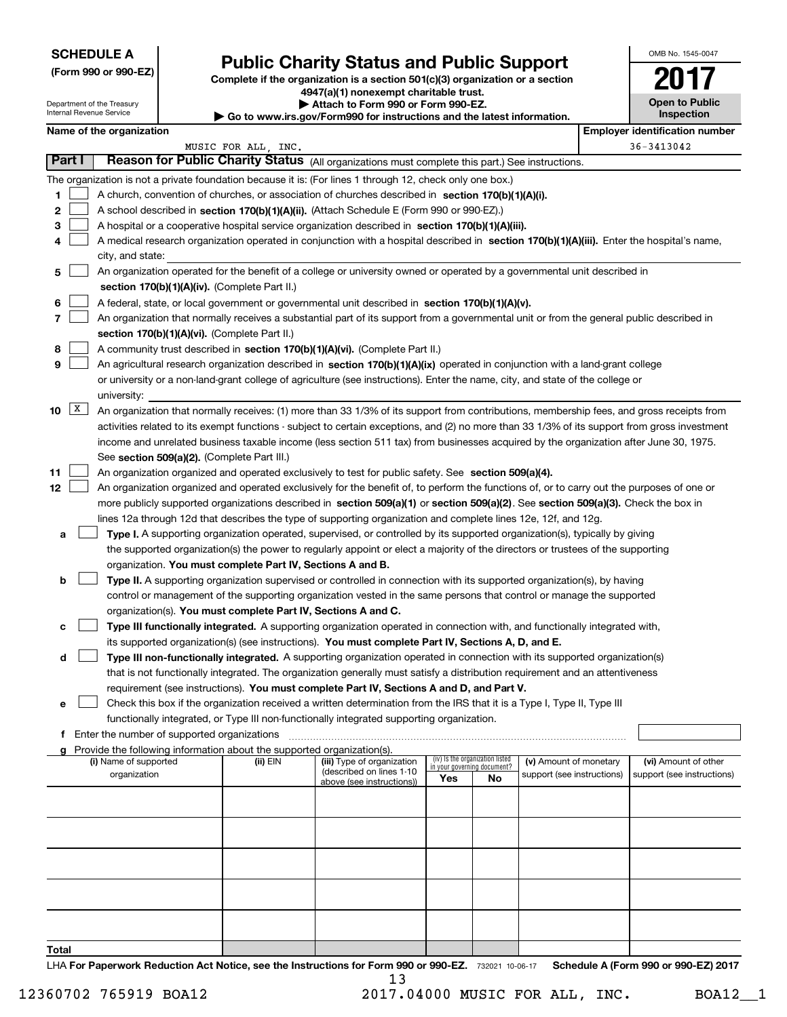|  |  |  | (Form 990 or 990-EZ) |
|--|--|--|----------------------|
|--|--|--|----------------------|

# Public Charity Status and Public Support

Complete if the organization is a section 501(c)(3) organization or a section 4947(a)(1) nonexempt charitable trust. | Attach to Form 990 or Form 990-EZ.

| $\cdot$ Go to www.irs.gov/Form990 for instructions and the latest information. |  |  |
|--------------------------------------------------------------------------------|--|--|
|--------------------------------------------------------------------------------|--|--|

| OMB No 1545-0047                    |
|-------------------------------------|
| O                                   |
| <b>Open to Public</b><br>Inspection |

|                   |               | Department of the Treasury<br>Internal Revenue Service |                                                                                    | Attach to Form 990 or Form 990-EZ.<br>Go to www.irs.gov/Form990 for instructions and the latest information.                                                                                                                                                                                                                                                                                                                                                                                                                                                       |                                    |                                 |                            | <b>Open to Public</b><br><b>Inspection</b> |
|-------------------|---------------|--------------------------------------------------------|------------------------------------------------------------------------------------|--------------------------------------------------------------------------------------------------------------------------------------------------------------------------------------------------------------------------------------------------------------------------------------------------------------------------------------------------------------------------------------------------------------------------------------------------------------------------------------------------------------------------------------------------------------------|------------------------------------|---------------------------------|----------------------------|--------------------------------------------|
|                   |               | Name of the organization                               |                                                                                    |                                                                                                                                                                                                                                                                                                                                                                                                                                                                                                                                                                    |                                    |                                 |                            | <b>Employer identification number</b>      |
|                   |               |                                                        | MUSIC FOR ALL, INC.                                                                |                                                                                                                                                                                                                                                                                                                                                                                                                                                                                                                                                                    |                                    |                                 |                            | 36-3413042                                 |
|                   | <b>Part I</b> |                                                        |                                                                                    | Reason for Public Charity Status (All organizations must complete this part.) See instructions.                                                                                                                                                                                                                                                                                                                                                                                                                                                                    |                                    |                                 |                            |                                            |
| 1.<br>2<br>3<br>4 |               | city, and state:                                       |                                                                                    | The organization is not a private foundation because it is: (For lines 1 through 12, check only one box.)<br>A church, convention of churches, or association of churches described in section 170(b)(1)(A)(i).<br>A school described in section 170(b)(1)(A)(ii). (Attach Schedule E (Form 990 or 990-EZ).)<br>A hospital or a cooperative hospital service organization described in section $170(b)(1)(A)(iii)$ .<br>A medical research organization operated in conjunction with a hospital described in section 170(b)(1)(A)(iii). Enter the hospital's name, |                                    |                                 |                            |                                            |
| 5                 |               |                                                        |                                                                                    | An organization operated for the benefit of a college or university owned or operated by a governmental unit described in                                                                                                                                                                                                                                                                                                                                                                                                                                          |                                    |                                 |                            |                                            |
|                   |               |                                                        | section 170(b)(1)(A)(iv). (Complete Part II.)                                      |                                                                                                                                                                                                                                                                                                                                                                                                                                                                                                                                                                    |                                    |                                 |                            |                                            |
| 6                 |               |                                                        |                                                                                    | A federal, state, or local government or governmental unit described in section 170(b)(1)(A)(v).                                                                                                                                                                                                                                                                                                                                                                                                                                                                   |                                    |                                 |                            |                                            |
| 7                 |               |                                                        |                                                                                    | An organization that normally receives a substantial part of its support from a governmental unit or from the general public described in                                                                                                                                                                                                                                                                                                                                                                                                                          |                                    |                                 |                            |                                            |
|                   |               |                                                        | section 170(b)(1)(A)(vi). (Complete Part II.)                                      |                                                                                                                                                                                                                                                                                                                                                                                                                                                                                                                                                                    |                                    |                                 |                            |                                            |
| 8                 |               |                                                        |                                                                                    | A community trust described in section 170(b)(1)(A)(vi). (Complete Part II.)                                                                                                                                                                                                                                                                                                                                                                                                                                                                                       |                                    |                                 |                            |                                            |
| 9                 |               |                                                        |                                                                                    | An agricultural research organization described in section 170(b)(1)(A)(ix) operated in conjunction with a land-grant college                                                                                                                                                                                                                                                                                                                                                                                                                                      |                                    |                                 |                            |                                            |
|                   |               |                                                        |                                                                                    | or university or a non-land-grant college of agriculture (see instructions). Enter the name, city, and state of the college or                                                                                                                                                                                                                                                                                                                                                                                                                                     |                                    |                                 |                            |                                            |
|                   |               | university:                                            |                                                                                    |                                                                                                                                                                                                                                                                                                                                                                                                                                                                                                                                                                    |                                    |                                 |                            |                                            |
| 10                | X             |                                                        | See section 509(a)(2). (Complete Part III.)                                        | An organization that normally receives: (1) more than 33 1/3% of its support from contributions, membership fees, and gross receipts from<br>activities related to its exempt functions - subject to certain exceptions, and (2) no more than 33 1/3% of its support from gross investment<br>income and unrelated business taxable income (less section 511 tax) from businesses acquired by the organization after June 30, 1975.                                                                                                                                |                                    |                                 |                            |                                            |
| 11                |               |                                                        |                                                                                    | An organization organized and operated exclusively to test for public safety. See section 509(a)(4).                                                                                                                                                                                                                                                                                                                                                                                                                                                               |                                    |                                 |                            |                                            |
| 12                |               |                                                        |                                                                                    | An organization organized and operated exclusively for the benefit of, to perform the functions of, or to carry out the purposes of one or                                                                                                                                                                                                                                                                                                                                                                                                                         |                                    |                                 |                            |                                            |
|                   |               |                                                        |                                                                                    | more publicly supported organizations described in section 509(a)(1) or section 509(a)(2). See section 509(a)(3). Check the box in                                                                                                                                                                                                                                                                                                                                                                                                                                 |                                    |                                 |                            |                                            |
|                   |               |                                                        |                                                                                    | lines 12a through 12d that describes the type of supporting organization and complete lines 12e, 12f, and 12g.                                                                                                                                                                                                                                                                                                                                                                                                                                                     |                                    |                                 |                            |                                            |
| a                 |               |                                                        |                                                                                    | Type I. A supporting organization operated, supervised, or controlled by its supported organization(s), typically by giving                                                                                                                                                                                                                                                                                                                                                                                                                                        |                                    |                                 |                            |                                            |
|                   |               |                                                        |                                                                                    | the supported organization(s) the power to regularly appoint or elect a majority of the directors or trustees of the supporting                                                                                                                                                                                                                                                                                                                                                                                                                                    |                                    |                                 |                            |                                            |
|                   |               |                                                        | organization. You must complete Part IV, Sections A and B.                         |                                                                                                                                                                                                                                                                                                                                                                                                                                                                                                                                                                    |                                    |                                 |                            |                                            |
| b                 |               |                                                        |                                                                                    | Type II. A supporting organization supervised or controlled in connection with its supported organization(s), by having                                                                                                                                                                                                                                                                                                                                                                                                                                            |                                    |                                 |                            |                                            |
|                   |               |                                                        |                                                                                    | control or management of the supporting organization vested in the same persons that control or manage the supported                                                                                                                                                                                                                                                                                                                                                                                                                                               |                                    |                                 |                            |                                            |
|                   |               |                                                        | organization(s). You must complete Part IV, Sections A and C.                      |                                                                                                                                                                                                                                                                                                                                                                                                                                                                                                                                                                    |                                    |                                 |                            |                                            |
| с                 |               |                                                        |                                                                                    | Type III functionally integrated. A supporting organization operated in connection with, and functionally integrated with,                                                                                                                                                                                                                                                                                                                                                                                                                                         |                                    |                                 |                            |                                            |
|                   |               |                                                        |                                                                                    | its supported organization(s) (see instructions). You must complete Part IV, Sections A, D, and E.                                                                                                                                                                                                                                                                                                                                                                                                                                                                 |                                    |                                 |                            |                                            |
| d                 |               |                                                        |                                                                                    | Type III non-functionally integrated. A supporting organization operated in connection with its supported organization(s)                                                                                                                                                                                                                                                                                                                                                                                                                                          |                                    |                                 |                            |                                            |
|                   |               |                                                        |                                                                                    | that is not functionally integrated. The organization generally must satisfy a distribution requirement and an attentiveness                                                                                                                                                                                                                                                                                                                                                                                                                                       |                                    |                                 |                            |                                            |
|                   |               |                                                        |                                                                                    | requirement (see instructions). You must complete Part IV, Sections A and D, and Part V.                                                                                                                                                                                                                                                                                                                                                                                                                                                                           |                                    |                                 |                            |                                            |
| е                 |               |                                                        |                                                                                    | Check this box if the organization received a written determination from the IRS that it is a Type I, Type II, Type III                                                                                                                                                                                                                                                                                                                                                                                                                                            |                                    |                                 |                            |                                            |
|                   |               |                                                        |                                                                                    | functionally integrated, or Type III non-functionally integrated supporting organization.                                                                                                                                                                                                                                                                                                                                                                                                                                                                          |                                    |                                 |                            |                                            |
|                   |               | Enter the number of supported organizations            |                                                                                    |                                                                                                                                                                                                                                                                                                                                                                                                                                                                                                                                                                    |                                    |                                 |                            |                                            |
|                   |               | (i) Name of supported                                  | Provide the following information about the supported organization(s).<br>(ii) EIN | (iii) Type of organization                                                                                                                                                                                                                                                                                                                                                                                                                                                                                                                                         |                                    | (iv) Is the organization listed | (v) Amount of monetary     | (vi) Amount of other                       |
|                   |               | organization                                           |                                                                                    | (described on lines 1-10<br>above (see instructions))                                                                                                                                                                                                                                                                                                                                                                                                                                                                                                              | in your governing document?<br>Yes | No                              | support (see instructions) | support (see instructions)                 |
|                   |               |                                                        |                                                                                    |                                                                                                                                                                                                                                                                                                                                                                                                                                                                                                                                                                    |                                    |                                 |                            |                                            |
|                   |               |                                                        |                                                                                    |                                                                                                                                                                                                                                                                                                                                                                                                                                                                                                                                                                    |                                    |                                 |                            |                                            |
|                   |               |                                                        |                                                                                    |                                                                                                                                                                                                                                                                                                                                                                                                                                                                                                                                                                    |                                    |                                 |                            |                                            |
|                   |               |                                                        |                                                                                    |                                                                                                                                                                                                                                                                                                                                                                                                                                                                                                                                                                    |                                    |                                 |                            |                                            |
|                   |               |                                                        |                                                                                    |                                                                                                                                                                                                                                                                                                                                                                                                                                                                                                                                                                    |                                    |                                 |                            |                                            |
|                   |               |                                                        |                                                                                    |                                                                                                                                                                                                                                                                                                                                                                                                                                                                                                                                                                    |                                    |                                 |                            |                                            |
|                   |               |                                                        |                                                                                    |                                                                                                                                                                                                                                                                                                                                                                                                                                                                                                                                                                    |                                    |                                 |                            |                                            |
|                   |               |                                                        |                                                                                    |                                                                                                                                                                                                                                                                                                                                                                                                                                                                                                                                                                    |                                    |                                 |                            |                                            |
| Total             |               |                                                        |                                                                                    |                                                                                                                                                                                                                                                                                                                                                                                                                                                                                                                                                                    |                                    |                                 |                            |                                            |
|                   |               |                                                        |                                                                                    |                                                                                                                                                                                                                                                                                                                                                                                                                                                                                                                                                                    |                                    |                                 |                            |                                            |

LHA For Paperwork Reduction Act Notice, see the Instructions for Form 990 or 990-EZ. 732021 10-06-17 Schedule A (Form 990 or 990-EZ) 2017 13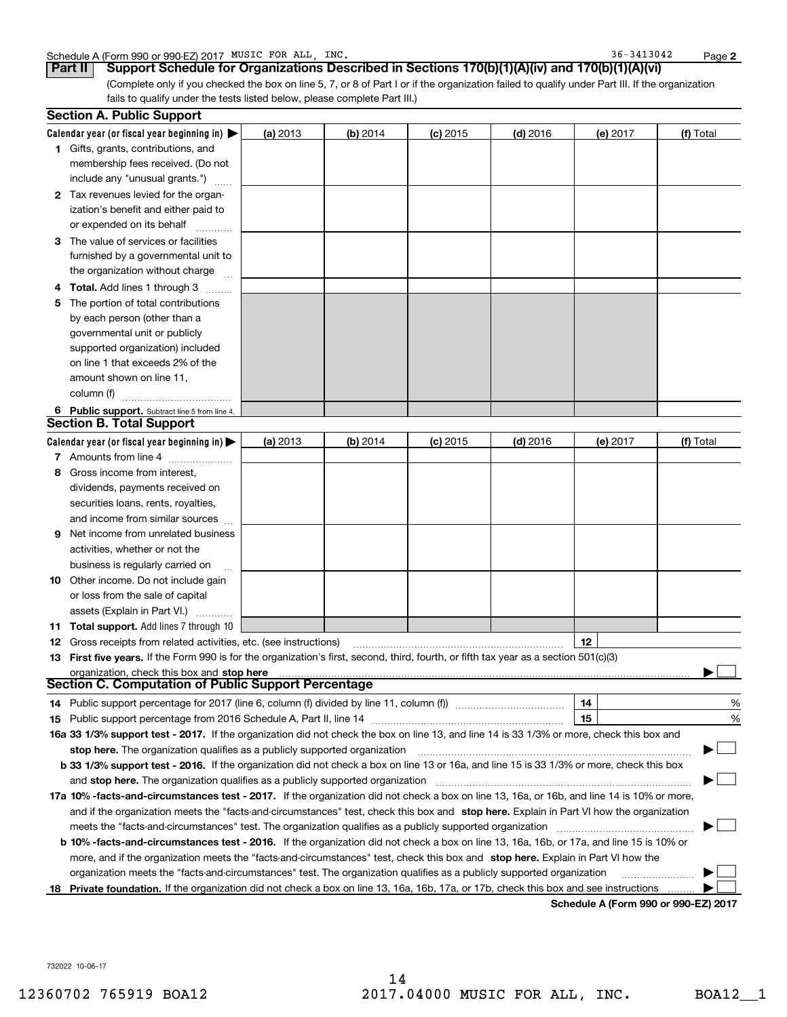|  | Schedule A (Form 990 or 990-EZ) 2017 | FOR ALL<br>MUSIC | INC. | 3413042<br>36. | Page |  |
|--|--------------------------------------|------------------|------|----------------|------|--|
|--|--------------------------------------|------------------|------|----------------|------|--|

36-3413042

(Complete only if you checked the box on line 5, 7, or 8 of Part I or if the organization failed to qualify under Part III. If the organization fails to qualify under the tests listed below, please complete Part III.) Part II | Support Schedule for Organizations Described in Sections 170(b)(1)(A)(iv) and 170(b)(1)(A)(vi)

|   | <b>Section A. Public Support</b>                                                                                                                                                                                                                                                             |          |          |            |            |          |               |
|---|----------------------------------------------------------------------------------------------------------------------------------------------------------------------------------------------------------------------------------------------------------------------------------------------|----------|----------|------------|------------|----------|---------------|
|   | Calendar year (or fiscal year beginning in) $\blacktriangleright$                                                                                                                                                                                                                            | (a) 2013 | (b) 2014 | $(c)$ 2015 | $(d)$ 2016 | (e) 2017 | (f) Total     |
|   | 1 Gifts, grants, contributions, and                                                                                                                                                                                                                                                          |          |          |            |            |          |               |
|   | membership fees received. (Do not                                                                                                                                                                                                                                                            |          |          |            |            |          |               |
|   | include any "unusual grants.")                                                                                                                                                                                                                                                               |          |          |            |            |          |               |
|   | 2 Tax revenues levied for the organ-                                                                                                                                                                                                                                                         |          |          |            |            |          |               |
|   | ization's benefit and either paid to                                                                                                                                                                                                                                                         |          |          |            |            |          |               |
|   | or expended on its behalf                                                                                                                                                                                                                                                                    |          |          |            |            |          |               |
|   | 3 The value of services or facilities                                                                                                                                                                                                                                                        |          |          |            |            |          |               |
|   | furnished by a governmental unit to                                                                                                                                                                                                                                                          |          |          |            |            |          |               |
|   | the organization without charge                                                                                                                                                                                                                                                              |          |          |            |            |          |               |
|   | <b>Total.</b> Add lines 1 through 3                                                                                                                                                                                                                                                          |          |          |            |            |          |               |
|   | The portion of total contributions                                                                                                                                                                                                                                                           |          |          |            |            |          |               |
|   | by each person (other than a                                                                                                                                                                                                                                                                 |          |          |            |            |          |               |
|   | governmental unit or publicly                                                                                                                                                                                                                                                                |          |          |            |            |          |               |
|   | supported organization) included                                                                                                                                                                                                                                                             |          |          |            |            |          |               |
|   | on line 1 that exceeds 2% of the                                                                                                                                                                                                                                                             |          |          |            |            |          |               |
|   | amount shown on line 11,                                                                                                                                                                                                                                                                     |          |          |            |            |          |               |
|   | column (f)                                                                                                                                                                                                                                                                                   |          |          |            |            |          |               |
|   | 6 Public support. Subtract line 5 from line 4.                                                                                                                                                                                                                                               |          |          |            |            |          |               |
|   | <b>Section B. Total Support</b>                                                                                                                                                                                                                                                              |          |          |            |            |          |               |
|   | Calendar year (or fiscal year beginning in)                                                                                                                                                                                                                                                  | (a) 2013 | (b) 2014 | $(c)$ 2015 | $(d)$ 2016 | (e) 2017 | (f) Total     |
|   | 7 Amounts from line 4                                                                                                                                                                                                                                                                        |          |          |            |            |          |               |
| 8 | Gross income from interest,                                                                                                                                                                                                                                                                  |          |          |            |            |          |               |
|   | dividends, payments received on                                                                                                                                                                                                                                                              |          |          |            |            |          |               |
|   | securities loans, rents, royalties,                                                                                                                                                                                                                                                          |          |          |            |            |          |               |
|   | and income from similar sources                                                                                                                                                                                                                                                              |          |          |            |            |          |               |
| 9 | Net income from unrelated business                                                                                                                                                                                                                                                           |          |          |            |            |          |               |
|   |                                                                                                                                                                                                                                                                                              |          |          |            |            |          |               |
|   | activities, whether or not the                                                                                                                                                                                                                                                               |          |          |            |            |          |               |
|   | business is regularly carried on                                                                                                                                                                                                                                                             |          |          |            |            |          |               |
|   | <b>10</b> Other income. Do not include gain                                                                                                                                                                                                                                                  |          |          |            |            |          |               |
|   | or loss from the sale of capital                                                                                                                                                                                                                                                             |          |          |            |            |          |               |
|   | assets (Explain in Part VI.)                                                                                                                                                                                                                                                                 |          |          |            |            |          |               |
|   | 11 Total support. Add lines 7 through 10                                                                                                                                                                                                                                                     |          |          |            |            |          |               |
|   | <b>12</b> Gross receipts from related activities, etc. (see instructions)                                                                                                                                                                                                                    |          |          |            |            | 12       |               |
|   | 13 First five years. If the Form 990 is for the organization's first, second, third, fourth, or fifth tax year as a section 501(c)(3)                                                                                                                                                        |          |          |            |            |          |               |
|   | organization, check this box and stop here manufactured and according to the state of the state of the state of the state of the state of the state of the state of the state of the state of the state of the state of the st<br><b>Section C. Computation of Public Support Percentage</b> |          |          |            |            |          |               |
|   | 14 Public support percentage for 2017 (line 6, column (f) divided by line 11, column (f) <i>mummention</i>                                                                                                                                                                                   |          |          |            |            | 14       | $\frac{0}{6}$ |
|   |                                                                                                                                                                                                                                                                                              |          |          |            |            | 15       | %             |
|   | 16a 33 1/3% support test - 2017. If the organization did not check the box on line 13, and line 14 is 33 1/3% or more, check this box and                                                                                                                                                    |          |          |            |            |          |               |
|   |                                                                                                                                                                                                                                                                                              |          |          |            |            |          |               |
|   | stop here. The organization qualifies as a publicly supported organization<br>b 33 1/3% support test - 2016. If the organization did not check a box on line 13 or 16a, and line 15 is 33 1/3% or more, check this box                                                                       |          |          |            |            |          |               |
|   | and stop here. The organization qualifies as a publicly supported organization                                                                                                                                                                                                               |          |          |            |            |          |               |
|   |                                                                                                                                                                                                                                                                                              |          |          |            |            |          |               |
|   | 17a 10% -facts-and-circumstances test - 2017. If the organization did not check a box on line 13, 16a, or 16b, and line 14 is 10% or more,                                                                                                                                                   |          |          |            |            |          |               |
|   | and if the organization meets the "facts-and-circumstances" test, check this box and stop here. Explain in Part VI how the organization                                                                                                                                                      |          |          |            |            |          |               |
|   | meets the "facts-and-circumstances" test. The organization qualifies as a publicly supported organization                                                                                                                                                                                    |          |          |            |            |          |               |
|   | <b>b 10% -facts-and-circumstances test - 2016.</b> If the organization did not check a box on line 13, 16a, 16b, or 17a, and line 15 is 10% or                                                                                                                                               |          |          |            |            |          |               |
|   | more, and if the organization meets the "facts-and-circumstances" test, check this box and stop here. Explain in Part VI how the                                                                                                                                                             |          |          |            |            |          |               |
|   | organization meets the "facts-and-circumstances" test. The organization qualifies as a publicly supported organization                                                                                                                                                                       |          |          |            |            |          |               |
|   | 18 Private foundation. If the organization did not check a box on line 13, 16a, 16b, 17a, or 17b, check this box and see instructions                                                                                                                                                        |          |          |            |            |          |               |

Schedule A (Form 990 or 990-EZ) 2017

732022 10-06-17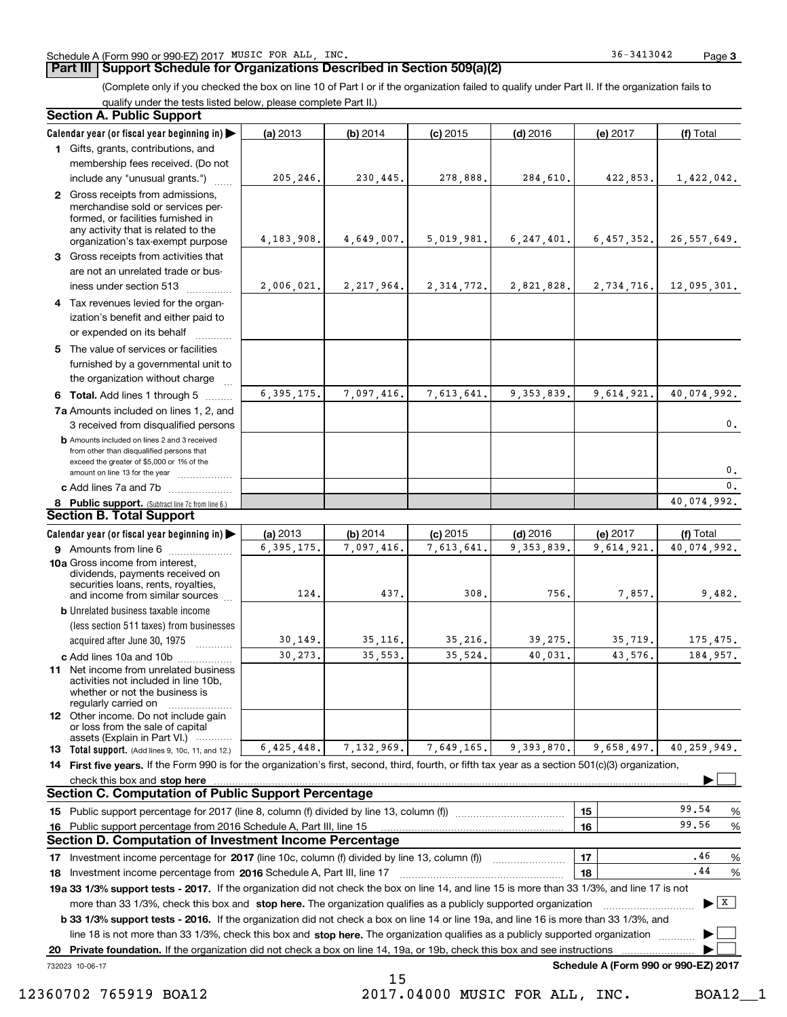## **Part III | Support Schedule for Organizations Described in Section 509(a)(2)**

Page 3

(Complete only if you checked the box on line 10 of Part I or if the organization failed to qualify under Part II. If the organization fails to qualify under the tests listed below, please complete Part II.)

| <b>Section A. Public Support</b>                                                                                                                                                                                                    |                          |                        |                          |                            |                                      |                                |
|-------------------------------------------------------------------------------------------------------------------------------------------------------------------------------------------------------------------------------------|--------------------------|------------------------|--------------------------|----------------------------|--------------------------------------|--------------------------------|
| Calendar year (or fiscal year beginning in)                                                                                                                                                                                         | (a) 2013                 | (b) 2014               | $(c)$ 2015               | $(d)$ 2016                 | (e) 2017                             | (f) Total                      |
| 1 Gifts, grants, contributions, and                                                                                                                                                                                                 |                          |                        |                          |                            |                                      |                                |
| membership fees received. (Do not                                                                                                                                                                                                   |                          |                        |                          |                            |                                      |                                |
| include any "unusual grants.")                                                                                                                                                                                                      | 205,246.                 | 230,445.               | 278,888.                 | 284,610.                   | 422,853.                             | 1,422,042.                     |
| 2 Gross receipts from admissions,<br>merchandise sold or services per-<br>formed, or facilities furnished in<br>any activity that is related to the<br>organization's tax-exempt purpose                                            | 4, 183, 908.             | 4,649,007.             | 5,019,981.               | 6, 247, 401.               | 6,457,352.                           | 26, 557, 649.                  |
| 3 Gross receipts from activities that                                                                                                                                                                                               |                          |                        |                          |                            |                                      |                                |
| are not an unrelated trade or bus-                                                                                                                                                                                                  |                          |                        |                          |                            |                                      |                                |
| iness under section 513                                                                                                                                                                                                             | 2,006,021.               | 2, 217, 964.           | 2, 314, 772.             | 2,821,828.                 | 2,734,716.                           | 12,095,301.                    |
| 4 Tax revenues levied for the organ-                                                                                                                                                                                                |                          |                        |                          |                            |                                      |                                |
| ization's benefit and either paid to<br>or expended on its behalf                                                                                                                                                                   |                          |                        |                          |                            |                                      |                                |
| 5 The value of services or facilities                                                                                                                                                                                               |                          |                        |                          |                            |                                      |                                |
| furnished by a governmental unit to                                                                                                                                                                                                 |                          |                        |                          |                            |                                      |                                |
| the organization without charge                                                                                                                                                                                                     |                          |                        |                          |                            |                                      |                                |
| 6 Total. Add lines 1 through 5                                                                                                                                                                                                      | 6, 395, 175.             | 7,097,416.             | 7,613,641.               | 9, 353, 839.               | 9,614,921.                           | 40,074,992.                    |
| 7a Amounts included on lines 1, 2, and<br>3 received from disqualified persons                                                                                                                                                      |                          |                        |                          |                            |                                      | 0.                             |
| <b>b</b> Amounts included on lines 2 and 3 received<br>from other than disqualified persons that<br>exceed the greater of \$5,000 or 1% of the                                                                                      |                          |                        |                          |                            |                                      |                                |
| amount on line 13 for the year                                                                                                                                                                                                      |                          |                        |                          |                            |                                      | 0.<br>$\mathbf{0}$ .           |
| c Add lines 7a and 7b                                                                                                                                                                                                               |                          |                        |                          |                            |                                      | 40,074,992.                    |
| 8 Public support. (Subtract line 7c from line 6.)<br><b>Section B. Total Support</b>                                                                                                                                                |                          |                        |                          |                            |                                      |                                |
|                                                                                                                                                                                                                                     |                          |                        |                          |                            |                                      |                                |
| Calendar year (or fiscal year beginning in)<br>9 Amounts from line 6                                                                                                                                                                | (a) 2013<br>6, 395, 175. | (b) 2014<br>7,097,416. | $(c)$ 2015<br>7,613,641. | $(d)$ 2016<br>9, 353, 839. | (e) 2017<br>9,614,921.               | (f) Total<br>40,074,992.       |
| 10a Gross income from interest,<br>dividends, payments received on<br>securities loans, rents, royalties,                                                                                                                           |                          |                        |                          |                            |                                      |                                |
| and income from similar sources                                                                                                                                                                                                     | 124,                     | 437.                   | 308.                     | 756.                       | 7,857.                               | 9,482.                         |
| <b>b</b> Unrelated business taxable income                                                                                                                                                                                          |                          |                        |                          |                            |                                      |                                |
| (less section 511 taxes) from businesses                                                                                                                                                                                            |                          |                        | 35,216.                  | 39,275.                    | 35,719.                              | 175,475.                       |
| acquired after June 30, 1975<br>.                                                                                                                                                                                                   | 30, 149.<br>30,273.      | 35,116.<br>35,553.     | 35,524.                  | 40,031.                    | 43,576.                              | 184,957.                       |
| c Add lines 10a and 10b<br>11 Net income from unrelated business<br>activities not included in line 10b,<br>whether or not the business is<br>regularly carried on                                                                  |                          |                        |                          |                            |                                      |                                |
| <b>12</b> Other income. Do not include gain<br>or loss from the sale of capital<br>assets (Explain in Part VI.)                                                                                                                     |                          |                        |                          |                            |                                      |                                |
| <b>13</b> Total support. (Add lines 9, 10c, 11, and 12.)                                                                                                                                                                            | 6,425,448.               | 7,132,969.             | 7,649,165.               | 9,393,870.                 | 9,658,497.                           | 40,259,949.                    |
| 14 First five years. If the Form 990 is for the organization's first, second, third, fourth, or fifth tax year as a section 501(c)(3) organization,                                                                                 |                          |                        |                          |                            |                                      |                                |
| check this box and <b>stop here</b> measurement contracts and a structure of the state of the state of the state of the state of the state of the state of the state of the state of the state of the state of the state of the sta |                          |                        |                          |                            |                                      |                                |
| <b>Section C. Computation of Public Support Percentage</b>                                                                                                                                                                          |                          |                        |                          |                            |                                      |                                |
|                                                                                                                                                                                                                                     |                          |                        |                          |                            | 15                                   | 99.54<br>%                     |
| 16 Public support percentage from 2016 Schedule A, Part III, line 15                                                                                                                                                                |                          |                        |                          |                            | 16                                   | 99.56<br>%                     |
| Section D. Computation of Investment Income Percentage                                                                                                                                                                              |                          |                        |                          |                            |                                      |                                |
|                                                                                                                                                                                                                                     |                          |                        |                          |                            | 17                                   | .46<br>%                       |
| 18 Investment income percentage from 2016 Schedule A, Part III, line 17                                                                                                                                                             |                          |                        |                          |                            | 18                                   | .44<br>%                       |
| 19a 33 1/3% support tests - 2017. If the organization did not check the box on line 14, and line 15 is more than 33 1/3%, and line 17 is not                                                                                        |                          |                        |                          |                            |                                      |                                |
| more than 33 1/3%, check this box and stop here. The organization qualifies as a publicly supported organization                                                                                                                    |                          |                        |                          |                            |                                      | $\blacktriangleright$ $\mid$ X |
| b 33 1/3% support tests - 2016. If the organization did not check a box on line 14 or line 19a, and line 16 is more than 33 1/3%, and                                                                                               |                          |                        |                          |                            |                                      |                                |
| line 18 is not more than 33 1/3%, check this box and stop here. The organization qualifies as a publicly supported organization                                                                                                     |                          |                        |                          |                            |                                      |                                |
| Private foundation. If the organization did not check a box on line 14, 19a, or 19b, check this box and see instructions<br>20                                                                                                      |                          |                        |                          |                            |                                      |                                |
| 732023 10-06-17                                                                                                                                                                                                                     |                          |                        |                          |                            | Schedule A (Form 990 or 990-EZ) 2017 |                                |
|                                                                                                                                                                                                                                     |                          | 15                     |                          |                            |                                      |                                |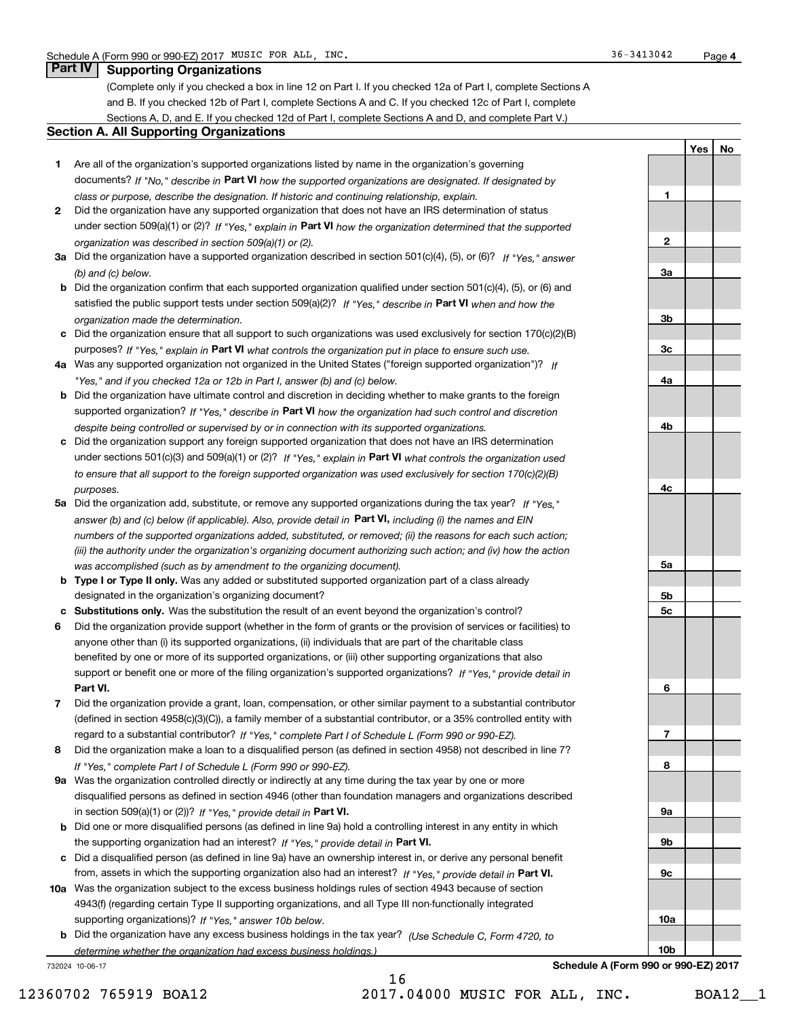## **Part IV** Supporting Organizations

(Complete only if you checked a box in line 12 on Part I. If you checked 12a of Part I, complete Sections A and B. If you checked 12b of Part I, complete Sections A and C. If you checked 12c of Part I, complete Sections A, D, and E. If you checked 12d of Part I, complete Sections A and D, and complete Part V.)

## Section A. All Supporting Organizations

- 1 Are all of the organization's supported organizations listed by name in the organization's governing documents? If "No," describe in Part VI how the supported organizations are designated. If designated by class or purpose, describe the designation. If historic and continuing relationship, explain.
- 2 Did the organization have any supported organization that does not have an IRS determination of status under section 509(a)(1) or (2)? If "Yes," explain in Part VI how the organization determined that the supported organization was described in section 509(a)(1) or (2).
- 3a Did the organization have a supported organization described in section 501(c)(4), (5), or (6)? If "Yes," answer (b) and (c) below.
- b Did the organization confirm that each supported organization qualified under section 501(c)(4), (5), or (6) and satisfied the public support tests under section 509(a)(2)? If "Yes," describe in Part VI when and how the organization made the determination.
- c Did the organization ensure that all support to such organizations was used exclusively for section 170(c)(2)(B) purposes? If "Yes," explain in Part VI what controls the organization put in place to ensure such use.
- 4a Was any supported organization not organized in the United States ("foreign supported organization")? If "Yes," and if you checked 12a or 12b in Part I, answer (b) and (c) below.
- b Did the organization have ultimate control and discretion in deciding whether to make grants to the foreign supported organization? If "Yes," describe in Part VI how the organization had such control and discretion despite being controlled or supervised by or in connection with its supported organizations.
- c Did the organization support any foreign supported organization that does not have an IRS determination under sections 501(c)(3) and 509(a)(1) or (2)? If "Yes," explain in Part VI what controls the organization used to ensure that all support to the foreign supported organization was used exclusively for section 170(c)(2)(B) purposes.
- 5a Did the organization add, substitute, or remove any supported organizations during the tax year? If "Yes," answer (b) and (c) below (if applicable). Also, provide detail in **Part VI,** including (i) the names and EIN numbers of the supported organizations added, substituted, or removed; (ii) the reasons for each such action; (iii) the authority under the organization's organizing document authorizing such action; and (iv) how the action was accomplished (such as by amendment to the organizing document).
- **b Type I or Type II only.** Was any added or substituted supported organization part of a class already designated in the organization's organizing document?
- c Substitutions only. Was the substitution the result of an event beyond the organization's control?
- 6 Did the organization provide support (whether in the form of grants or the provision of services or facilities) to Part VI. support or benefit one or more of the filing organization's supported organizations? If "Yes," provide detail in anyone other than (i) its supported organizations, (ii) individuals that are part of the charitable class benefited by one or more of its supported organizations, or (iii) other supporting organizations that also
- 7 Did the organization provide a grant, loan, compensation, or other similar payment to a substantial contributor regard to a substantial contributor? If "Yes," complete Part I of Schedule L (Form 990 or 990-EZ). (defined in section 4958(c)(3)(C)), a family member of a substantial contributor, or a 35% controlled entity with
- 8 Did the organization make a loan to a disqualified person (as defined in section 4958) not described in line 7? If "Yes," complete Part I of Schedule L (Form 990 or 990-EZ).
- **9a** Was the organization controlled directly or indirectly at any time during the tax year by one or more in section 509(a)(1) or (2))? If "Yes," provide detail in Part VI. disqualified persons as defined in section 4946 (other than foundation managers and organizations described
- b Did one or more disqualified persons (as defined in line 9a) hold a controlling interest in any entity in which the supporting organization had an interest? If "Yes," provide detail in Part VI.
- c Did a disqualified person (as defined in line 9a) have an ownership interest in, or derive any personal benefit from, assets in which the supporting organization also had an interest? If "Yes," provide detail in Part VI.
- 10a Was the organization subject to the excess business holdings rules of section 4943 because of section supporting organizations)? If "Yes," answer 10b below. 4943(f) (regarding certain Type II supporting organizations, and all Type III non-functionally integrated
- **b** Did the organization have any excess business holdings in the tax year? (Use Schedule C, Form 4720, to determine whether the organization had excess business holdings.)

732024 10-06-17

1 2 3a 3b 3c 4a 4b 4c 5a 5b 5c 6 7 8 9a 9b 9c

Schedule A (Form 990 or 990-EZ) 2017

10a

10b

Yes | No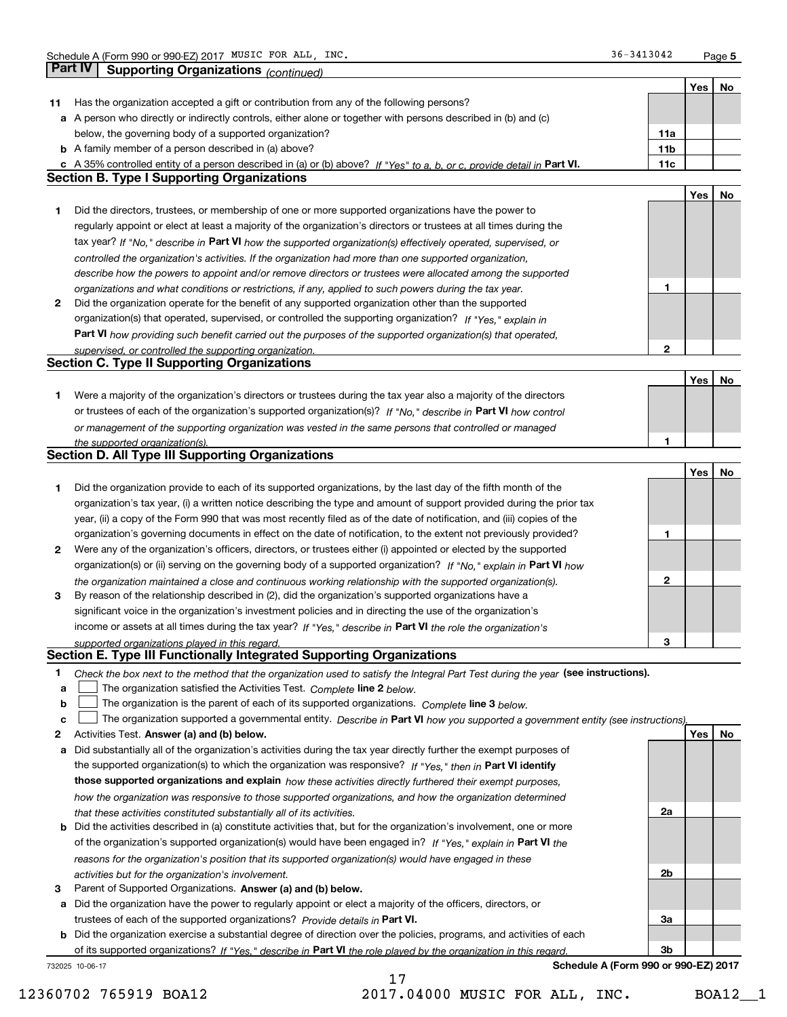Page 5

|    |                                                                                                                                   |                 | Yes | No |
|----|-----------------------------------------------------------------------------------------------------------------------------------|-----------------|-----|----|
| 11 | Has the organization accepted a gift or contribution from any of the following persons?                                           |                 |     |    |
|    | a A person who directly or indirectly controls, either alone or together with persons described in (b) and (c)                    |                 |     |    |
|    | below, the governing body of a supported organization?                                                                            | 11a             |     |    |
|    | <b>b</b> A family member of a person described in (a) above?                                                                      | 11 <sub>b</sub> |     |    |
|    | c A 35% controlled entity of a person described in (a) or (b) above? If "Yes" to a, b, or c, provide detail in Part VI.           | 11c             |     |    |
|    | <b>Section B. Type I Supporting Organizations</b>                                                                                 |                 |     |    |
|    |                                                                                                                                   |                 | Yes | No |
| 1. | Did the directors, trustees, or membership of one or more supported organizations have the power to                               |                 |     |    |
|    | regularly appoint or elect at least a majority of the organization's directors or trustees at all times during the                |                 |     |    |
|    |                                                                                                                                   |                 |     |    |
|    | tax year? If "No," describe in Part VI how the supported organization(s) effectively operated, supervised, or                     |                 |     |    |
|    | controlled the organization's activities. If the organization had more than one supported organization,                           |                 |     |    |
|    | describe how the powers to appoint and/or remove directors or trustees were allocated among the supported                         |                 |     |    |
|    | organizations and what conditions or restrictions, if any, applied to such powers during the tax year.                            | 1               |     |    |
| 2  | Did the organization operate for the benefit of any supported organization other than the supported                               |                 |     |    |
|    | organization(s) that operated, supervised, or controlled the supporting organization? If "Yes," explain in                        |                 |     |    |
|    | Part VI how providing such benefit carried out the purposes of the supported organization(s) that operated,                       |                 |     |    |
|    | supervised, or controlled the supporting organization.                                                                            | 2               |     |    |
|    | <b>Section C. Type II Supporting Organizations</b>                                                                                |                 |     |    |
|    |                                                                                                                                   |                 | Yes | No |
| 1. | Were a majority of the organization's directors or trustees during the tax year also a majority of the directors                  |                 |     |    |
|    | or trustees of each of the organization's supported organization(s)? If "No," describe in Part VI how control                     |                 |     |    |
|    | or management of the supporting organization was vested in the same persons that controlled or managed                            |                 |     |    |
|    | the supported organization(s).                                                                                                    | 1               |     |    |
|    | <b>Section D. All Type III Supporting Organizations</b>                                                                           |                 |     |    |
|    |                                                                                                                                   |                 | Yes | No |
| 1  | Did the organization provide to each of its supported organizations, by the last day of the fifth month of the                    |                 |     |    |
|    | organization's tax year, (i) a written notice describing the type and amount of support provided during the prior tax             |                 |     |    |
|    | year, (ii) a copy of the Form 990 that was most recently filed as of the date of notification, and (iii) copies of the            |                 |     |    |
|    | organization's governing documents in effect on the date of notification, to the extent not previously provided?                  | 1               |     |    |
| 2  | Were any of the organization's officers, directors, or trustees either (i) appointed or elected by the supported                  |                 |     |    |
|    | organization(s) or (ii) serving on the governing body of a supported organization? If "No," explain in Part VI how                |                 |     |    |
|    | the organization maintained a close and continuous working relationship with the supported organization(s).                       | 2               |     |    |
| 3  | By reason of the relationship described in (2), did the organization's supported organizations have a                             |                 |     |    |
|    | significant voice in the organization's investment policies and in directing the use of the organization's                        |                 |     |    |
|    | income or assets at all times during the tax year? If "Yes," describe in Part VI the role the organization's                      |                 |     |    |
|    | supported organizations played in this regard.                                                                                    | 3               |     |    |
|    | Section E. Type III Functionally Integrated Supporting Organizations                                                              |                 |     |    |
| 1. | Check the box next to the method that the organization used to satisfy the Integral Part Test during the year (see instructions). |                 |     |    |
| а  | The organization satisfied the Activities Test. Complete line 2 below.                                                            |                 |     |    |
| b  | The organization is the parent of each of its supported organizations. Complete line 3 below.                                     |                 |     |    |
| c  | The organization supported a governmental entity. Describe in Part VI how you supported a government entity (see instructions),   |                 |     |    |
| 2  | Activities Test. Answer (a) and (b) below.                                                                                        |                 | Yes | No |
| а  | Did substantially all of the organization's activities during the tax year directly further the exempt purposes of                |                 |     |    |
|    | the supported organization(s) to which the organization was responsive? If "Yes." then in Part VI identify                        |                 |     |    |
|    | those supported organizations and explain how these activities directly furthered their exempt purposes,                          |                 |     |    |
|    | how the organization was responsive to those supported organizations, and how the organization determined                         |                 |     |    |
|    | that these activities constituted substantially all of its activities.                                                            | 2a              |     |    |
| b  | Did the activities described in (a) constitute activities that, but for the organization's involvement, one or more               |                 |     |    |
|    | of the organization's supported organization(s) would have been engaged in? If "Yes," explain in Part VI the                      |                 |     |    |
|    | reasons for the organization's position that its supported organization(s) would have engaged in these                            |                 |     |    |
|    | activities but for the organization's involvement.                                                                                | 2b              |     |    |
| з  | Parent of Supported Organizations. Answer (a) and (b) below.                                                                      |                 |     |    |
| а  | Did the organization have the power to regularly appoint or elect a majority of the officers, directors, or                       |                 |     |    |
|    | trustees of each of the supported organizations? Provide details in Part VI.                                                      | За              |     |    |
|    | <b>b</b> Did the organization exercise a substantial degree of direction over the policies, programs, and activities of each      |                 |     |    |
|    | of its supported organizations? If "Yes," describe in Part VI the role played by the organization in this regard.                 | 3b              |     |    |
|    | Schedule A (Form 990 or 990-EZ) 2017<br>732025 10-06-17                                                                           |                 |     |    |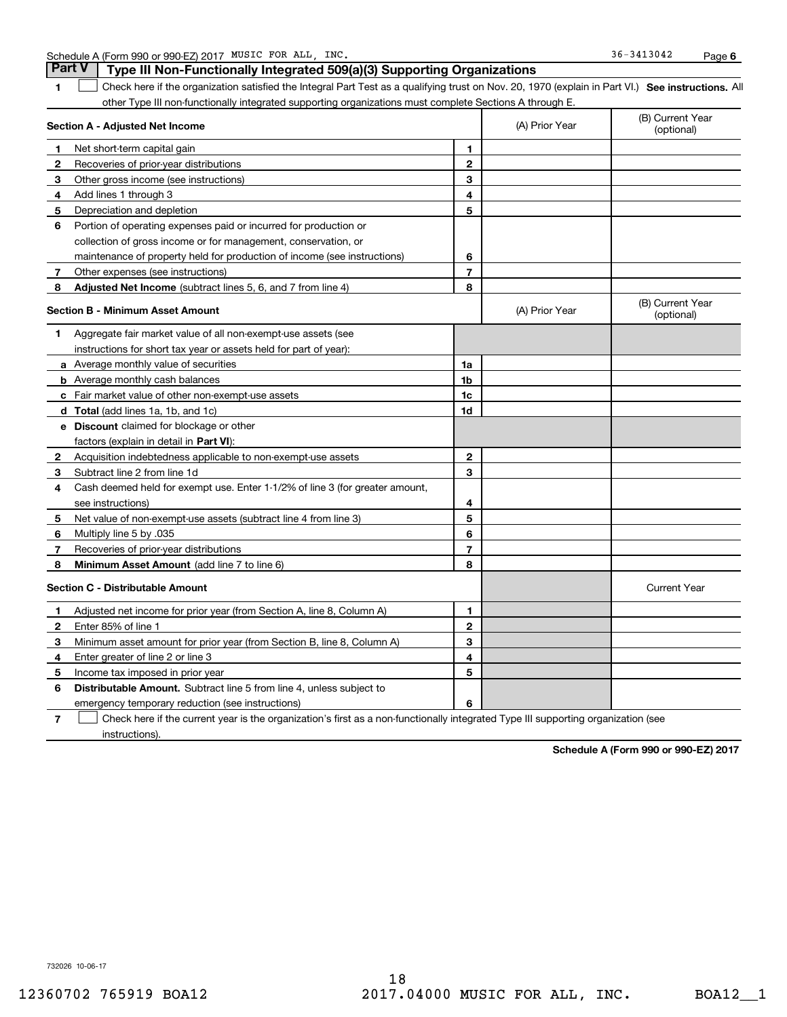|  | Schedule A (Form 990 or 990-EZ) 2017 | MUSIC FOR | ALL | INC. | $-3413042$<br>36- | Page |  |
|--|--------------------------------------|-----------|-----|------|-------------------|------|--|
|--|--------------------------------------|-----------|-----|------|-------------------|------|--|

1 Check here if the organization satisfied the Integral Part Test as a qualifying trust on Nov. 20, 1970 (explain in Part VI.) See instructions. All other Type III non-functionally integrated supporting organizations must complete Sections A through E. **Part V** Type III Non-Functionally Integrated 509(a)(3) Supporting Organizations

| Section A - Adjusted Net Income |                                                                                                                                   | (A) Prior Year | (B) Current Year<br>(optional) |                                |
|---------------------------------|-----------------------------------------------------------------------------------------------------------------------------------|----------------|--------------------------------|--------------------------------|
| 1                               | Net short-term capital gain                                                                                                       | 1              |                                |                                |
| $\mathbf{2}$                    | Recoveries of prior-year distributions                                                                                            | $\mathbf{2}$   |                                |                                |
| 3                               | Other gross income (see instructions)                                                                                             | 3              |                                |                                |
| 4                               | Add lines 1 through 3                                                                                                             | 4              |                                |                                |
| 5                               | Depreciation and depletion                                                                                                        | 5              |                                |                                |
| 6                               | Portion of operating expenses paid or incurred for production or                                                                  |                |                                |                                |
|                                 | collection of gross income or for management, conservation, or                                                                    |                |                                |                                |
|                                 | maintenance of property held for production of income (see instructions)                                                          | 6              |                                |                                |
| 7                               | Other expenses (see instructions)                                                                                                 | $\overline{7}$ |                                |                                |
| 8                               | Adjusted Net Income (subtract lines 5, 6, and 7 from line 4)                                                                      | 8              |                                |                                |
|                                 | <b>Section B - Minimum Asset Amount</b>                                                                                           |                | (A) Prior Year                 | (B) Current Year<br>(optional) |
| 1                               | Aggregate fair market value of all non-exempt-use assets (see                                                                     |                |                                |                                |
|                                 | instructions for short tax year or assets held for part of year):                                                                 |                |                                |                                |
|                                 | a Average monthly value of securities                                                                                             | 1a             |                                |                                |
|                                 | <b>b</b> Average monthly cash balances                                                                                            | 1 <sub>b</sub> |                                |                                |
|                                 | c Fair market value of other non-exempt-use assets                                                                                | 1c             |                                |                                |
|                                 | d Total (add lines 1a, 1b, and 1c)                                                                                                | 1d             |                                |                                |
|                                 | e Discount claimed for blockage or other                                                                                          |                |                                |                                |
|                                 | factors (explain in detail in Part VI):                                                                                           |                |                                |                                |
| 2                               | Acquisition indebtedness applicable to non-exempt-use assets                                                                      | $\mathbf{2}$   |                                |                                |
| 3                               | Subtract line 2 from line 1d                                                                                                      | 3              |                                |                                |
| 4                               | Cash deemed held for exempt use. Enter 1-1/2% of line 3 (for greater amount,                                                      |                |                                |                                |
|                                 | see instructions)                                                                                                                 | 4              |                                |                                |
| 5                               | Net value of non-exempt-use assets (subtract line 4 from line 3)                                                                  | 5              |                                |                                |
| 6                               | Multiply line 5 by .035                                                                                                           | 6              |                                |                                |
| 7                               | Recoveries of prior-year distributions                                                                                            | $\overline{7}$ |                                |                                |
| 8                               | Minimum Asset Amount (add line 7 to line 6)                                                                                       | 8              |                                |                                |
|                                 | <b>Section C - Distributable Amount</b>                                                                                           |                |                                | <b>Current Year</b>            |
| 1                               | Adjusted net income for prior year (from Section A, line 8, Column A)                                                             | 1              |                                |                                |
| $\mathbf{2}$                    | Enter 85% of line 1                                                                                                               | $\overline{2}$ |                                |                                |
| 3                               | Minimum asset amount for prior year (from Section B, line 8, Column A)                                                            | 3              |                                |                                |
| 4                               | Enter greater of line 2 or line 3                                                                                                 | 4              |                                |                                |
| 5                               | Income tax imposed in prior year                                                                                                  | 5              |                                |                                |
| 6                               | <b>Distributable Amount.</b> Subtract line 5 from line 4, unless subject to                                                       |                |                                |                                |
|                                 | emergency temporary reduction (see instructions)                                                                                  | 6              |                                |                                |
| 7                               | Check here if the current year is the organization's first as a non-functionally integrated Type III supporting organization (see |                |                                |                                |

instructions).

Schedule A (Form 990 or 990-EZ) 2017

732026 10-06-17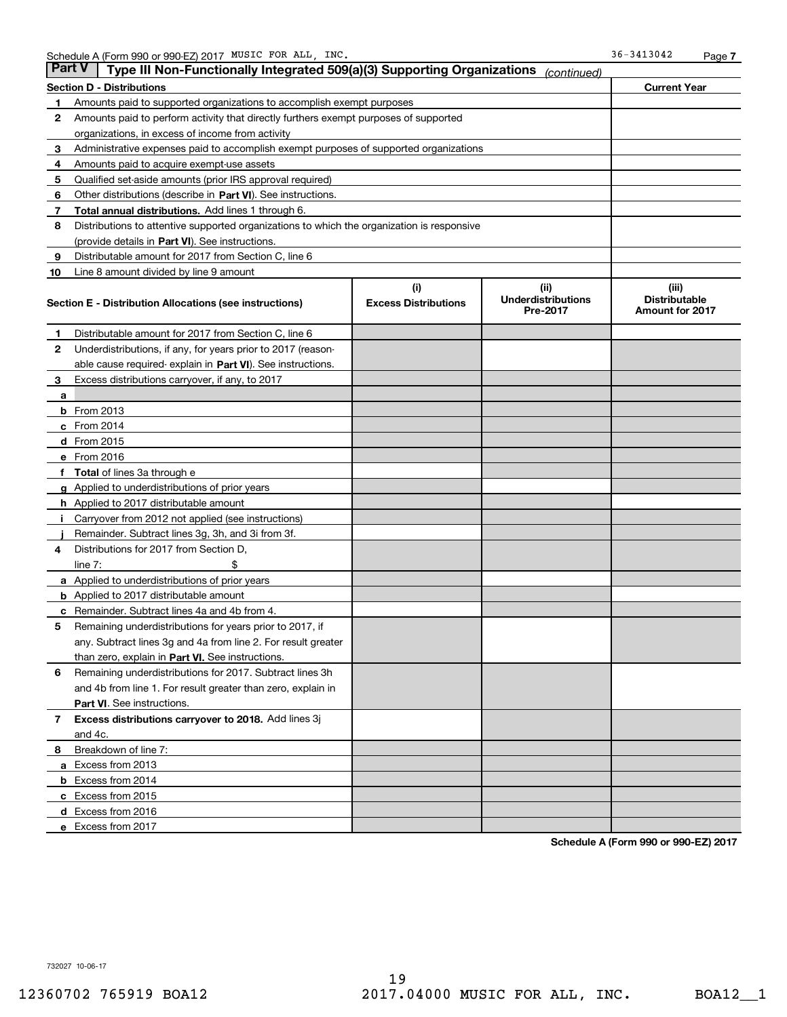| <b>Part V</b> | Type III Non-Functionally Integrated 509(a)(3) Supporting Organizations                    |                                    | (continued)                       |                               |
|---------------|--------------------------------------------------------------------------------------------|------------------------------------|-----------------------------------|-------------------------------|
|               | Section D - Distributions                                                                  |                                    |                                   | <b>Current Year</b>           |
| 1             | Amounts paid to supported organizations to accomplish exempt purposes                      |                                    |                                   |                               |
| $\mathbf{2}$  | Amounts paid to perform activity that directly furthers exempt purposes of supported       |                                    |                                   |                               |
|               | organizations, in excess of income from activity                                           |                                    |                                   |                               |
| 3             | Administrative expenses paid to accomplish exempt purposes of supported organizations      |                                    |                                   |                               |
| 4             | Amounts paid to acquire exempt-use assets                                                  |                                    |                                   |                               |
| 5             | Qualified set-aside amounts (prior IRS approval required)                                  |                                    |                                   |                               |
| 6             | Other distributions (describe in Part VI). See instructions.                               |                                    |                                   |                               |
| 7             | <b>Total annual distributions.</b> Add lines 1 through 6.                                  |                                    |                                   |                               |
| 8             | Distributions to attentive supported organizations to which the organization is responsive |                                    |                                   |                               |
|               | (provide details in Part VI). See instructions.                                            |                                    |                                   |                               |
| 9             | Distributable amount for 2017 from Section C, line 6                                       |                                    |                                   |                               |
| 10            | Line 8 amount divided by line 9 amount                                                     |                                    |                                   |                               |
|               | <b>Section E - Distribution Allocations (see instructions)</b>                             | (i)<br><b>Excess Distributions</b> | (ii)<br><b>Underdistributions</b> | (iii)<br><b>Distributable</b> |
|               |                                                                                            |                                    | <b>Pre-2017</b>                   | <b>Amount for 2017</b>        |
| 1             | Distributable amount for 2017 from Section C, line 6                                       |                                    |                                   |                               |
| $\mathbf{2}$  | Underdistributions, if any, for years prior to 2017 (reason-                               |                                    |                                   |                               |
|               | able cause required- explain in <b>Part VI</b> ). See instructions.                        |                                    |                                   |                               |
| 3             | Excess distributions carryover, if any, to 2017                                            |                                    |                                   |                               |
| а             |                                                                                            |                                    |                                   |                               |
|               | <b>b</b> From 2013                                                                         |                                    |                                   |                               |
|               | $c$ From 2014                                                                              |                                    |                                   |                               |
|               | <b>d</b> From 2015                                                                         |                                    |                                   |                               |
|               | e From 2016                                                                                |                                    |                                   |                               |
|               | <b>Total</b> of lines 3a through e                                                         |                                    |                                   |                               |
|               | <b>g</b> Applied to underdistributions of prior years                                      |                                    |                                   |                               |
|               | <b>h</b> Applied to 2017 distributable amount                                              |                                    |                                   |                               |
|               | Carryover from 2012 not applied (see instructions)                                         |                                    |                                   |                               |
|               | Remainder. Subtract lines 3g, 3h, and 3i from 3f.                                          |                                    |                                   |                               |
| 4             | Distributions for 2017 from Section D,                                                     |                                    |                                   |                               |
|               | line $7:$                                                                                  |                                    |                                   |                               |
|               | <b>a</b> Applied to underdistributions of prior years                                      |                                    |                                   |                               |
|               | <b>b</b> Applied to 2017 distributable amount                                              |                                    |                                   |                               |
| c             | Remainder. Subtract lines 4a and 4b from 4.                                                |                                    |                                   |                               |
| 5             | Remaining underdistributions for years prior to 2017, if                                   |                                    |                                   |                               |
|               | any. Subtract lines 3g and 4a from line 2. For result greater                              |                                    |                                   |                               |
|               | than zero, explain in Part VI. See instructions.                                           |                                    |                                   |                               |
| 6             | Remaining underdistributions for 2017. Subtract lines 3h                                   |                                    |                                   |                               |
|               | and 4b from line 1. For result greater than zero, explain in                               |                                    |                                   |                               |
|               | Part VI. See instructions.                                                                 |                                    |                                   |                               |
| 7             | Excess distributions carryover to 2018. Add lines 3j                                       |                                    |                                   |                               |
|               | and 4c.                                                                                    |                                    |                                   |                               |
| 8             | Breakdown of line 7:                                                                       |                                    |                                   |                               |
|               | a Excess from 2013                                                                         |                                    |                                   |                               |
|               | <b>b</b> Excess from 2014                                                                  |                                    |                                   |                               |
|               | c Excess from 2015                                                                         |                                    |                                   |                               |
|               | d Excess from 2016                                                                         |                                    |                                   |                               |
|               | e Excess from 2017                                                                         |                                    |                                   |                               |

Schedule A (Form 990 or 990-EZ) 2017

732027 10-06-17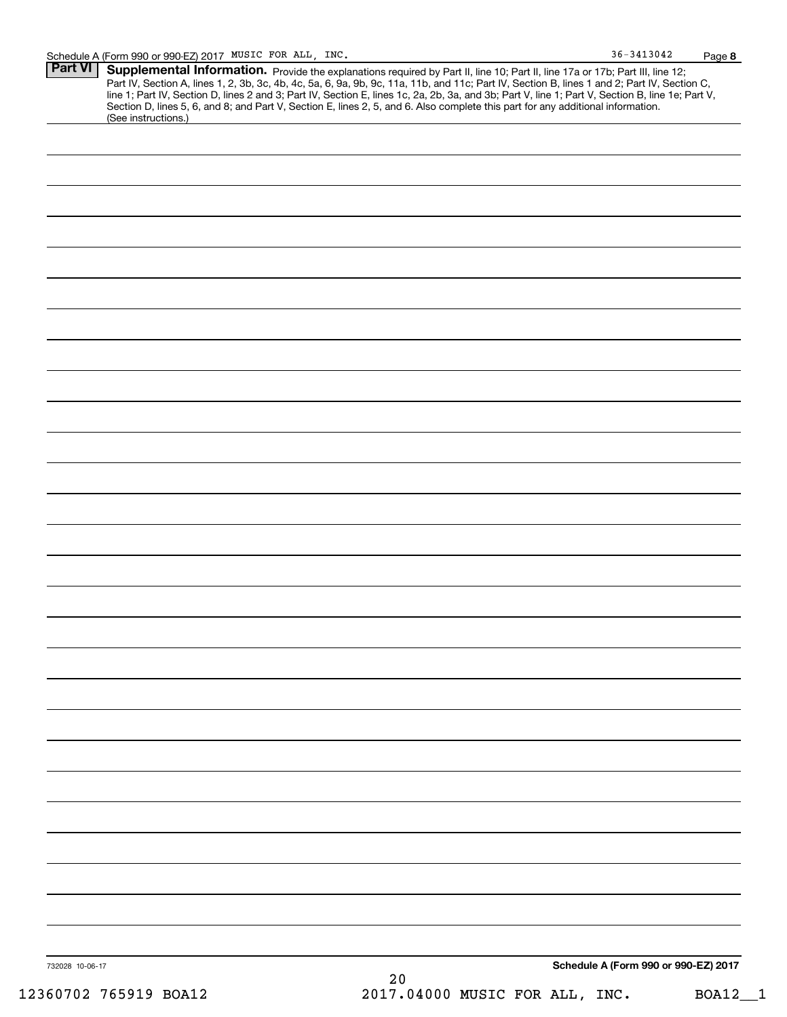| $36 - 3413042$ | Page 8 |
|----------------|--------|
|----------------|--------|

| <b>Part VI</b> | Supplemental Information. Provide the explanations required by Part II, line 10; Part II, line 17a or 17b; Part III, line 12;                    |
|----------------|--------------------------------------------------------------------------------------------------------------------------------------------------|
|                | Part IV, Section A, lines 1, 2, 3b, 3c, 4b, 4c, 5a, 6, 9a, 9b, 9c, 11a, 11b, and 11c; Part IV, Section B, lines 1 and 2; Part IV, Section C,     |
|                | line 1; Part IV, Section D, lines 2 and 3; Part IV, Section E, lines 1c, 2a, 2b, 3a, and 3b; Part V, line 1; Part V, Section B, line 1e; Part V, |
|                | Section D, lines 5, 6, and 8; and Part V, Section E, lines 2, 5, and 6. Also complete this part for any additional information.                  |
|                | (See instructions.)                                                                                                                              |
|                |                                                                                                                                                  |

| 732028 10-06-17 | $2\,0$ | Schedule A (Form 990 or 990-EZ) 2017 |
|-----------------|--------|--------------------------------------|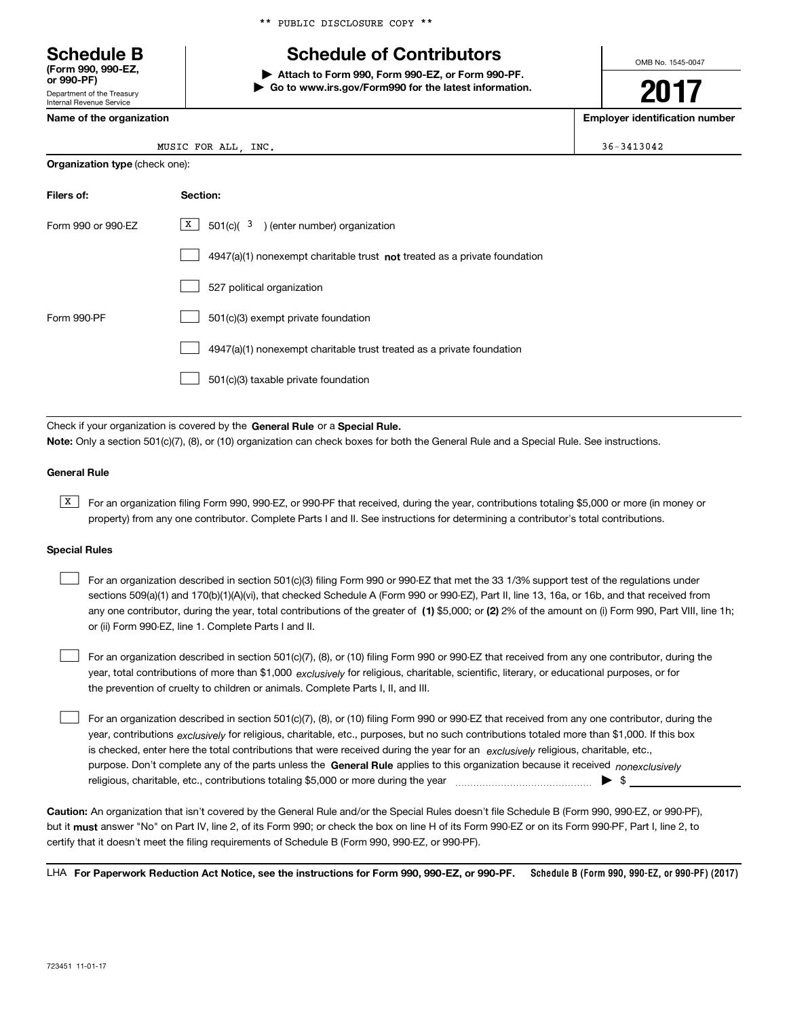\*\* PUBLIC DISCLOSURE COPY \*\*

# Schedule B The Schedule of Contributors

Attach to Form 990, Form 990-EZ, or Form 990-PF. | Go to www.irs.gov/Form990 for the latest information. OMB No. 1545-0047

2017

Name of the organization extensive properties and the organization number of the organization number

| Internal Revenue Service |
|--------------------------|
| Name of the organization |

Department of the Treasury

(Form 990, 990-EZ,<br>or 990-PF)

MUSIC FOR ALL, INC.  $36-3413042$ 

| <b>Organization type (check one):</b> |                                                                             |  |  |
|---------------------------------------|-----------------------------------------------------------------------------|--|--|
| Filers of:                            | Section:                                                                    |  |  |
| Form 990 or 990-EZ                    | X  <br>501(c)( $3$ ) (enter number) organization                            |  |  |
|                                       | $4947(a)(1)$ nonexempt charitable trust not treated as a private foundation |  |  |
|                                       | 527 political organization                                                  |  |  |
| Form 990-PF                           | 501(c)(3) exempt private foundation                                         |  |  |
|                                       | 4947(a)(1) nonexempt charitable trust treated as a private foundation       |  |  |
|                                       | 501(c)(3) taxable private foundation                                        |  |  |

Check if your organization is covered by the General Rule or a Special Rule. Note: Only a section 501(c)(7), (8), or (10) organization can check boxes for both the General Rule and a Special Rule. See instructions.

## General Rule

**K** For an organization filing Form 990, 990-EZ, or 990-PF that received, during the year, contributions totaling \$5,000 or more (in money or property) from any one contributor. Complete Parts I and II. See instructions for determining a contributor's total contributions.

### Special Rules

 $\begin{array}{c} \hline \end{array}$ 

| For an organization described in section 501(c)(3) filing Form 990 or 990-EZ that met the 33 1/3% support test of the regulations under               |
|-------------------------------------------------------------------------------------------------------------------------------------------------------|
| sections 509(a)(1) and 170(b)(1)(A)(vi), that checked Schedule A (Form 990 or 990-EZ), Part II, line 13, 16a, or 16b, and that received from          |
| any one contributor, during the year, total contributions of the greater of (1) \$5,000; or (2) 2% of the amount on (i) Form 990, Part VIII, line 1h; |
| or (ii) Form 990-EZ, line 1. Complete Parts I and II.                                                                                                 |

year, total contributions of more than \$1,000 *exclusively* for religious, charitable, scientific, literary, or educational purposes, or for For an organization described in section 501(c)(7), (8), or (10) filing Form 990 or 990-EZ that received from any one contributor, during the the prevention of cruelty to children or animals. Complete Parts I, II, and III.

purpose. Don't complete any of the parts unless the General Rule applies to this organization because it received nonexclusively year, contributions <sub>exclusively</sub> for religious, charitable, etc., purposes, but no such contributions totaled more than \$1,000. If this box is checked, enter here the total contributions that were received during the year for an exclusively religious, charitable, etc., For an organization described in section 501(c)(7), (8), or (10) filing Form 990 or 990-EZ that received from any one contributor, during the religious, charitable, etc., contributions totaling \$5,000 or more during the year  $\ldots$  $\ldots$  $\ldots$  $\ldots$  $\ldots$  $\ldots$ 

Caution: An organization that isn't covered by the General Rule and/or the Special Rules doesn't file Schedule B (Form 990, 990-EZ, or 990-PF), but it **must** answer "No" on Part IV, line 2, of its Form 990; or check the box on line H of its Form 990-EZ or on its Form 990-PF, Part I, line 2, to certify that it doesn't meet the filing requirements of Schedule B (Form 990, 990-EZ, or 990-PF).

Schedule B (Form 990, 990-EZ, or 990-PF) (2017) LHA For Paperwork Reduction Act Notice, see the instructions for Form 990, 990-EZ, or 990-PF.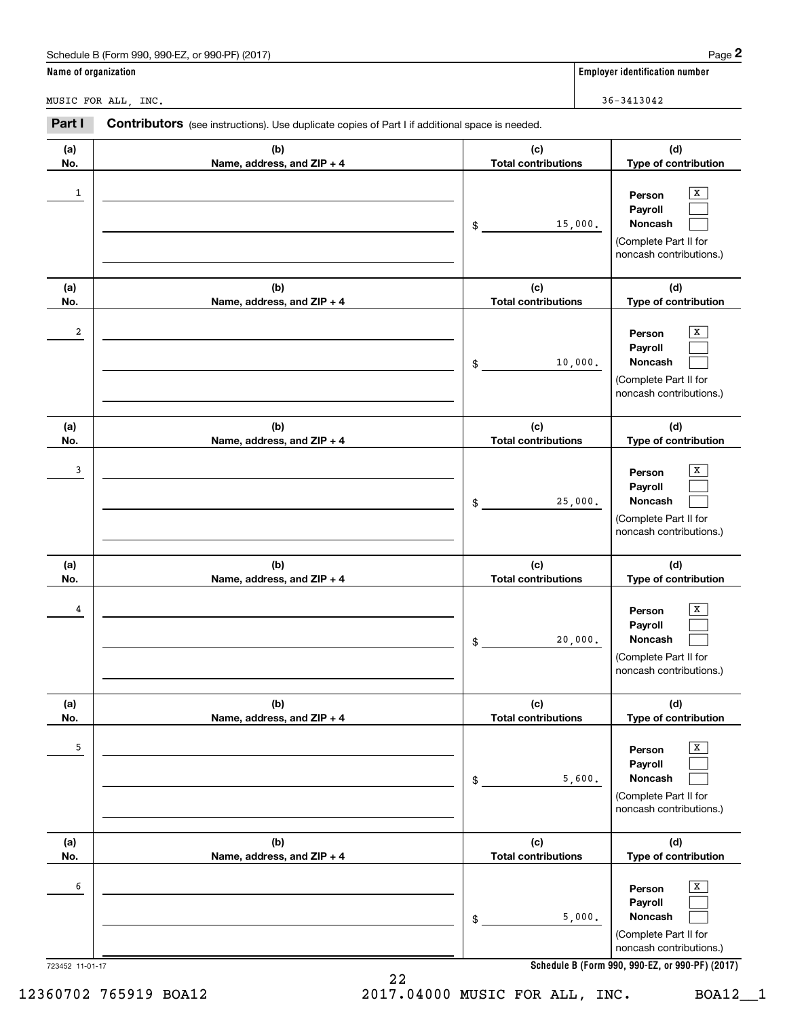|                      | Schedule B (Form 990, 990-EZ, or 990-PF) (2017)                                                |                                   | Page $2$                                                                                     |
|----------------------|------------------------------------------------------------------------------------------------|-----------------------------------|----------------------------------------------------------------------------------------------|
| Name of organization |                                                                                                |                                   | <b>Employer identification number</b>                                                        |
|                      | MUSIC FOR ALL, INC.                                                                            |                                   | $36 - 3413042$                                                                               |
| Part I               | Contributors (see instructions). Use duplicate copies of Part I if additional space is needed. |                                   |                                                                                              |
| (a)<br>No.           | (b)<br>Name, address, and ZIP + 4                                                              | (c)<br><b>Total contributions</b> | (d)<br>Type of contribution                                                                  |
| 1                    |                                                                                                | 15,000.<br>\$                     | x<br>Person<br>Payroll<br>Noncash<br>(Complete Part II for<br>noncash contributions.)        |
| (a)<br>No.           | (b)<br>Name, address, and ZIP + 4                                                              | (c)<br><b>Total contributions</b> | (d)<br>Type of contribution                                                                  |
| 2                    |                                                                                                | 10,000.<br>\$                     | x<br>Person<br>Payroll<br>Noncash<br>(Complete Part II for<br>noncash contributions.)        |
| (a)<br>No.           | (b)<br>Name, address, and ZIP + 4                                                              | (c)<br><b>Total contributions</b> | (d)<br>Type of contribution                                                                  |
| 3                    |                                                                                                | 25,000.<br>\$                     | x<br>Person<br>Payroll<br>Noncash<br>(Complete Part II for<br>noncash contributions.)        |
| (a)<br>No.           | (b)<br>Name, address, and ZIP + 4                                                              | (c)<br><b>Total contributions</b> | (d)<br>Type of contribution                                                                  |
| 4                    |                                                                                                | 20,000.<br>\$                     | X<br>Person<br>Payroll<br><b>Noncash</b><br>(Complete Part II for<br>noncash contributions.) |
| (a)<br>No.           | (b)<br>Name, address, and ZIP + 4                                                              | (c)<br><b>Total contributions</b> | (d)<br>Type of contribution                                                                  |
| 5                    |                                                                                                | 5,600.<br>\$                      | x<br>Person<br>Payroll<br>Noncash<br>(Complete Part II for<br>noncash contributions.)        |
| (a)<br>No.           | (b)<br>Name, address, and ZIP + 4                                                              | (c)<br><b>Total contributions</b> | (d)<br>Type of contribution                                                                  |
| 6                    |                                                                                                | 5,000.<br>\$                      | x<br>Person<br>Payroll<br>Noncash<br>(Complete Part II for<br>noncash contributions.)        |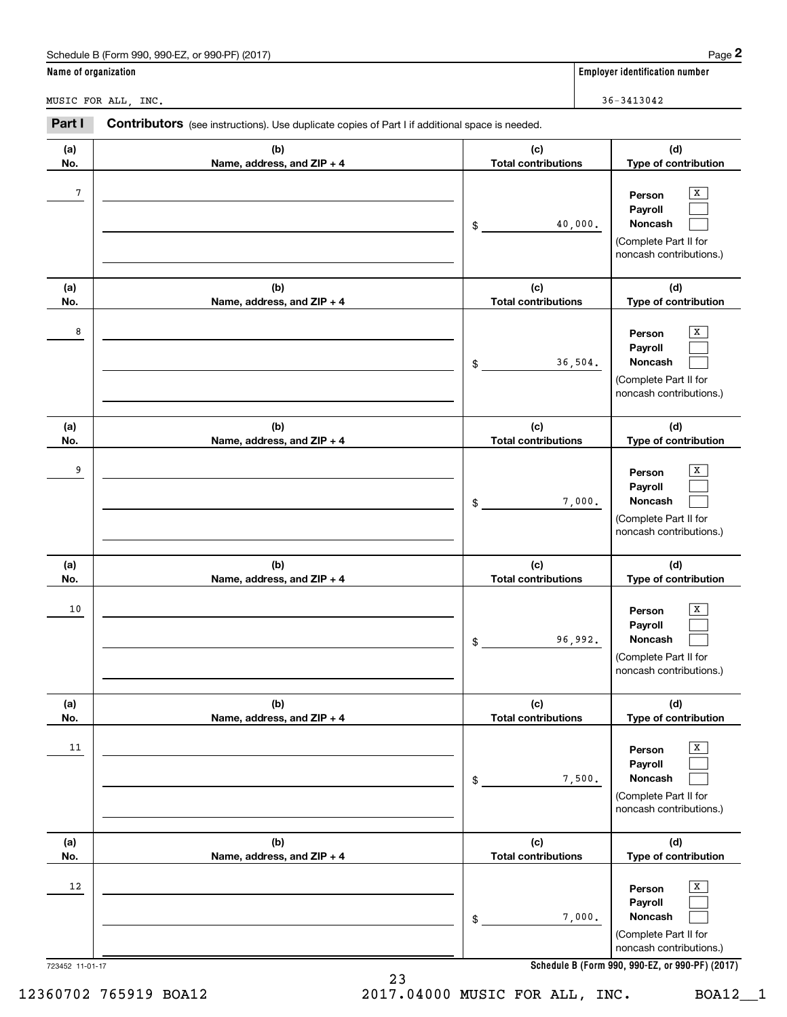|                      | Schedule B (Form 990, 990-EZ, or 990-PF) (2017)                                                |                                   | Page 2                                                                                           |
|----------------------|------------------------------------------------------------------------------------------------|-----------------------------------|--------------------------------------------------------------------------------------------------|
| Name of organization |                                                                                                |                                   | <b>Employer identification number</b>                                                            |
|                      | MUSIC FOR ALL, INC.                                                                            |                                   | 36-3413042                                                                                       |
| Part I               | Contributors (see instructions). Use duplicate copies of Part I if additional space is needed. |                                   |                                                                                                  |
| (a)<br>No.           | (b)<br>Name, address, and ZIP + 4                                                              | (c)<br><b>Total contributions</b> | (d)<br>Type of contribution                                                                      |
| $\sqrt{7}$           |                                                                                                | \$                                | x<br>Person<br>Payroll<br>Noncash<br>40,000.<br>(Complete Part II for<br>noncash contributions.) |
| (a)<br>No.           | (b)<br>Name, address, and ZIP + 4                                                              | (c)<br><b>Total contributions</b> | (d)<br>Type of contribution                                                                      |
| 8                    |                                                                                                | \$                                | x<br>Person<br>Payroll<br>Noncash<br>36,504.<br>(Complete Part II for<br>noncash contributions.) |
| (a)<br>No.           | (b)<br>Name, address, and ZIP + 4                                                              | (c)<br><b>Total contributions</b> | (d)<br>Type of contribution                                                                      |
| 9                    |                                                                                                | \$                                | Person<br>Payroll<br>Noncash<br>7,000.<br>(Complete Part II for<br>noncash contributions.)       |
| (a)<br>No.           | (b)<br>Name, address, and ZIP + 4                                                              | (c)<br><b>Total contributions</b> | (d)<br>Type of contribution                                                                      |
| 10                   |                                                                                                | \$                                | x<br>Person<br>Payroll<br>Noncash<br>96,992.<br>(Complete Part II for<br>noncash contributions.) |
| (a)<br>No.           | (b)<br>Name, address, and ZIP + 4                                                              | (c)<br><b>Total contributions</b> | (d)<br>Type of contribution                                                                      |
| 11                   |                                                                                                | $$\mathbb{S}$$                    | x<br>Person<br>Payroll<br>Noncash<br>7,500.<br>(Complete Part II for<br>noncash contributions.)  |
| (a)<br>No.           | (b)<br>Name, address, and ZIP + 4                                                              | (c)<br><b>Total contributions</b> | (d)<br>Type of contribution                                                                      |
| 12                   |                                                                                                | \$                                | x<br>Person<br>Payroll<br>Noncash<br>7,000.<br>(Complete Part II for<br>noncash contributions.)  |
| 723452 11-01-17      | 23                                                                                             |                                   | Schedule B (Form 990, 990-EZ, or 990-PF) (2017)                                                  |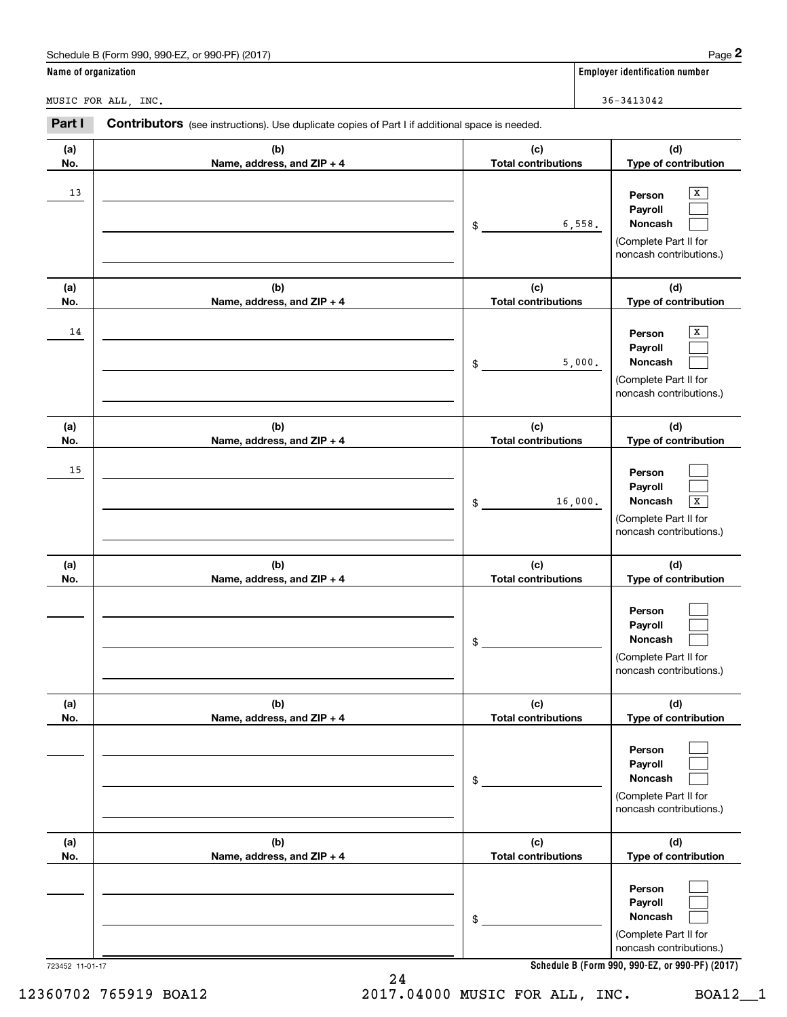|                      | Schedule B (Form 990, 990-EZ, or 990-PF) (2017)                                                |                                   | Page 2                                                                                                                              |
|----------------------|------------------------------------------------------------------------------------------------|-----------------------------------|-------------------------------------------------------------------------------------------------------------------------------------|
| Name of organization |                                                                                                |                                   | Employer identification number                                                                                                      |
|                      | MUSIC FOR ALL, INC.                                                                            |                                   | 36-3413042                                                                                                                          |
| Part I               | Contributors (see instructions). Use duplicate copies of Part I if additional space is needed. |                                   |                                                                                                                                     |
| (a)<br>No.           | (b)<br>Name, address, and ZIP + 4                                                              | (c)<br><b>Total contributions</b> | (d)<br>Type of contribution                                                                                                         |
| 13                   |                                                                                                | \$                                | x<br>Person<br>Payroll<br><b>Noncash</b><br>6,558.<br>(Complete Part II for<br>noncash contributions.)                              |
| (a)<br>No.           | (b)<br>Name, address, and ZIP + 4                                                              | (c)<br><b>Total contributions</b> | (d)<br>Type of contribution                                                                                                         |
| 14                   |                                                                                                | \$                                | x<br>Person<br>Payroll<br><b>Noncash</b><br>5,000.<br>(Complete Part II for<br>noncash contributions.)                              |
| (a)<br>No.           | (b)<br>Name, address, and ZIP + 4                                                              | (c)<br><b>Total contributions</b> | (d)<br>Type of contribution                                                                                                         |
| 15                   |                                                                                                | \$                                | Person<br>Payroll<br><b>Noncash</b><br>16,000.<br>X<br>(Complete Part II for<br>noncash contributions.)                             |
| (a)<br>No.           | (b)<br>Name, address, and ZIP + 4                                                              | (c)<br><b>Total contributions</b> | (d)<br>Type of contribution                                                                                                         |
|                      |                                                                                                | \$                                | Person<br>Payroll<br>Noncash<br>(Complete Part II for<br>noncash contributions.)                                                    |
| (a)<br>No.           | (b)<br>Name, address, and ZIP + 4                                                              | (c)<br><b>Total contributions</b> | (d)<br>Type of contribution                                                                                                         |
|                      |                                                                                                | \$                                | Person<br>Payroll<br>Noncash<br>(Complete Part II for<br>noncash contributions.)                                                    |
| (a)<br>No.           | (b)<br>Name, address, and ZIP + 4                                                              | (c)<br><b>Total contributions</b> | (d)<br>Type of contribution                                                                                                         |
|                      | 723452 11-01-17                                                                                | \$                                | Person<br>Payroll<br>Noncash<br>(Complete Part II for<br>noncash contributions.)<br>Schedule B (Form 990, 990-EZ, or 990-PF) (2017) |

24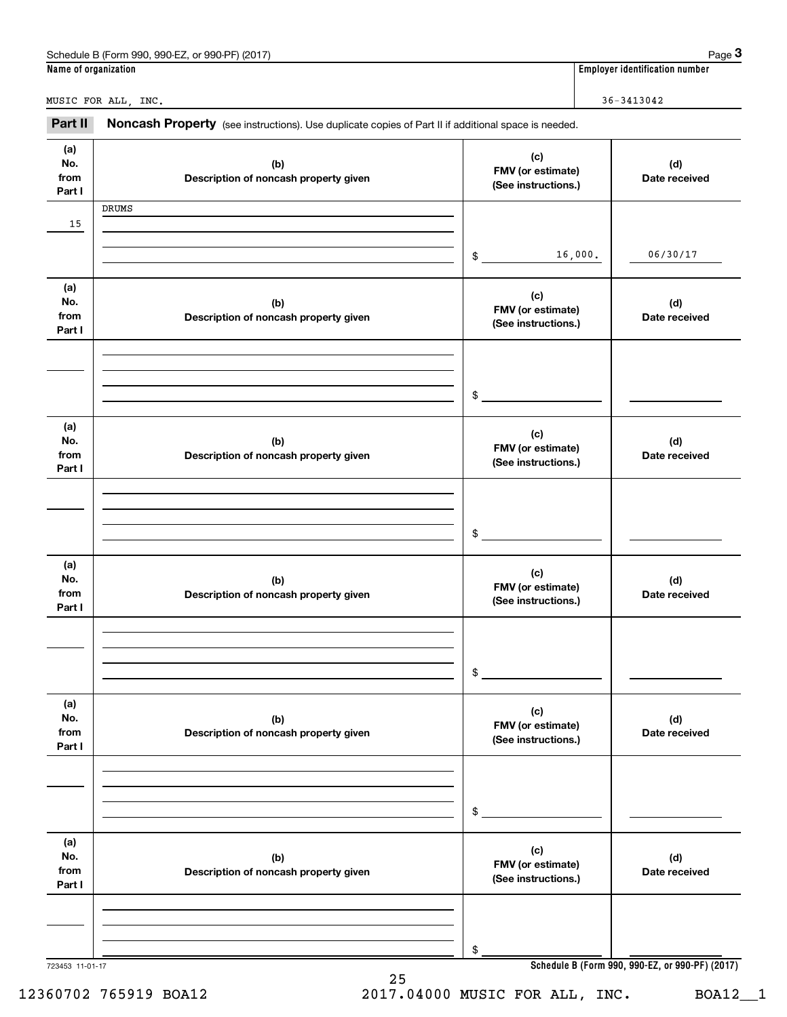|                              | Schedule B (Form 990, 990-EZ, or 990-PF) (2017)                                                     |                                                 |         | Page $3$                                        |
|------------------------------|-----------------------------------------------------------------------------------------------------|-------------------------------------------------|---------|-------------------------------------------------|
| Name of organization         |                                                                                                     |                                                 |         | <b>Employer identification number</b>           |
|                              | MUSIC FOR ALL, INC.                                                                                 |                                                 |         | $36 - 3413042$                                  |
| Part II                      | Noncash Property (see instructions). Use duplicate copies of Part II if additional space is needed. |                                                 |         |                                                 |
| (a)<br>No.<br>from<br>Part I | (b)<br>Description of noncash property given                                                        | (c)<br>FMV (or estimate)<br>(See instructions.) |         | (d)<br>Date received                            |
|                              | DRUMS                                                                                               |                                                 |         |                                                 |
| 15                           |                                                                                                     | \$                                              | 16,000. | 06/30/17                                        |
| (a)<br>No.<br>from<br>Part I | (b)<br>Description of noncash property given                                                        | (c)<br>FMV (or estimate)<br>(See instructions.) |         | (d)<br>Date received                            |
|                              |                                                                                                     | \$                                              |         |                                                 |
| (a)<br>No.<br>from<br>Part I | (b)<br>Description of noncash property given                                                        | (c)<br>FMV (or estimate)<br>(See instructions.) |         | (d)<br>Date received                            |
|                              |                                                                                                     | \$                                              |         |                                                 |
| (a)<br>No.<br>from<br>Part I | (b)<br>Description of noncash property given                                                        | (c)<br>FMV (or estimate)<br>(See instructions.) |         | (d)<br>Date received                            |
|                              |                                                                                                     | \$                                              |         |                                                 |
| (a)<br>No.<br>from<br>Part I | (b)<br>Description of noncash property given                                                        | (c)<br>FMV (or estimate)<br>(See instructions.) |         | (d)<br>Date received                            |
|                              |                                                                                                     | \$                                              |         |                                                 |
| (a)<br>No.<br>from<br>Part I | (b)<br>Description of noncash property given                                                        | (c)<br>FMV (or estimate)<br>(See instructions.) |         | (d)<br>Date received                            |
|                              |                                                                                                     | \$                                              |         |                                                 |
| 723453 11-01-17              | 25                                                                                                  |                                                 |         | Schedule B (Form 990, 990-EZ, or 990-PF) (2017) |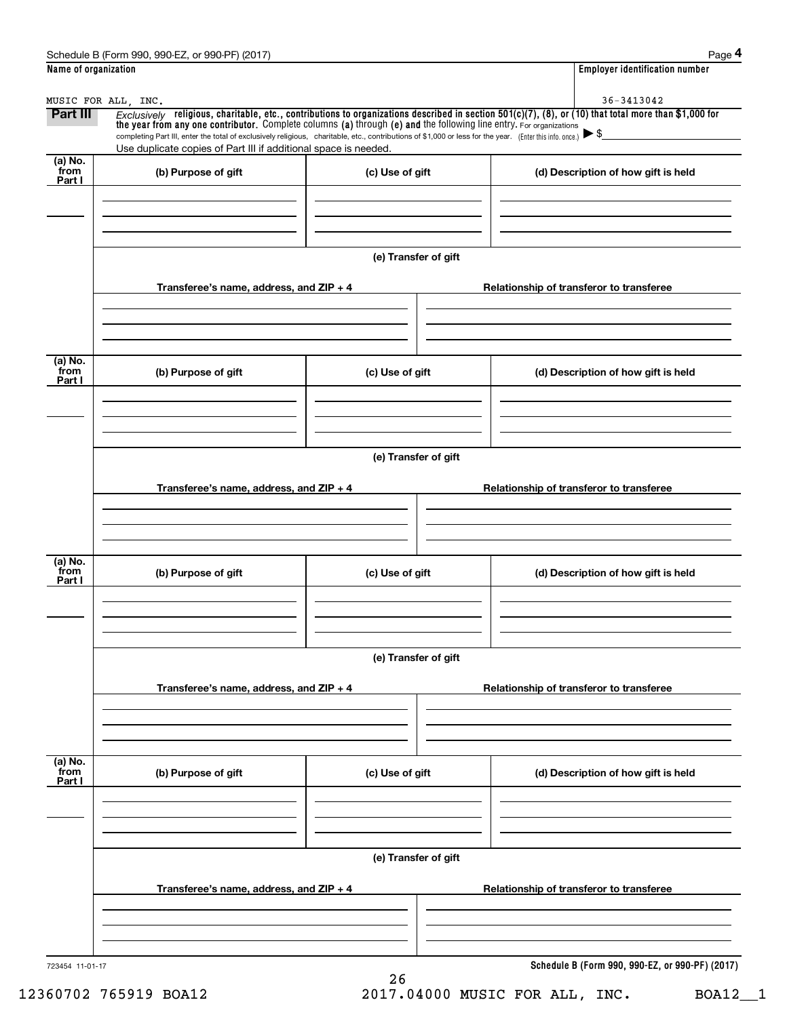| Name of organization       |                                                                                                                                                                                                                                                      |                      | <b>Employer identification number</b>                                                                                                                    |
|----------------------------|------------------------------------------------------------------------------------------------------------------------------------------------------------------------------------------------------------------------------------------------------|----------------------|----------------------------------------------------------------------------------------------------------------------------------------------------------|
|                            | MUSIC FOR ALL, INC.                                                                                                                                                                                                                                  |                      | 36-3413042                                                                                                                                               |
| <b>Part III</b>            | the year from any one contributor. Complete columns (a) through (e) and the following line entry. For organizations                                                                                                                                  |                      | Exclusively religious, charitable, etc., contributions to organizations described in section $501(c)(7)$ , (8), or (10) that total more than \$1,000 for |
|                            | completing Part III, enter the total of exclusively religious, charitable, etc., contributions of \$1,000 or less for the year. (Enter this info. once.) $\blacktriangleright$ \$<br>Use duplicate copies of Part III if additional space is needed. |                      |                                                                                                                                                          |
| (a) No.<br>from            |                                                                                                                                                                                                                                                      |                      |                                                                                                                                                          |
| Part I                     | (b) Purpose of gift                                                                                                                                                                                                                                  | (c) Use of gift      | (d) Description of how gift is held                                                                                                                      |
|                            |                                                                                                                                                                                                                                                      |                      |                                                                                                                                                          |
|                            |                                                                                                                                                                                                                                                      |                      |                                                                                                                                                          |
|                            |                                                                                                                                                                                                                                                      |                      |                                                                                                                                                          |
|                            |                                                                                                                                                                                                                                                      | (e) Transfer of gift |                                                                                                                                                          |
|                            | Transferee's name, address, and ZIP + 4                                                                                                                                                                                                              |                      | Relationship of transferor to transferee                                                                                                                 |
|                            |                                                                                                                                                                                                                                                      |                      |                                                                                                                                                          |
|                            |                                                                                                                                                                                                                                                      |                      |                                                                                                                                                          |
|                            |                                                                                                                                                                                                                                                      |                      |                                                                                                                                                          |
| (a) No.<br>`from<br>Part I | (b) Purpose of gift                                                                                                                                                                                                                                  | (c) Use of gift      | (d) Description of how gift is held                                                                                                                      |
|                            |                                                                                                                                                                                                                                                      |                      |                                                                                                                                                          |
|                            |                                                                                                                                                                                                                                                      |                      |                                                                                                                                                          |
|                            |                                                                                                                                                                                                                                                      |                      |                                                                                                                                                          |
|                            |                                                                                                                                                                                                                                                      | (e) Transfer of gift |                                                                                                                                                          |
|                            |                                                                                                                                                                                                                                                      |                      |                                                                                                                                                          |
|                            | Transferee's name, address, and ZIP + 4                                                                                                                                                                                                              |                      | Relationship of transferor to transferee                                                                                                                 |
|                            |                                                                                                                                                                                                                                                      |                      |                                                                                                                                                          |
|                            |                                                                                                                                                                                                                                                      |                      |                                                                                                                                                          |
| (a) No.<br>from            | (b) Purpose of gift                                                                                                                                                                                                                                  | (c) Use of gift      | (d) Description of how gift is held                                                                                                                      |
| Part I                     |                                                                                                                                                                                                                                                      |                      |                                                                                                                                                          |
|                            |                                                                                                                                                                                                                                                      |                      |                                                                                                                                                          |
|                            |                                                                                                                                                                                                                                                      |                      |                                                                                                                                                          |
|                            |                                                                                                                                                                                                                                                      | (e) Transfer of gift |                                                                                                                                                          |
|                            |                                                                                                                                                                                                                                                      |                      |                                                                                                                                                          |
|                            | Transferee's name, address, and ZIP + 4                                                                                                                                                                                                              |                      | Relationship of transferor to transferee                                                                                                                 |
|                            |                                                                                                                                                                                                                                                      |                      |                                                                                                                                                          |
|                            |                                                                                                                                                                                                                                                      |                      |                                                                                                                                                          |
| (a) No.<br>from            |                                                                                                                                                                                                                                                      |                      |                                                                                                                                                          |
| Part I                     | (b) Purpose of gift                                                                                                                                                                                                                                  | (c) Use of gift      | (d) Description of how gift is held                                                                                                                      |
|                            |                                                                                                                                                                                                                                                      |                      |                                                                                                                                                          |
|                            |                                                                                                                                                                                                                                                      |                      |                                                                                                                                                          |
|                            |                                                                                                                                                                                                                                                      |                      |                                                                                                                                                          |
|                            |                                                                                                                                                                                                                                                      | (e) Transfer of gift |                                                                                                                                                          |
|                            | Transferee's name, address, and ZIP + 4                                                                                                                                                                                                              |                      | Relationship of transferor to transferee                                                                                                                 |
|                            |                                                                                                                                                                                                                                                      |                      |                                                                                                                                                          |
|                            |                                                                                                                                                                                                                                                      |                      |                                                                                                                                                          |
|                            |                                                                                                                                                                                                                                                      |                      |                                                                                                                                                          |
| 723454 11-01-17            |                                                                                                                                                                                                                                                      | 26                   | Schedule B (Form 990, 990-EZ, or 990-PF) (2017)                                                                                                          |
|                            |                                                                                                                                                                                                                                                      |                      |                                                                                                                                                          |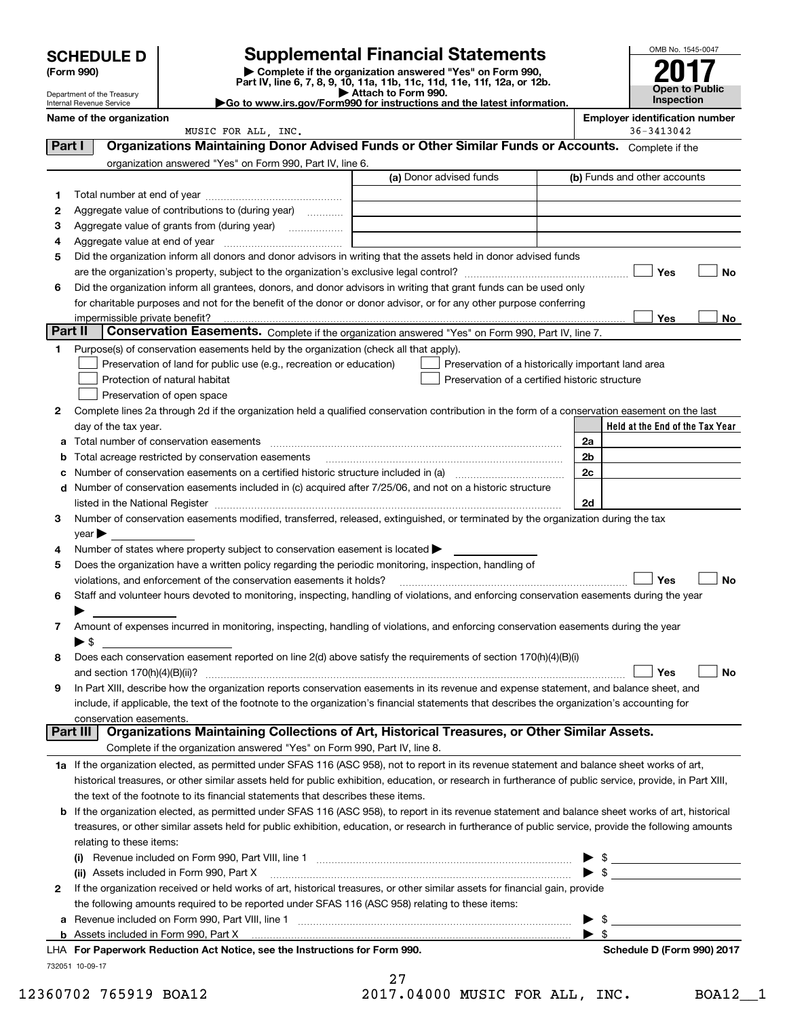| <b>SCHEDULE D</b> |  |
|-------------------|--|
|-------------------|--|

Department of the Treasury

| (Form 990) |  |
|------------|--|
|------------|--|

(Form 990) | Complete if the organization answered "Yes" on Form 990, Part IV, line 6, 7, 8, 9, 10, 11a, 11b, 11c, 11d, 11e, 11f, 12a, or 12b. SCHEDULE D Supplemental Financial Statements<br>
Form 990) Somplete if the organization answered "Yes" on Form 990,<br>
Part IV, line 6, 7, 8, 9, 10, 11a, 11b, 11c, 11d, 11e, 11f, 12a, or 12b.



| Attach to Form 990.                                                    |  |
|------------------------------------------------------------------------|--|
| Go to www.irs.gov/Form990 for instructions and the latest information. |  |

|         | יום מווטות טו מוט ווטמטמו<br>Internal Revenue Service                                                                                                                                                                         | Go to www.irs.gov/Form990 for instructions and the latest information. |                | Inspection                            |
|---------|-------------------------------------------------------------------------------------------------------------------------------------------------------------------------------------------------------------------------------|------------------------------------------------------------------------|----------------|---------------------------------------|
|         | Name of the organization                                                                                                                                                                                                      |                                                                        |                | <b>Employer identification number</b> |
|         | MUSIC FOR ALL, INC.                                                                                                                                                                                                           |                                                                        |                | 36-3413042                            |
| Part I  | Organizations Maintaining Donor Advised Funds or Other Similar Funds or Accounts. Complete if the                                                                                                                             |                                                                        |                |                                       |
|         | organization answered "Yes" on Form 990, Part IV, line 6.                                                                                                                                                                     | (a) Donor advised funds                                                |                | (b) Funds and other accounts          |
|         |                                                                                                                                                                                                                               |                                                                        |                |                                       |
| 1       |                                                                                                                                                                                                                               |                                                                        |                |                                       |
| 2       | Aggregate value of contributions to (during year)                                                                                                                                                                             |                                                                        |                |                                       |
| з<br>4  | Aggregate value of grants from (during year)                                                                                                                                                                                  |                                                                        |                |                                       |
| 5       | Did the organization inform all donors and donor advisors in writing that the assets held in donor advised funds                                                                                                              |                                                                        |                |                                       |
|         |                                                                                                                                                                                                                               |                                                                        |                | Yes<br>No                             |
| 6       | Did the organization inform all grantees, donors, and donor advisors in writing that grant funds can be used only                                                                                                             |                                                                        |                |                                       |
|         | for charitable purposes and not for the benefit of the donor or donor advisor, or for any other purpose conferring                                                                                                            |                                                                        |                |                                       |
|         |                                                                                                                                                                                                                               |                                                                        |                | Yes<br>No                             |
| Part II | Conservation Easements. Complete if the organization answered "Yes" on Form 990, Part IV, line 7.                                                                                                                             |                                                                        |                |                                       |
| 1       | Purpose(s) of conservation easements held by the organization (check all that apply).                                                                                                                                         |                                                                        |                |                                       |
|         | Preservation of land for public use (e.g., recreation or education)                                                                                                                                                           | Preservation of a historically important land area                     |                |                                       |
|         | Protection of natural habitat                                                                                                                                                                                                 | Preservation of a certified historic structure                         |                |                                       |
|         | Preservation of open space                                                                                                                                                                                                    |                                                                        |                |                                       |
| 2       | Complete lines 2a through 2d if the organization held a qualified conservation contribution in the form of a conservation easement on the last                                                                                |                                                                        |                |                                       |
|         | day of the tax year.                                                                                                                                                                                                          |                                                                        |                | Held at the End of the Tax Year       |
| a       |                                                                                                                                                                                                                               |                                                                        | 2a             |                                       |
| b       | Total acreage restricted by conservation easements                                                                                                                                                                            |                                                                        | 2 <sub>b</sub> |                                       |
| с       |                                                                                                                                                                                                                               |                                                                        | 2c             |                                       |
|         | d Number of conservation easements included in (c) acquired after 7/25/06, and not on a historic structure                                                                                                                    |                                                                        |                |                                       |
|         | listed in the National Register [111] in the Mational Register [11] in the Mation Matter of Alliance Matter and Matter and Matter and Matter and Matter and Matter and Matter and Matter and Matter and Matter and Matter and |                                                                        | 2d             |                                       |
| 3       | Number of conservation easements modified, transferred, released, extinguished, or terminated by the organization during the tax                                                                                              |                                                                        |                |                                       |
|         | $year \blacktriangleright$                                                                                                                                                                                                    |                                                                        |                |                                       |
| 4       | Number of states where property subject to conservation easement is located >                                                                                                                                                 |                                                                        |                |                                       |
| 5       | Does the organization have a written policy regarding the periodic monitoring, inspection, handling of                                                                                                                        |                                                                        |                |                                       |
| 6       | violations, and enforcement of the conservation easements it holds?<br>Staff and volunteer hours devoted to monitoring, inspecting, handling of violations, and enforcing conservation easements during the year              |                                                                        |                | Yes<br><b>No</b>                      |
|         |                                                                                                                                                                                                                               |                                                                        |                |                                       |
| 7       | Amount of expenses incurred in monitoring, inspecting, handling of violations, and enforcing conservation easements during the year                                                                                           |                                                                        |                |                                       |
|         | $\blacktriangleright$ s                                                                                                                                                                                                       |                                                                        |                |                                       |
| 8       | Does each conservation easement reported on line 2(d) above satisfy the requirements of section 170(h)(4)(B)(i)                                                                                                               |                                                                        |                |                                       |
|         |                                                                                                                                                                                                                               |                                                                        |                |                                       |
| 9       | In Part XIII, describe how the organization reports conservation easements in its revenue and expense statement, and balance sheet, and                                                                                       |                                                                        |                |                                       |
|         | include, if applicable, the text of the footnote to the organization's financial statements that describes the organization's accounting for                                                                                  |                                                                        |                |                                       |
|         | conservation easements.                                                                                                                                                                                                       |                                                                        |                |                                       |
|         | Organizations Maintaining Collections of Art, Historical Treasures, or Other Similar Assets.<br>Part III                                                                                                                      |                                                                        |                |                                       |
|         | Complete if the organization answered "Yes" on Form 990, Part IV, line 8.                                                                                                                                                     |                                                                        |                |                                       |
|         | 1a If the organization elected, as permitted under SFAS 116 (ASC 958), not to report in its revenue statement and balance sheet works of art,                                                                                 |                                                                        |                |                                       |
|         | historical treasures, or other similar assets held for public exhibition, education, or research in furtherance of public service, provide, in Part XIII,                                                                     |                                                                        |                |                                       |
|         | the text of the footnote to its financial statements that describes these items.                                                                                                                                              |                                                                        |                |                                       |
| b       | If the organization elected, as permitted under SFAS 116 (ASC 958), to report in its revenue statement and balance sheet works of art, historical                                                                             |                                                                        |                |                                       |
|         | treasures, or other similar assets held for public exhibition, education, or research in furtherance of public service, provide the following amounts                                                                         |                                                                        |                |                                       |
|         | relating to these items:                                                                                                                                                                                                      |                                                                        |                |                                       |
|         |                                                                                                                                                                                                                               |                                                                        | ▶              | $\frac{1}{2}$                         |
|         | (ii) Assets included in Form 990, Part X                                                                                                                                                                                      |                                                                        |                |                                       |
| 2       | If the organization received or held works of art, historical treasures, or other similar assets for financial gain, provide                                                                                                  |                                                                        |                |                                       |
|         | the following amounts required to be reported under SFAS 116 (ASC 958) relating to these items:                                                                                                                               |                                                                        |                |                                       |
| а       |                                                                                                                                                                                                                               |                                                                        |                | $\blacktriangleright$ \$              |
|         |                                                                                                                                                                                                                               |                                                                        |                |                                       |

732051 10-09-17

|   | 27 |  |   |  |
|---|----|--|---|--|
| ◢ | −  |  | . |  |

LHA For Paperwork Reduction Act Notice, see the Instructions for Form 990. Shand the Schedule D (Form 990) 2017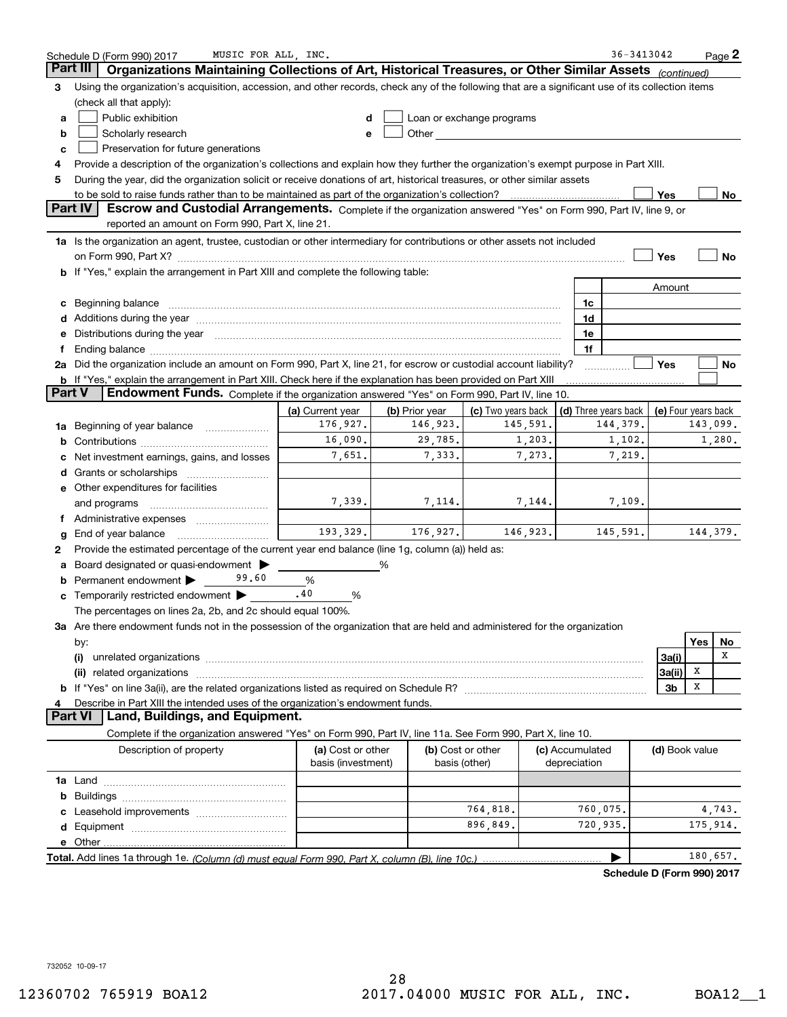|        | MUSIC FOR ALL, INC.<br>Schedule D (Form 990) 2017                                                                                                                                                                              |                                         |                |                                                                                                                                                                                                                               |                                 | 36-3413042                 |                     |          | Page 2 |
|--------|--------------------------------------------------------------------------------------------------------------------------------------------------------------------------------------------------------------------------------|-----------------------------------------|----------------|-------------------------------------------------------------------------------------------------------------------------------------------------------------------------------------------------------------------------------|---------------------------------|----------------------------|---------------------|----------|--------|
|        | Part III<br>Organizations Maintaining Collections of Art, Historical Treasures, or Other Similar Assets (continued)                                                                                                            |                                         |                |                                                                                                                                                                                                                               |                                 |                            |                     |          |        |
| 3      | Using the organization's acquisition, accession, and other records, check any of the following that are a significant use of its collection items                                                                              |                                         |                |                                                                                                                                                                                                                               |                                 |                            |                     |          |        |
|        | (check all that apply):                                                                                                                                                                                                        |                                         |                |                                                                                                                                                                                                                               |                                 |                            |                     |          |        |
| a      | Public exhibition                                                                                                                                                                                                              |                                         |                | Loan or exchange programs                                                                                                                                                                                                     |                                 |                            |                     |          |        |
| b      | Scholarly research                                                                                                                                                                                                             |                                         |                | Other and the contract of the contract of the contract of the contract of the contract of the contract of the contract of the contract of the contract of the contract of the contract of the contract of the contract of the |                                 |                            |                     |          |        |
| c      | Preservation for future generations                                                                                                                                                                                            |                                         |                |                                                                                                                                                                                                                               |                                 |                            |                     |          |        |
| 4      | Provide a description of the organization's collections and explain how they further the organization's exempt purpose in Part XIII.                                                                                           |                                         |                |                                                                                                                                                                                                                               |                                 |                            |                     |          |        |
| 5      | During the year, did the organization solicit or receive donations of art, historical treasures, or other similar assets                                                                                                       |                                         |                |                                                                                                                                                                                                                               |                                 |                            |                     |          |        |
|        | to be sold to raise funds rather than to be maintained as part of the organization's collection?                                                                                                                               |                                         |                |                                                                                                                                                                                                                               |                                 |                            | Yes                 |          | No     |
|        | <b>Part IV</b><br>Escrow and Custodial Arrangements. Complete if the organization answered "Yes" on Form 990, Part IV, line 9, or<br>reported an amount on Form 990, Part X, line 21.                                          |                                         |                |                                                                                                                                                                                                                               |                                 |                            |                     |          |        |
|        | 1a Is the organization an agent, trustee, custodian or other intermediary for contributions or other assets not included                                                                                                       |                                         |                |                                                                                                                                                                                                                               |                                 |                            |                     |          |        |
|        |                                                                                                                                                                                                                                |                                         |                |                                                                                                                                                                                                                               |                                 |                            | Yes                 |          | No     |
|        | b If "Yes," explain the arrangement in Part XIII and complete the following table:                                                                                                                                             |                                         |                |                                                                                                                                                                                                                               |                                 |                            |                     |          |        |
|        |                                                                                                                                                                                                                                |                                         |                |                                                                                                                                                                                                                               |                                 |                            | Amount              |          |        |
| c      | Beginning balance material content contracts and all the content of the content of the content of the content of the content of the content of the content of the content of the content of the content of the content of the  |                                         |                |                                                                                                                                                                                                                               | 1c                              |                            |                     |          |        |
|        | Additions during the year manufactured and an annual contract of the year manufactured and all the year manufactured and all the year manufactured and all the year manufactured and all the year manufactured and all the yea |                                         |                |                                                                                                                                                                                                                               | 1d                              |                            |                     |          |        |
| е      | Distributions during the year manufactured and an account of the state of the state of the state of the state o                                                                                                                |                                         |                |                                                                                                                                                                                                                               | 1e                              |                            |                     |          |        |
| f      |                                                                                                                                                                                                                                |                                         |                |                                                                                                                                                                                                                               | 1f                              |                            |                     |          |        |
|        | 2a Did the organization include an amount on Form 990, Part X, line 21, for escrow or custodial account liability?                                                                                                             |                                         |                |                                                                                                                                                                                                                               |                                 |                            | Yes                 |          | No     |
|        | <b>b</b> If "Yes," explain the arrangement in Part XIII. Check here if the explanation has been provided on Part XIII                                                                                                          |                                         |                |                                                                                                                                                                                                                               |                                 |                            |                     |          |        |
| Part V | Endowment Funds. Complete if the organization answered "Yes" on Form 990, Part IV, line 10.                                                                                                                                    |                                         |                |                                                                                                                                                                                                                               |                                 |                            |                     |          |        |
|        |                                                                                                                                                                                                                                | (a) Current year                        | (b) Prior year | (c) Two years back                                                                                                                                                                                                            |                                 | (d) Three years back       | (e) Four years back |          |        |
| 1a     | Beginning of year balance                                                                                                                                                                                                      | 176,927.                                | 146,923.       | 145,591.                                                                                                                                                                                                                      |                                 | 144,379.                   |                     | 143,099. |        |
| b      |                                                                                                                                                                                                                                | 16,090.                                 | 29,785.        | 1,203.                                                                                                                                                                                                                        |                                 | 1,102.                     |                     |          | 1,280. |
| с      | Net investment earnings, gains, and losses                                                                                                                                                                                     | 7,651.                                  | 7,333.         | 7,273.                                                                                                                                                                                                                        |                                 | 7,219.                     |                     |          |        |
| d      |                                                                                                                                                                                                                                |                                         |                |                                                                                                                                                                                                                               |                                 |                            |                     |          |        |
|        | e Other expenditures for facilities                                                                                                                                                                                            |                                         |                |                                                                                                                                                                                                                               |                                 |                            |                     |          |        |
|        | and programs                                                                                                                                                                                                                   | 7,339.                                  | 7,114.         | 7,144.                                                                                                                                                                                                                        |                                 | 7,109.                     |                     |          |        |
|        |                                                                                                                                                                                                                                |                                         |                |                                                                                                                                                                                                                               |                                 |                            |                     |          |        |
| g      | End of year balance                                                                                                                                                                                                            | 193,329.                                | 176,927.       | 146,923.                                                                                                                                                                                                                      |                                 | 145,591.                   |                     | 144,379. |        |
| 2      | Provide the estimated percentage of the current year end balance (line 1g, column (a)) held as:                                                                                                                                |                                         |                |                                                                                                                                                                                                                               |                                 |                            |                     |          |        |
| а      | Board designated or quasi-endowment                                                                                                                                                                                            |                                         | %              |                                                                                                                                                                                                                               |                                 |                            |                     |          |        |
|        | Permanent endowment<br>99.60                                                                                                                                                                                                   | %                                       |                |                                                                                                                                                                                                                               |                                 |                            |                     |          |        |
|        | <b>c</b> Temporarily restricted endowment $\blacktriangleright$                                                                                                                                                                | .40<br>%                                |                |                                                                                                                                                                                                                               |                                 |                            |                     |          |        |
|        | The percentages on lines 2a, 2b, and 2c should equal 100%.                                                                                                                                                                     |                                         |                |                                                                                                                                                                                                                               |                                 |                            |                     |          |        |
|        | 3a Are there endowment funds not in the possession of the organization that are held and administered for the organization                                                                                                     |                                         |                |                                                                                                                                                                                                                               |                                 |                            |                     |          |        |
|        | by:                                                                                                                                                                                                                            |                                         |                |                                                                                                                                                                                                                               |                                 |                            |                     | Yes      | No     |
|        | (i)                                                                                                                                                                                                                            |                                         |                |                                                                                                                                                                                                                               |                                 |                            | 3a(i)               |          | х      |
|        |                                                                                                                                                                                                                                |                                         |                |                                                                                                                                                                                                                               |                                 |                            | 3a(ii)              | x        |        |
|        |                                                                                                                                                                                                                                |                                         |                |                                                                                                                                                                                                                               |                                 |                            | 3b                  | X        |        |
| 4      | Describe in Part XIII the intended uses of the organization's endowment funds.                                                                                                                                                 |                                         |                |                                                                                                                                                                                                                               |                                 |                            |                     |          |        |
|        | Land, Buildings, and Equipment.<br>Part VI                                                                                                                                                                                     |                                         |                |                                                                                                                                                                                                                               |                                 |                            |                     |          |        |
|        | Complete if the organization answered "Yes" on Form 990, Part IV, line 11a. See Form 990, Part X, line 10.                                                                                                                     |                                         |                |                                                                                                                                                                                                                               |                                 |                            |                     |          |        |
|        | Description of property                                                                                                                                                                                                        | (a) Cost or other<br>basis (investment) |                | (b) Cost or other<br>basis (other)                                                                                                                                                                                            | (c) Accumulated<br>depreciation |                            | (d) Book value      |          |        |
|        |                                                                                                                                                                                                                                |                                         |                |                                                                                                                                                                                                                               |                                 |                            |                     |          |        |
| b      |                                                                                                                                                                                                                                |                                         |                |                                                                                                                                                                                                                               |                                 |                            |                     |          |        |
|        |                                                                                                                                                                                                                                |                                         |                | 764,818.                                                                                                                                                                                                                      |                                 | 760,075.                   |                     |          | 4,743. |
| d      |                                                                                                                                                                                                                                |                                         |                | 896,849.                                                                                                                                                                                                                      |                                 | 720,935.                   |                     | 175,914. |        |
|        | <b>e</b> Other                                                                                                                                                                                                                 |                                         |                |                                                                                                                                                                                                                               |                                 |                            |                     |          |        |
|        |                                                                                                                                                                                                                                |                                         |                |                                                                                                                                                                                                                               |                                 |                            |                     | 180,657. |        |
|        |                                                                                                                                                                                                                                |                                         |                |                                                                                                                                                                                                                               |                                 | Schedule D (Form 990) 2017 |                     |          |        |

732052 10-09-17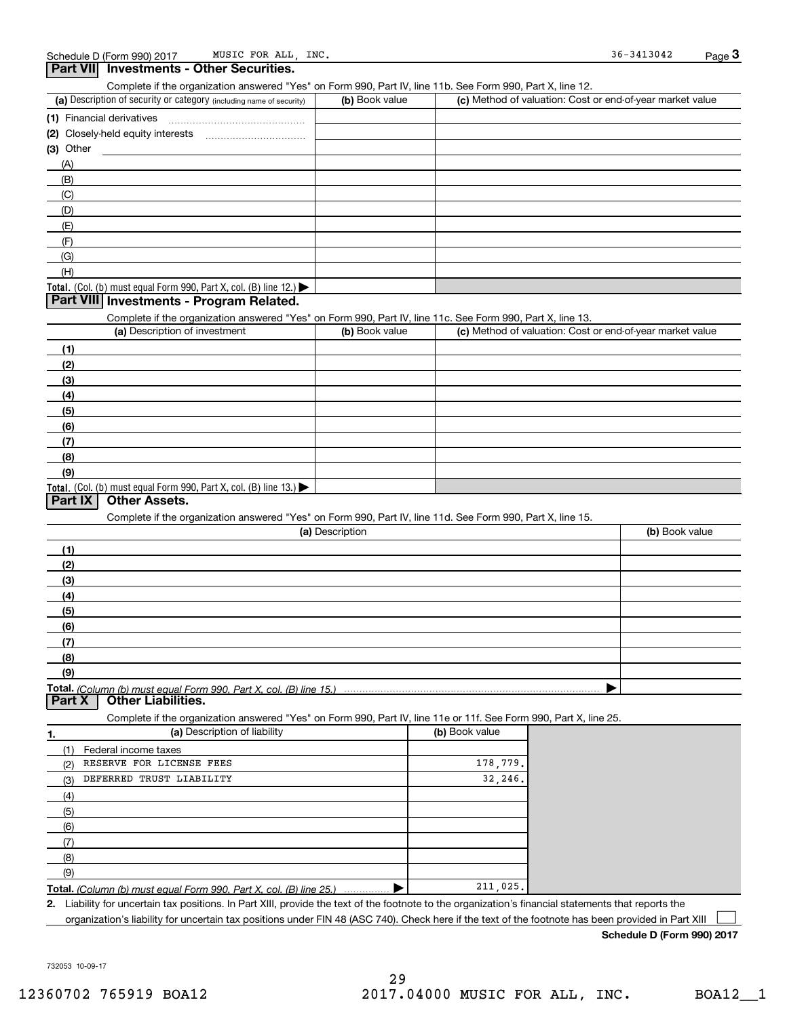| Complete if the organization answered "Yes" on Form 990, Part IV, line 11b. See Form 990, Part X, line 12.        |                 |                                                           |                |
|-------------------------------------------------------------------------------------------------------------------|-----------------|-----------------------------------------------------------|----------------|
| (a) Description of security or category (including name of security)                                              | (b) Book value  | (c) Method of valuation: Cost or end-of-year market value |                |
| (1) Financial derivatives                                                                                         |                 |                                                           |                |
|                                                                                                                   |                 |                                                           |                |
| $(3)$ Other                                                                                                       |                 |                                                           |                |
| (A)                                                                                                               |                 |                                                           |                |
| (B)                                                                                                               |                 |                                                           |                |
| (C)                                                                                                               |                 |                                                           |                |
| (D)                                                                                                               |                 |                                                           |                |
| (E)                                                                                                               |                 |                                                           |                |
| (F)                                                                                                               |                 |                                                           |                |
| (G)                                                                                                               |                 |                                                           |                |
| (H)                                                                                                               |                 |                                                           |                |
| Total. (Col. (b) must equal Form 990, Part X, col. (B) line $12$ .)                                               |                 |                                                           |                |
| Part VIII Investments - Program Related.                                                                          |                 |                                                           |                |
| Complete if the organization answered "Yes" on Form 990, Part IV, line 11c. See Form 990, Part X, line 13.        |                 |                                                           |                |
| (a) Description of investment                                                                                     | (b) Book value  | (c) Method of valuation: Cost or end-of-year market value |                |
|                                                                                                                   |                 |                                                           |                |
| (1)                                                                                                               |                 |                                                           |                |
| (2)                                                                                                               |                 |                                                           |                |
| (3)                                                                                                               |                 |                                                           |                |
| (4)                                                                                                               |                 |                                                           |                |
| (5)                                                                                                               |                 |                                                           |                |
| (6)                                                                                                               |                 |                                                           |                |
| (7)                                                                                                               |                 |                                                           |                |
| (8)                                                                                                               |                 |                                                           |                |
| (9)                                                                                                               |                 |                                                           |                |
| Total. (Col. (b) must equal Form 990, Part X, col. (B) line $13.$                                                 |                 |                                                           |                |
| Part IX<br><b>Other Assets.</b>                                                                                   |                 |                                                           |                |
| Complete if the organization answered "Yes" on Form 990, Part IV, line 11d. See Form 990, Part X, line 15.        |                 |                                                           |                |
|                                                                                                                   | (a) Description |                                                           | (b) Book value |
| (1)                                                                                                               |                 |                                                           |                |
| (2)                                                                                                               |                 |                                                           |                |
| (3)                                                                                                               |                 |                                                           |                |
| (4)                                                                                                               |                 |                                                           |                |
| (5)                                                                                                               |                 |                                                           |                |
| (6)                                                                                                               |                 |                                                           |                |
|                                                                                                                   |                 |                                                           |                |
| (7)                                                                                                               |                 |                                                           |                |
| (8)                                                                                                               |                 |                                                           |                |
| (9)                                                                                                               |                 |                                                           |                |
|                                                                                                                   |                 |                                                           |                |
| Part X<br><b>Other Liabilities.</b>                                                                               |                 |                                                           |                |
| Complete if the organization answered "Yes" on Form 990, Part IV, line 11e or 11f. See Form 990, Part X, line 25. |                 |                                                           |                |
| (a) Description of liability<br>1.                                                                                |                 | (b) Book value                                            |                |
| Federal income taxes<br>(1)                                                                                       |                 |                                                           |                |
| RESERVE FOR LICENSE FEES<br>(2)                                                                                   |                 | 178.779.                                                  |                |
| DEFERRED TRUST LIABILITY<br>(3)                                                                                   |                 | 32,246.                                                   |                |
| (4)                                                                                                               |                 |                                                           |                |
| (5)                                                                                                               |                 |                                                           |                |
|                                                                                                                   |                 |                                                           |                |
| (6)                                                                                                               |                 |                                                           |                |
| (7)                                                                                                               |                 |                                                           |                |
| (8)                                                                                                               |                 |                                                           |                |
| (9)<br><b>Total.</b> (Column (b) must equal Form 990, Part X, col. (B) line 25.)                                  |                 | 211,025.                                                  |                |

2. Liability for uncertain tax positions. In Part XIII, provide the text of the footnote to the organization's financial statements that reports the organization's liability for uncertain tax positions under FIN 48 (ASC 740). Check here if the text of the footnote has been provided in Part XIII  $\begin{array}{c} \hline \end{array}$ 

Schedule D (Form 990) 2017

732053 10-09-17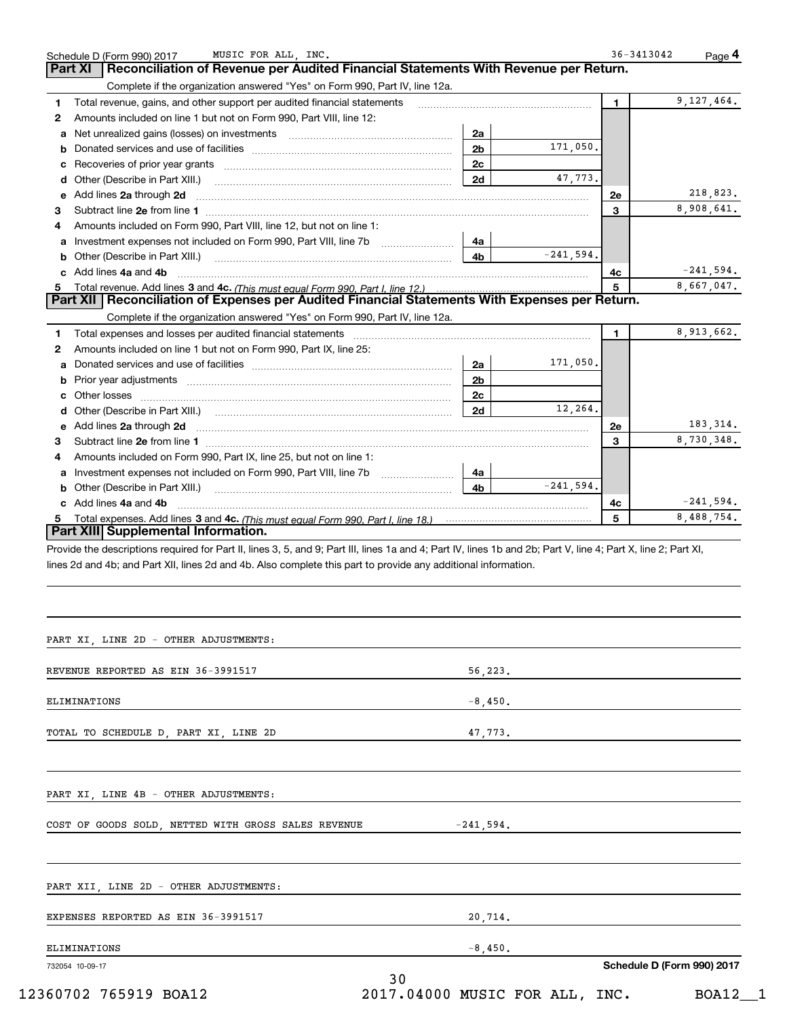|              | MUSIC FOR ALL, INC.<br>Schedule D (Form 990) 2017                                                                                                                      |                |             | 36-3413042  | Page 4      |
|--------------|------------------------------------------------------------------------------------------------------------------------------------------------------------------------|----------------|-------------|-------------|-------------|
|              | Reconciliation of Revenue per Audited Financial Statements With Revenue per Return.<br><b>Part XI</b>                                                                  |                |             |             |             |
|              | Complete if the organization answered "Yes" on Form 990, Part IV, line 12a.                                                                                            |                |             |             |             |
| 1            | Total revenue, gains, and other support per audited financial statements                                                                                               |                |             | $\mathbf 1$ | 9,127,464.  |
| $\mathbf{2}$ | Amounts included on line 1 but not on Form 990, Part VIII, line 12:                                                                                                    |                |             |             |             |
| a            |                                                                                                                                                                        | 2a             |             |             |             |
| b            |                                                                                                                                                                        | 2 <sub>b</sub> | 171,050.    |             |             |
| с            |                                                                                                                                                                        | 2 <sub>c</sub> |             |             |             |
| d            | Other (Describe in Part XIII.)                                                                                                                                         | 2d             | 47,773.     |             |             |
| е            | Add lines 2a through 2d                                                                                                                                                |                |             | 2e          | 218,823.    |
| З.           |                                                                                                                                                                        |                |             | 3           | 8,908,641.  |
| 4            | Amounts included on Form 990, Part VIII, line 12, but not on line 1:                                                                                                   |                |             |             |             |
| a            | Investment expenses not included on Form 990, Part VIII, line 7b                                                                                                       | 4a             |             |             |             |
| b            | Other (Describe in Part XIII.)                                                                                                                                         | 4b             | $-241,594.$ |             |             |
| c            | Add lines 4a and 4b                                                                                                                                                    |                |             | 4с          | $-241,594.$ |
| 5.           |                                                                                                                                                                        |                |             | 5           | 8,667,047.  |
|              | Part XII   Reconciliation of Expenses per Audited Financial Statements With Expenses per Return.                                                                       |                |             |             |             |
|              | Complete if the organization answered "Yes" on Form 990, Part IV, line 12a.                                                                                            |                |             |             |             |
| 1            |                                                                                                                                                                        |                |             | 1.          | 8,913,662.  |
| 2            | Amounts included on line 1 but not on Form 990, Part IX, line 25:                                                                                                      |                |             |             |             |
| a            |                                                                                                                                                                        | 2a             | 171,050.    |             |             |
| b            |                                                                                                                                                                        | 2b             |             |             |             |
| с            |                                                                                                                                                                        | 2 <sub>c</sub> |             |             |             |
| d            |                                                                                                                                                                        | 2d             | 12,264.     |             |             |
| е            | Add lines 2a through 2d                                                                                                                                                |                |             | 2e          | 183, 314.   |
| З.           |                                                                                                                                                                        |                |             | 3           | 8,730,348.  |
| 4            | Amounts included on Form 990, Part IX, line 25, but not on line 1:                                                                                                     |                |             |             |             |
| a            | Investment expenses not included on Form 990, Part VIII, line 7b                                                                                                       | 4a             |             |             |             |
| b            | Other (Describe in Part XIII.) [100] [100] [100] [100] [100] [100] [100] [100] [100] [100] [100] [100] [100] [                                                         | 4b             | $-241.594.$ |             |             |
|              | c Add lines 4a and 4b                                                                                                                                                  |                |             | 4c          | $-241,594.$ |
| 5.           | Total expenses. Add lines 3 and 4c. (This must equal Form 990. Part I. line 18.) <i>manumeroness.</i> Add lines 3 and 4c. (This must equal Form 990. Part I. line 18.) |                |             | 5           | 8,488,754.  |
|              | Part XIII Supplemental Information.                                                                                                                                    |                |             |             |             |
|              | Provide the descriptions required for Part II, lines 3, 5, and 9; Part III, lines 1a and 4; Part IV, lines 1b and 2b; Part V, line 4; Part X, line 2; Part XI,         |                |             |             |             |
|              | lines 2d and 4b; and Part XII, lines 2d and 4b. Also complete this part to provide any additional information.                                                         |                |             |             |             |
|              |                                                                                                                                                                        |                |             |             |             |
|              |                                                                                                                                                                        |                |             |             |             |
|              |                                                                                                                                                                        |                |             |             |             |
|              |                                                                                                                                                                        |                |             |             |             |
|              | PART XI, LINE 2D - OTHER ADJUSTMENTS:                                                                                                                                  |                |             |             |             |
|              |                                                                                                                                                                        |                |             |             |             |
|              | REVENUE REPORTED AS EIN 36-3991517                                                                                                                                     | 56,223.        |             |             |             |
|              |                                                                                                                                                                        |                |             |             |             |
|              | ELIMINATIONS                                                                                                                                                           | $-8,450.$      |             |             |             |
|              |                                                                                                                                                                        |                |             |             |             |
|              | TOTAL TO SCHEDULE D, PART XI, LINE 2D                                                                                                                                  | 47,773.        |             |             |             |
|              |                                                                                                                                                                        |                |             |             |             |
|              |                                                                                                                                                                        |                |             |             |             |
|              |                                                                                                                                                                        |                |             |             |             |
|              |                                                                                                                                                                        |                |             |             |             |

PART XI, LINE 4B - OTHER ADJUSTMENTS:

COST OF GOODS SOLD, NETTED WITH GROSS SALES REVENUE -241,594.

732054 10-09-17 Schedule D (Form 990) 2017 PART XII, LINE 2D - OTHER ADJUSTMENTS: EXPENSES REPORTED AS EIN 36-3991517 20,714. ELIMINATIONS -8,450. 30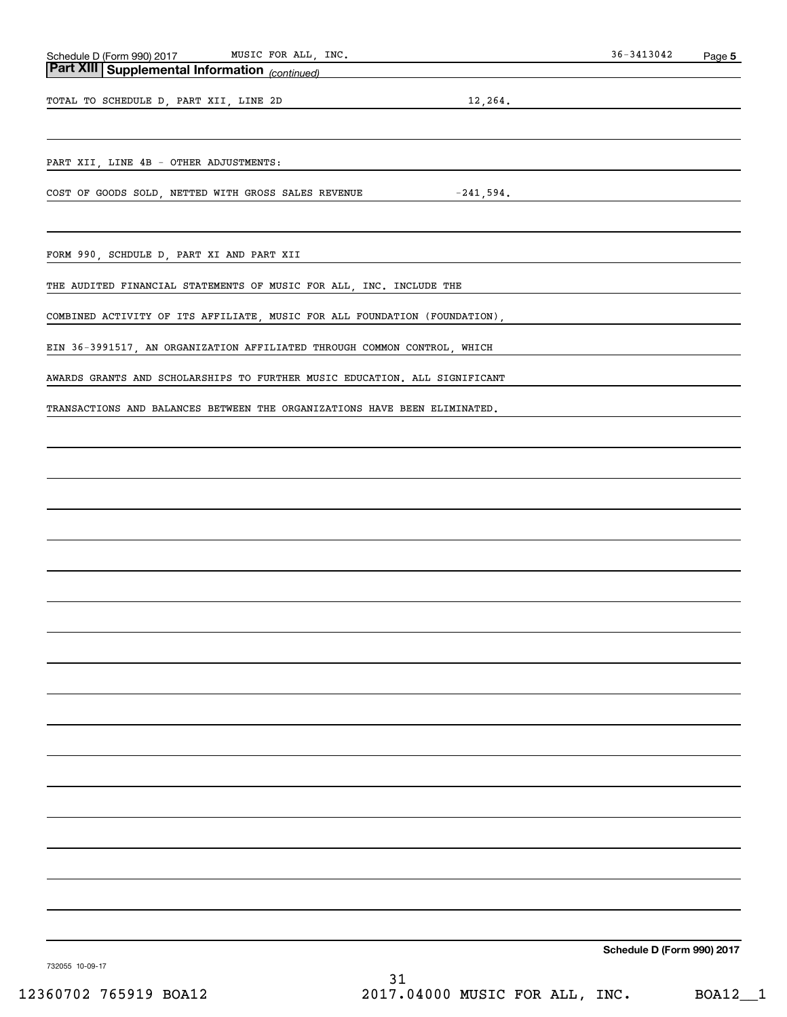## Part XIII Supplemental Information (continued)

TOTAL TO SCHEDULE D, PART XII, LINE 2D 12,264.

PART XII, LINE 4B - OTHER ADJUSTMENTS:

COST OF GOODS SOLD, NETTED WITH GROSS SALES REVENUE  $-241,594$ .

FORM 990, SCHDULE D, PART XI AND PART XII

THE AUDITED FINANCIAL STATEMENTS OF MUSIC FOR ALL, INC. INCLUDE THE

COMBINED ACTIVITY OF ITS AFFILIATE, MUSIC FOR ALL FOUNDATION (FOUNDATION),

EIN 36-3991517, AN ORGANIZATION AFFILIATED THROUGH COMMON CONTROL, WHICH

AWARDS GRANTS AND SCHOLARSHIPS TO FURTHER MUSIC EDUCATION. ALL SIGNIFICANT

TRANSACTIONS AND BALANCES BETWEEN THE ORGANIZATIONS HAVE BEEN ELIMINATED.

Schedule D (Form 990) 2017

732055 10-09-17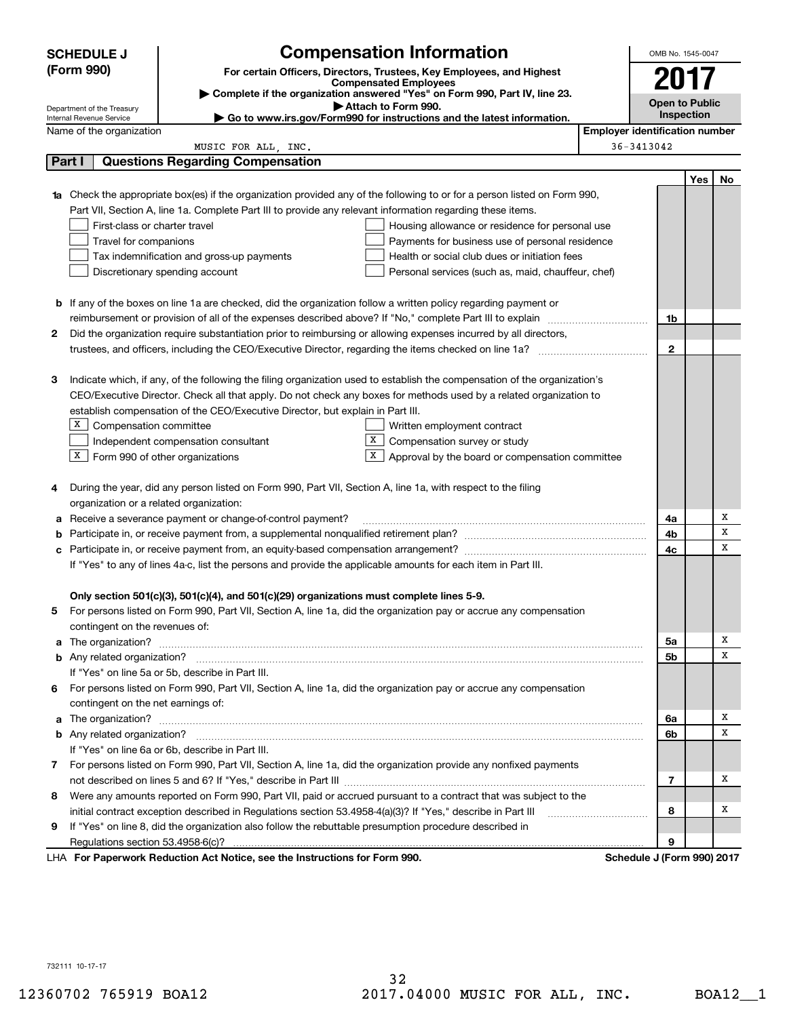|        | <b>SCHEDULE J</b>                                      |                                                                                                               | <b>Compensation Information</b>                                                                                                  |                                       | OMB No. 1545-0047          |     |    |
|--------|--------------------------------------------------------|---------------------------------------------------------------------------------------------------------------|----------------------------------------------------------------------------------------------------------------------------------|---------------------------------------|----------------------------|-----|----|
|        | (Form 990)                                             |                                                                                                               | For certain Officers, Directors, Trustees, Key Employees, and Highest                                                            |                                       |                            |     |    |
|        |                                                        |                                                                                                               | <b>Compensated Employees</b>                                                                                                     |                                       | 2017                       |     |    |
|        |                                                        |                                                                                                               | Complete if the organization answered "Yes" on Form 990, Part IV, line 23.<br>Attach to Form 990.                                |                                       | <b>Open to Public</b>      |     |    |
|        | Department of the Treasury<br>Internal Revenue Service |                                                                                                               | Go to www.irs.gov/Form990 for instructions and the latest information.                                                           |                                       | <b>Inspection</b>          |     |    |
|        | Name of the organization                               |                                                                                                               |                                                                                                                                  | <b>Employer identification number</b> |                            |     |    |
|        |                                                        | MUSIC FOR ALL, INC.                                                                                           |                                                                                                                                  |                                       | 36-3413042                 |     |    |
| Part I |                                                        | <b>Questions Regarding Compensation</b>                                                                       |                                                                                                                                  |                                       |                            |     |    |
|        |                                                        |                                                                                                               |                                                                                                                                  |                                       |                            | Yes | No |
|        |                                                        |                                                                                                               | <b>1a</b> Check the appropriate box(es) if the organization provided any of the following to or for a person listed on Form 990, |                                       |                            |     |    |
|        |                                                        | Part VII, Section A, line 1a. Complete Part III to provide any relevant information regarding these items.    |                                                                                                                                  |                                       |                            |     |    |
|        | First-class or charter travel                          |                                                                                                               | Housing allowance or residence for personal use                                                                                  |                                       |                            |     |    |
|        | Travel for companions                                  |                                                                                                               | Payments for business use of personal residence                                                                                  |                                       |                            |     |    |
|        |                                                        | Tax indemnification and gross-up payments                                                                     | Health or social club dues or initiation fees                                                                                    |                                       |                            |     |    |
|        |                                                        | Discretionary spending account                                                                                | Personal services (such as, maid, chauffeur, chef)                                                                               |                                       |                            |     |    |
|        |                                                        |                                                                                                               |                                                                                                                                  |                                       |                            |     |    |
|        |                                                        |                                                                                                               | <b>b</b> If any of the boxes on line 1a are checked, did the organization follow a written policy regarding payment or           |                                       |                            |     |    |
|        |                                                        |                                                                                                               |                                                                                                                                  |                                       | 1b                         |     |    |
| 2      |                                                        |                                                                                                               | Did the organization require substantiation prior to reimbursing or allowing expenses incurred by all directors,                 |                                       |                            |     |    |
|        |                                                        |                                                                                                               |                                                                                                                                  |                                       | $\mathbf{2}$               |     |    |
|        |                                                        |                                                                                                               |                                                                                                                                  |                                       |                            |     |    |
| З      |                                                        |                                                                                                               | Indicate which, if any, of the following the filing organization used to establish the compensation of the organization's        |                                       |                            |     |    |
|        |                                                        |                                                                                                               | CEO/Executive Director. Check all that apply. Do not check any boxes for methods used by a related organization to               |                                       |                            |     |    |
|        |                                                        | establish compensation of the CEO/Executive Director, but explain in Part III.                                |                                                                                                                                  |                                       |                            |     |    |
|        | X  <br>Compensation committee                          |                                                                                                               | Written employment contract                                                                                                      |                                       |                            |     |    |
|        |                                                        | Independent compensation consultant                                                                           | X<br>Compensation survey or study                                                                                                |                                       |                            |     |    |
|        | $X$ Form 990 of other organizations                    |                                                                                                               | X<br>Approval by the board or compensation committee                                                                             |                                       |                            |     |    |
|        |                                                        |                                                                                                               |                                                                                                                                  |                                       |                            |     |    |
| 4      |                                                        | During the year, did any person listed on Form 990, Part VII, Section A, line 1a, with respect to the filing  |                                                                                                                                  |                                       |                            |     |    |
|        | organization or a related organization:                |                                                                                                               |                                                                                                                                  |                                       |                            |     |    |
| а      |                                                        | Receive a severance payment or change-of-control payment?                                                     |                                                                                                                                  |                                       | 4a                         |     | Х  |
| b      |                                                        |                                                                                                               |                                                                                                                                  |                                       | 4b                         |     | х  |
| с      |                                                        |                                                                                                               |                                                                                                                                  |                                       | 4c                         |     | х  |
|        |                                                        | If "Yes" to any of lines 4a-c, list the persons and provide the applicable amounts for each item in Part III. |                                                                                                                                  |                                       |                            |     |    |
|        |                                                        |                                                                                                               |                                                                                                                                  |                                       |                            |     |    |
|        |                                                        | Only section 501(c)(3), 501(c)(4), and 501(c)(29) organizations must complete lines 5-9.                      |                                                                                                                                  |                                       |                            |     |    |
|        |                                                        |                                                                                                               | For persons listed on Form 990, Part VII, Section A, line 1a, did the organization pay or accrue any compensation                |                                       |                            |     |    |
|        | contingent on the revenues of:                         |                                                                                                               |                                                                                                                                  |                                       |                            |     |    |
|        |                                                        |                                                                                                               | a The organization? <b>Constitution</b> and the organization?                                                                    |                                       | 5a                         |     | х  |
|        |                                                        |                                                                                                               |                                                                                                                                  |                                       | 5b                         |     | х  |
|        |                                                        | If "Yes" on line 5a or 5b, describe in Part III.                                                              |                                                                                                                                  |                                       |                            |     |    |
| 6.     |                                                        |                                                                                                               | For persons listed on Form 990, Part VII, Section A, line 1a, did the organization pay or accrue any compensation                |                                       |                            |     |    |
|        | contingent on the net earnings of:                     |                                                                                                               |                                                                                                                                  |                                       |                            |     |    |
|        |                                                        |                                                                                                               |                                                                                                                                  |                                       | 6a                         |     | x  |
|        |                                                        |                                                                                                               |                                                                                                                                  |                                       | 6b                         |     | х  |
|        |                                                        | If "Yes" on line 6a or 6b, describe in Part III.                                                              |                                                                                                                                  |                                       |                            |     |    |
|        |                                                        |                                                                                                               | 7 For persons listed on Form 990, Part VII, Section A, line 1a, did the organization provide any nonfixed payments               |                                       |                            |     |    |
|        |                                                        |                                                                                                               |                                                                                                                                  |                                       | 7                          |     | Х  |
| 8      |                                                        |                                                                                                               | Were any amounts reported on Form 990, Part VII, paid or accrued pursuant to a contract that was subject to the                  |                                       |                            |     |    |
|        |                                                        | initial contract exception described in Regulations section 53.4958-4(a)(3)? If "Yes," describe in Part III   |                                                                                                                                  |                                       | 8                          |     | х  |
| 9      |                                                        | If "Yes" on line 8, did the organization also follow the rebuttable presumption procedure described in        |                                                                                                                                  |                                       |                            |     |    |
|        |                                                        |                                                                                                               |                                                                                                                                  |                                       | 9                          |     |    |
|        |                                                        | LHA For Paperwork Reduction Act Notice, see the Instructions for Form 990.                                    |                                                                                                                                  |                                       | Schedule J (Form 990) 2017 |     |    |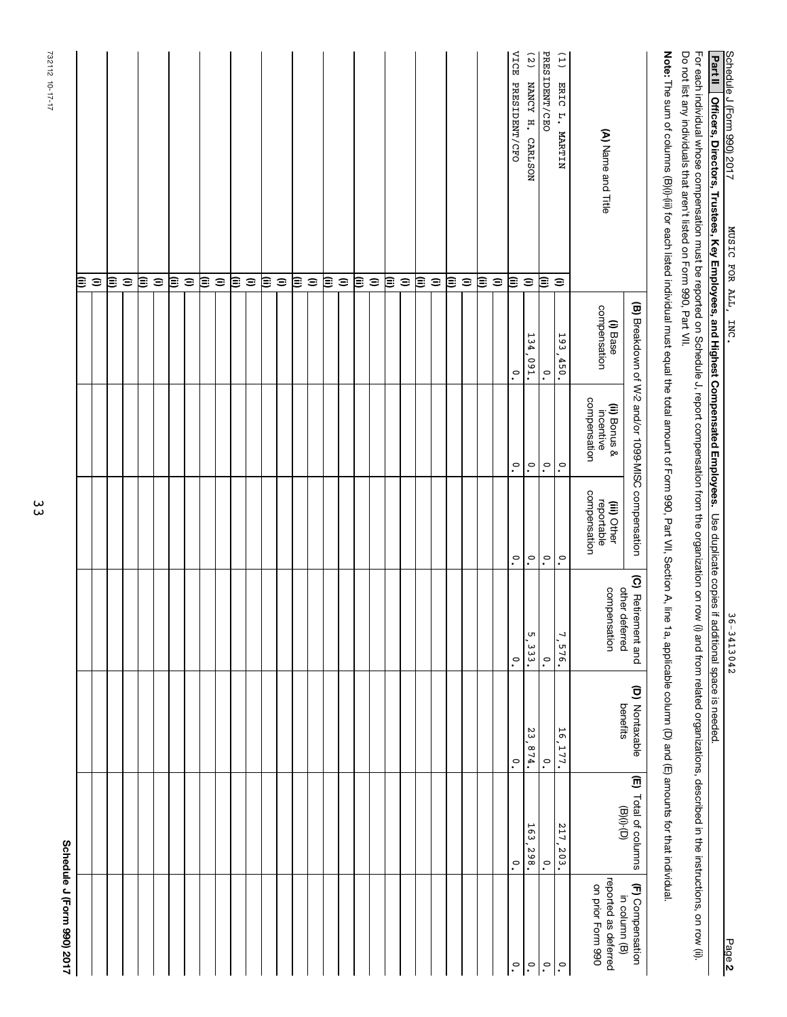| Schedule J (Form 990) 2017                |                                |                            |                                      |                                           |                                                    |                          | 71-57-01 17-17                                                                                                                                                                                                                                                                        |
|-------------------------------------------|--------------------------------|----------------------------|--------------------------------------|-------------------------------------------|----------------------------------------------------|--------------------------|---------------------------------------------------------------------------------------------------------------------------------------------------------------------------------------------------------------------------------------------------------------------------------------|
|                                           |                                |                            |                                      |                                           |                                                    |                          | (ii)                                                                                                                                                                                                                                                                                  |
|                                           |                                |                            |                                      |                                           |                                                    |                          | $\widehat{\phantom{a}}$                                                                                                                                                                                                                                                               |
|                                           |                                |                            |                                      |                                           |                                                    |                          | ι≣                                                                                                                                                                                                                                                                                    |
|                                           |                                |                            |                                      |                                           |                                                    |                          | $\mathrel{\widehat{=}}$                                                                                                                                                                                                                                                               |
|                                           |                                |                            |                                      |                                           |                                                    |                          | ≋                                                                                                                                                                                                                                                                                     |
|                                           |                                |                            |                                      |                                           |                                                    |                          | $\mathrel{\widehat{=}}$                                                                                                                                                                                                                                                               |
|                                           |                                |                            |                                      |                                           |                                                    |                          | ι≣                                                                                                                                                                                                                                                                                    |
|                                           |                                |                            |                                      |                                           |                                                    |                          | $\mathrel{\widehat{=}}$                                                                                                                                                                                                                                                               |
|                                           |                                |                            |                                      |                                           |                                                    |                          | ι≣                                                                                                                                                                                                                                                                                    |
|                                           |                                |                            |                                      |                                           |                                                    |                          | $\widehat{=}$                                                                                                                                                                                                                                                                         |
|                                           |                                |                            |                                      |                                           |                                                    |                          | ι≣                                                                                                                                                                                                                                                                                    |
|                                           |                                |                            |                                      |                                           |                                                    |                          | $\widehat{=}$                                                                                                                                                                                                                                                                         |
|                                           |                                |                            |                                      |                                           |                                                    |                          | ι≣                                                                                                                                                                                                                                                                                    |
|                                           |                                |                            |                                      |                                           |                                                    |                          | $\widehat{=}$                                                                                                                                                                                                                                                                         |
|                                           |                                |                            |                                      |                                           |                                                    |                          | ι≣                                                                                                                                                                                                                                                                                    |
|                                           |                                |                            |                                      |                                           |                                                    |                          | $\widehat{=}$                                                                                                                                                                                                                                                                         |
|                                           |                                |                            |                                      |                                           |                                                    |                          | ι≣                                                                                                                                                                                                                                                                                    |
|                                           |                                |                            |                                      |                                           |                                                    |                          | $\widehat{\phantom{a}}$                                                                                                                                                                                                                                                               |
|                                           |                                |                            |                                      |                                           |                                                    |                          | ≋                                                                                                                                                                                                                                                                                     |
|                                           |                                |                            |                                      |                                           |                                                    |                          | $\widehat{=}$                                                                                                                                                                                                                                                                         |
|                                           |                                |                            |                                      |                                           |                                                    |                          | ≋                                                                                                                                                                                                                                                                                     |
|                                           |                                |                            |                                      |                                           |                                                    |                          | $\mathrel{\widehat{=}}$                                                                                                                                                                                                                                                               |
|                                           |                                |                            |                                      |                                           |                                                    |                          | ≋                                                                                                                                                                                                                                                                                     |
|                                           |                                |                            |                                      |                                           |                                                    |                          | $\widehat{\phantom{a}}$                                                                                                                                                                                                                                                               |
|                                           |                                |                            |                                      |                                           |                                                    |                          | ι≣                                                                                                                                                                                                                                                                                    |
|                                           |                                |                            |                                      |                                           |                                                    |                          | $\widehat{=}$                                                                                                                                                                                                                                                                         |
|                                           |                                |                            |                                      |                                           |                                                    |                          | ≋                                                                                                                                                                                                                                                                                     |
|                                           |                                |                            |                                      |                                           |                                                    |                          | $\widehat{=}$                                                                                                                                                                                                                                                                         |
| $\cdot^{\circ}$                           | $\cdot$                        | $\cdot^{\circ}$            | $\ddot{\cdot}$                       | $\tilde{\cdot}$                           | $\tilde{\cdot}$                                    | .°                       | VICE PRESIDENT/CFO<br>ι≣                                                                                                                                                                                                                                                              |
| $\mathsf{e}_1$                            | 163,298.                       | 23.<br>.874.               | UЛ<br>່<br>3<br>3<br>•               | $\ddot{\circ}$                            | $\ddot{\circ}$                                     | 134,091.                 | (2)<br>NANCY H. CARLSON<br>$\widehat{\phantom{a}}$                                                                                                                                                                                                                                    |
| $\ddot{\cdot}$                            | $\cdot$                        | $\cdot$                    | $\cdot^{\circ}$                      | $\tilde{\cdot}$                           | $\tilde{\cdot}$                                    | $\cdot$                  | PRESIDENT/CEO<br>ι≣                                                                                                                                                                                                                                                                   |
| $ \raisebox{.4ex}{.}{\circ}$              | 217, 203.                      | $\overline{9}$<br>177.     | 7<br>$-576.$                         | $\ddot{\cdot}$                            | $\ddot{\circ}$                                     | 193,450.                 | (1)<br>ERIC L. MARTIN<br>$\widehat{\phantom{a}}$                                                                                                                                                                                                                                      |
| reported as deferred<br>on prior Form 990 |                                |                            | compensation                         | compensation<br>reportable<br>(iii) Other | compensation<br>(ii) Bonus &<br>incentive          | compensation<br>(i) Base | (A) Name and Title                                                                                                                                                                                                                                                                    |
| (F) Compensation<br>in column (B)         | (E) Total of columns<br>(0)(0) | (D) Nontaxable<br>benefits | (C) Retirement and<br>other deferred |                                           | (B) Breakdown of W-2 and/or 1099-MISC compensation |                          |                                                                                                                                                                                                                                                                                       |
|                                           |                                |                            |                                      |                                           |                                                    |                          | Note: The sum of columns (B)(i) if tor each listed individual must equal the total amount of Form 990, Part VII, Section A, line 1a, applicable column (D) and (E) amounts for that individual                                                                                        |
|                                           |                                |                            |                                      |                                           |                                                    |                          | Do not list any individuals that aren't listed on Form 990, Part VII.<br>For each individual whose compensation must be reported on Schedule J, report compensation from trom the organization on row (i) and from related organizations, described in the instructions, on row (ii). |
|                                           |                                |                            |                                      |                                           |                                                    |                          | <b>Part II</b><br>Officers, Directors, Trustees, Key Employees, and Highest Compensated Employees. Use duplicate copies if additional space is needed.                                                                                                                                |
| Page 2                                    |                                |                            | ω<br>$6 - 3413042$                   |                                           |                                                    | LNC.                     | Schedule J (Form 990) 2017<br>MUSIC FOR ALL,                                                                                                                                                                                                                                          |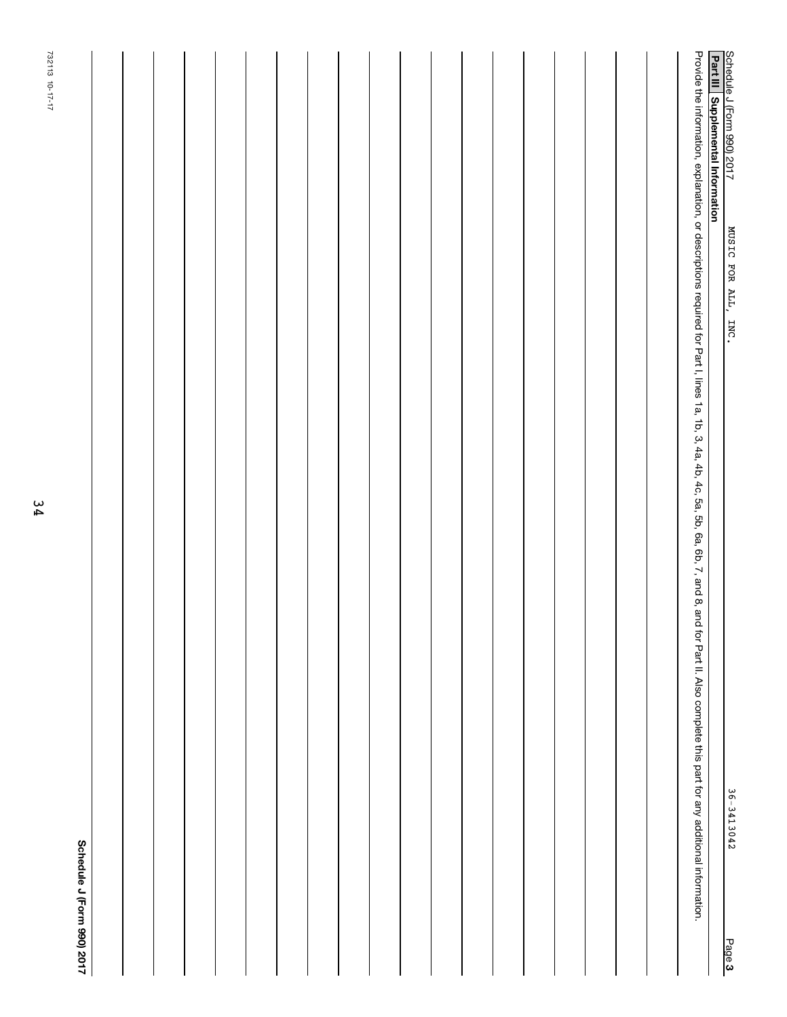|        | 732113 10-17-17                                                                                                                                                                                                                |  |
|--------|--------------------------------------------------------------------------------------------------------------------------------------------------------------------------------------------------------------------------------|--|
|        | Schedule J (Form 990) 2017                                                                                                                                                                                                     |  |
|        |                                                                                                                                                                                                                                |  |
|        |                                                                                                                                                                                                                                |  |
|        |                                                                                                                                                                                                                                |  |
|        |                                                                                                                                                                                                                                |  |
|        |                                                                                                                                                                                                                                |  |
|        |                                                                                                                                                                                                                                |  |
|        |                                                                                                                                                                                                                                |  |
|        |                                                                                                                                                                                                                                |  |
|        |                                                                                                                                                                                                                                |  |
|        |                                                                                                                                                                                                                                |  |
|        |                                                                                                                                                                                                                                |  |
|        |                                                                                                                                                                                                                                |  |
|        |                                                                                                                                                                                                                                |  |
|        |                                                                                                                                                                                                                                |  |
|        |                                                                                                                                                                                                                                |  |
|        |                                                                                                                                                                                                                                |  |
|        |                                                                                                                                                                                                                                |  |
|        |                                                                                                                                                                                                                                |  |
|        |                                                                                                                                                                                                                                |  |
|        | Provide the information, explanation, or descriptions required for Part I, lines 1a, 1b, 3, 4a, 4b, 53, 5b, 6a, 6b, 7, and 8, and for Part I, lines 1a, 4c, 5a, 6a, 6b, 7, and 8, and for Part II. Also complete this part for |  |
| Page 3 | Schedule J (Form 990) 2017<br>Part III   Supplemental Information<br>MUSIC FOR ALL,<br>INC.<br>36-3413042                                                                                                                      |  |
|        |                                                                                                                                                                                                                                |  |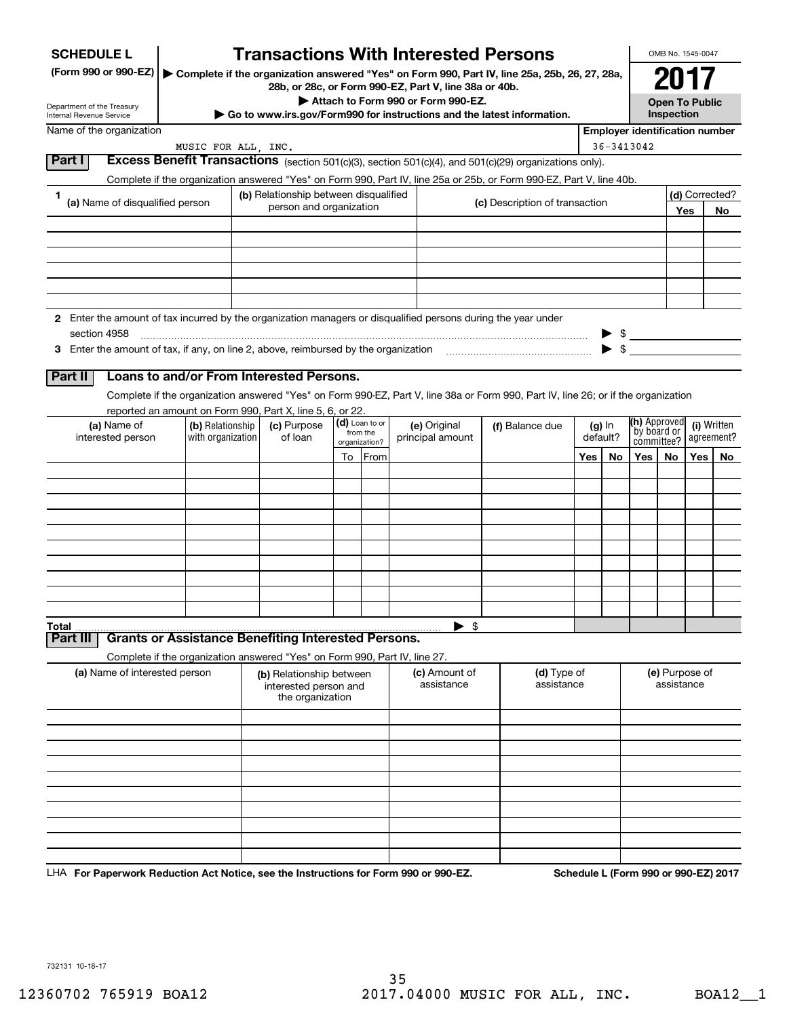| <b>SCHEDULE L</b>                                                                                             |                                                                            |                                           |                            | <b>Transactions With Interested Persons</b>                                                 |                                                                                                                                    |     |                      |                                       | OMB No. 1545-0047     |            |                           |
|---------------------------------------------------------------------------------------------------------------|----------------------------------------------------------------------------|-------------------------------------------|----------------------------|---------------------------------------------------------------------------------------------|------------------------------------------------------------------------------------------------------------------------------------|-----|----------------------|---------------------------------------|-----------------------|------------|---------------------------|
| (Form 990 or 990-EZ)                                                                                          |                                                                            |                                           |                            |                                                                                             | ▶ Complete if the organization answered "Yes" on Form 990, Part IV, line 25a, 25b, 26, 27, 28a,                                    |     |                      |                                       | 2017                  |            |                           |
| Department of the Treasury                                                                                    |                                                                            |                                           |                            | 28b, or 28c, or Form 990-EZ, Part V, line 38a or 40b.<br>Attach to Form 990 or Form 990-EZ. |                                                                                                                                    |     |                      |                                       | <b>Open To Public</b> |            |                           |
| Internal Revenue Service<br>Name of the organization                                                          |                                                                            |                                           |                            | $\cdot$ Go to www.irs.gov/Form990 for instructions and the latest information.              |                                                                                                                                    |     |                      | <b>Employer identification number</b> | Inspection            |            |                           |
|                                                                                                               | MUSIC FOR ALL, INC.                                                        |                                           |                            |                                                                                             |                                                                                                                                    |     |                      | 36-3413042                            |                       |            |                           |
| Part I                                                                                                        |                                                                            |                                           |                            |                                                                                             | Excess Benefit Transactions (section 501(c)(3), section 501(c)(4), and 501(c)(29) organizations only).                             |     |                      |                                       |                       |            |                           |
| 1.                                                                                                            |                                                                            | (b) Relationship between disqualified     |                            |                                                                                             | Complete if the organization answered "Yes" on Form 990, Part IV, line 25a or 25b, or Form 990-EZ, Part V, line 40b.               |     |                      |                                       |                       |            | (d) Corrected?            |
| (a) Name of disqualified person                                                                               |                                                                            | person and organization                   |                            |                                                                                             | (c) Description of transaction                                                                                                     |     |                      |                                       |                       | <b>Yes</b> | No                        |
|                                                                                                               |                                                                            |                                           |                            |                                                                                             |                                                                                                                                    |     |                      |                                       |                       |            |                           |
|                                                                                                               |                                                                            |                                           |                            |                                                                                             |                                                                                                                                    |     |                      |                                       |                       |            |                           |
|                                                                                                               |                                                                            |                                           |                            |                                                                                             |                                                                                                                                    |     |                      |                                       |                       |            |                           |
|                                                                                                               |                                                                            |                                           |                            |                                                                                             |                                                                                                                                    |     |                      |                                       |                       |            |                           |
| 2 Enter the amount of tax incurred by the organization managers or disqualified persons during the year under |                                                                            |                                           |                            |                                                                                             |                                                                                                                                    |     |                      |                                       |                       |            |                           |
| section 4958                                                                                                  |                                                                            |                                           |                            |                                                                                             |                                                                                                                                    |     |                      |                                       |                       |            |                           |
|                                                                                                               |                                                                            |                                           |                            |                                                                                             |                                                                                                                                    |     |                      |                                       |                       |            |                           |
| <b>Part II</b>                                                                                                | Loans to and/or From Interested Persons.                                   |                                           |                            |                                                                                             | Complete if the organization answered "Yes" on Form 990-EZ, Part V, line 38a or Form 990, Part IV, line 26; or if the organization |     |                      |                                       |                       |            |                           |
|                                                                                                               | reported an amount on Form 990, Part X, line 5, 6, or 22.                  |                                           |                            |                                                                                             |                                                                                                                                    |     |                      |                                       |                       |            |                           |
| (a) Name of<br>interested person                                                                              | (b) Relationship<br>with organization                                      | (c) Purpose<br>of loan                    | (d) Loan to or<br>from the | (e) Original<br>principal amount                                                            | (f) Balance due                                                                                                                    |     | $(g)$ In<br>default? | (h) Approved<br>`by board or          |                       |            | (i) Written<br>agreement? |
|                                                                                                               |                                                                            |                                           | organization?<br>To From   |                                                                                             |                                                                                                                                    | Yes | No                   | committee?<br>Yes                     | No                    | Yes l      | No                        |
|                                                                                                               |                                                                            |                                           |                            |                                                                                             |                                                                                                                                    |     |                      |                                       |                       |            |                           |
|                                                                                                               |                                                                            |                                           |                            |                                                                                             |                                                                                                                                    |     |                      |                                       |                       |            |                           |
|                                                                                                               |                                                                            |                                           |                            |                                                                                             |                                                                                                                                    |     |                      |                                       |                       |            |                           |
|                                                                                                               |                                                                            |                                           |                            |                                                                                             |                                                                                                                                    |     |                      |                                       |                       |            |                           |
|                                                                                                               |                                                                            |                                           |                            |                                                                                             |                                                                                                                                    |     |                      |                                       |                       |            |                           |
|                                                                                                               |                                                                            |                                           |                            |                                                                                             |                                                                                                                                    |     |                      |                                       |                       |            |                           |
|                                                                                                               |                                                                            |                                           |                            |                                                                                             |                                                                                                                                    |     |                      |                                       |                       |            |                           |
| Total                                                                                                         |                                                                            |                                           |                            | $\blacktriangleright$ \$                                                                    |                                                                                                                                    |     |                      |                                       |                       |            |                           |
| <b>Part III</b>                                                                                               | <b>Grants or Assistance Benefiting Interested Persons.</b>                 |                                           |                            |                                                                                             |                                                                                                                                    |     |                      |                                       |                       |            |                           |
| (a) Name of interested person                                                                                 | Complete if the organization answered "Yes" on Form 990, Part IV, line 27. | (b) Relationship between                  |                            | (c) Amount of                                                                               | (d) Type of                                                                                                                        |     |                      |                                       | (e) Purpose of        |            |                           |
|                                                                                                               |                                                                            | interested person and<br>the organization |                            | assistance                                                                                  | assistance                                                                                                                         |     |                      |                                       | assistance            |            |                           |
|                                                                                                               |                                                                            |                                           |                            |                                                                                             |                                                                                                                                    |     |                      |                                       |                       |            |                           |
|                                                                                                               |                                                                            |                                           |                            |                                                                                             |                                                                                                                                    |     |                      |                                       |                       |            |                           |
|                                                                                                               |                                                                            |                                           |                            |                                                                                             |                                                                                                                                    |     |                      |                                       |                       |            |                           |
|                                                                                                               |                                                                            |                                           |                            |                                                                                             |                                                                                                                                    |     |                      |                                       |                       |            |                           |
|                                                                                                               |                                                                            |                                           |                            |                                                                                             |                                                                                                                                    |     |                      |                                       |                       |            |                           |
|                                                                                                               |                                                                            |                                           |                            |                                                                                             |                                                                                                                                    |     |                      |                                       |                       |            |                           |
|                                                                                                               |                                                                            |                                           |                            |                                                                                             |                                                                                                                                    |     |                      |                                       |                       |            |                           |
|                                                                                                               |                                                                            |                                           |                            |                                                                                             |                                                                                                                                    |     |                      |                                       |                       |            |                           |

LHA For Paperwork Reduction Act Notice, see the Instructions for Form 990 or 990-EZ. Schedule L (Form 990 or 990-EZ) 2017

732131 10-18-17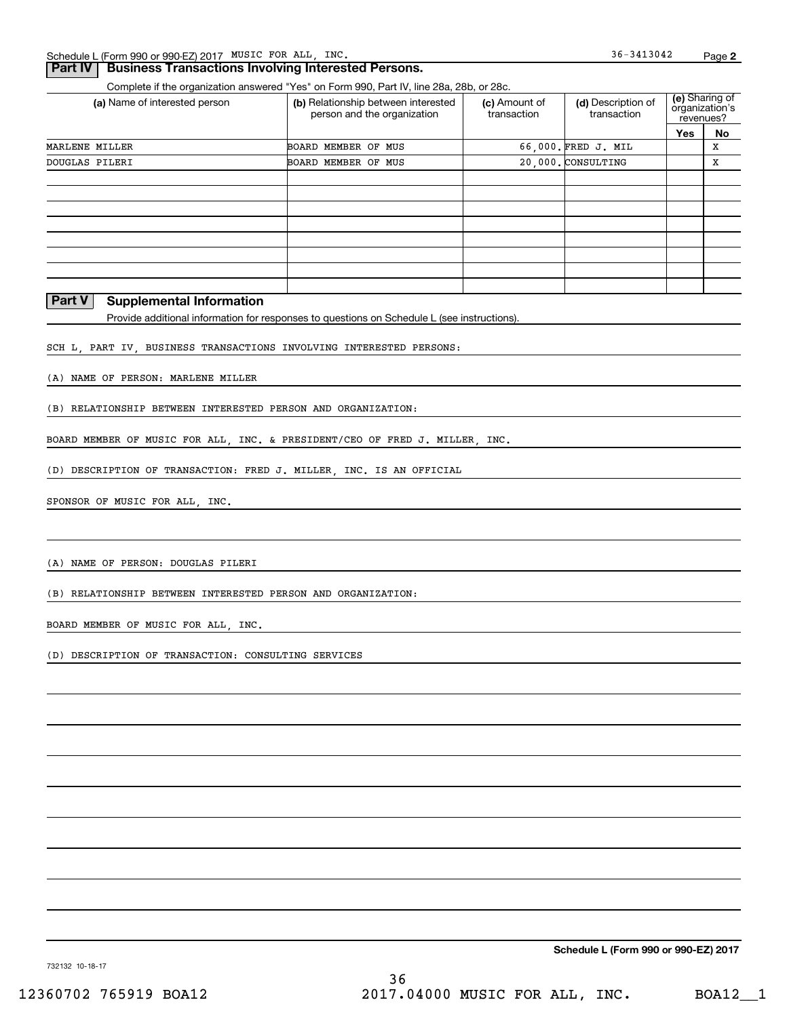## **Part IV | Business Transactions Involving Interested Persons.**

Complete if the organization answered "Yes" on Form 990, Part IV, line 28a, 28b, or 28c.

| (a) Name of interested person | (b) Relationship between interested<br>person and the organization | (c) Amount of<br>transaction | (d) Description of<br>transaction |     | (e) Sharing of<br>organization's<br>revenues? |
|-------------------------------|--------------------------------------------------------------------|------------------------------|-----------------------------------|-----|-----------------------------------------------|
|                               |                                                                    |                              |                                   | Yes | No                                            |
| MARLENE MILLER                | <b>BOARD MEMBER OF MUS</b>                                         |                              | 66.000. FRED J. MIL               |     | X                                             |
| DOUGLAS PILERI                | BOARD MEMBER OF MUS                                                |                              | 20.000. CONSULTING                |     | X                                             |
|                               |                                                                    |                              |                                   |     |                                               |
|                               |                                                                    |                              |                                   |     |                                               |
|                               |                                                                    |                              |                                   |     |                                               |
|                               |                                                                    |                              |                                   |     |                                               |
|                               |                                                                    |                              |                                   |     |                                               |
|                               |                                                                    |                              |                                   |     |                                               |
|                               |                                                                    |                              |                                   |     |                                               |
|                               |                                                                    |                              |                                   |     |                                               |

## **Part V** Supplemental Information

Provide additional information for responses to questions on Schedule L (see instructions).

SCH L, PART IV, BUSINESS TRANSACTIONS INVOLVING INTERESTED PERSONS:

(A) NAME OF PERSON: MARLENE MILLER

(B) RELATIONSHIP BETWEEN INTERESTED PERSON AND ORGANIZATION:

BOARD MEMBER OF MUSIC FOR ALL, INC. & PRESIDENT/CEO OF FRED J. MILLER, INC.

(D) DESCRIPTION OF TRANSACTION: FRED J. MILLER, INC. IS AN OFFICIAL

SPONSOR OF MUSIC FOR ALL, INC.

(A) NAME OF PERSON: DOUGLAS PILERI

(B) RELATIONSHIP BETWEEN INTERESTED PERSON AND ORGANIZATION:

BOARD MEMBER OF MUSIC FOR ALL, INC.

(D) DESCRIPTION OF TRANSACTION: CONSULTING SERVICES

Schedule L (Form 990 or 990-EZ) 2017

732132 10-18-17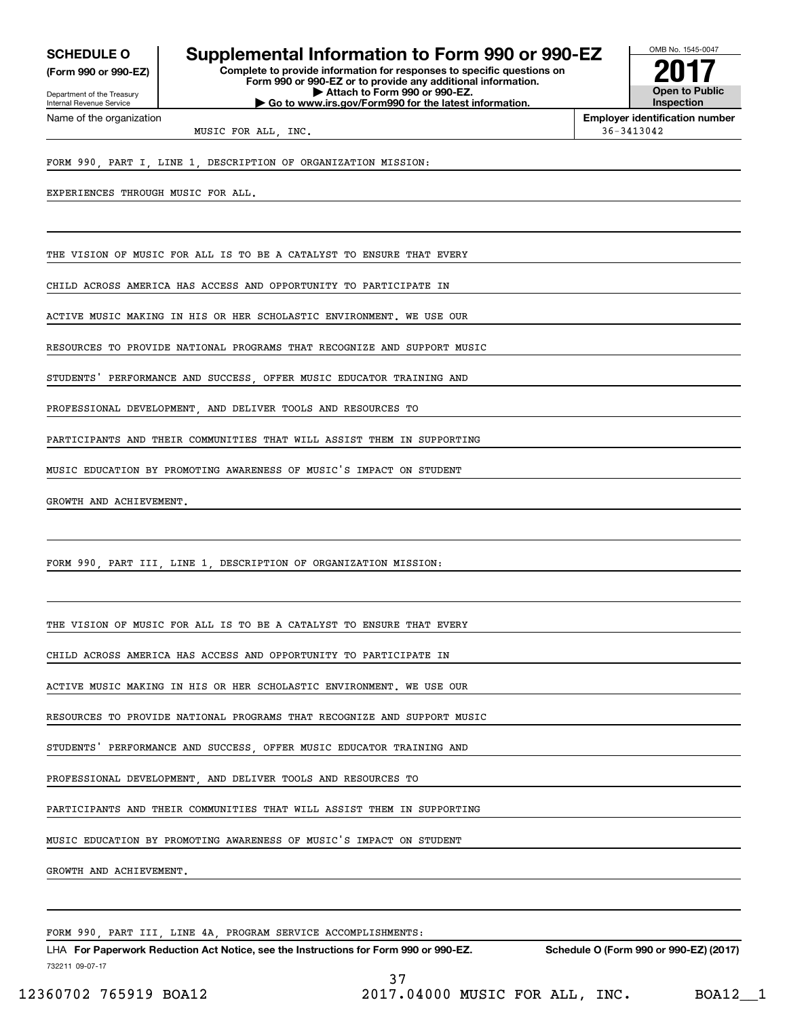(Form 990 or 990-EZ)

Department of the Treasury Internal Revenue Service Name of the organization

## SCHEDULE 0 | Supplemental Information to Form 990 or 990-EZ

Complete to provide information for responses to specific questions on Form 990 or 990-EZ or to provide any additional information. | Attach to Form 990 or 990-EZ. | Go to www.irs.gov/Form990 for the latest information.



Employer identification number

MUSIC FOR ALL INC.  $36-3413042$ 

FORM 990, PART I, LINE 1, DESCRIPTION OF ORGANIZATION MISSION:

EXPERIENCES THROUGH MUSIC FOR ALL.

THE VISION OF MUSIC FOR ALL IS TO BE A CATALYST TO ENSURE THAT EVERY

CHILD ACROSS AMERICA HAS ACCESS AND OPPORTUNITY TO PARTICIPATE IN

ACTIVE MUSIC MAKING IN HIS OR HER SCHOLASTIC ENVIRONMENT. WE USE OUR

RESOURCES TO PROVIDE NATIONAL PROGRAMS THAT RECOGNIZE AND SUPPORT MUSIC

STUDENTS' PERFORMANCE AND SUCCESS OFFER MUSIC EDUCATOR TRAINING AND

PROFESSIONAL DEVELOPMENT AND DELIVER TOOLS AND RESOURCES TO

PARTICIPANTS AND THEIR COMMUNITIES THAT WILL ASSIST THEM IN SUPPORTING

MUSIC EDUCATION BY PROMOTING AWARENESS OF MUSIC'S IMPACT ON STUDENT

GROWTH AND ACHIEVEMENT.

FORM 990, PART III, LINE 1, DESCRIPTION OF ORGANIZATION MISSION:

THE VISION OF MUSIC FOR ALL IS TO BE A CATALYST TO ENSURE THAT EVERY

CHILD ACROSS AMERICA HAS ACCESS AND OPPORTUNITY TO PARTICIPATE IN

ACTIVE MUSIC MAKING IN HIS OR HER SCHOLASTIC ENVIRONMENT. WE USE OUR

RESOURCES TO PROVIDE NATIONAL PROGRAMS THAT RECOGNIZE AND SUPPORT MUSIC

STUDENTS' PERFORMANCE AND SUCCESS OFFER MUSIC EDUCATOR TRAINING AND

PROFESSIONAL DEVELOPMENT, AND DELIVER TOOLS AND RESOURCES TO

PARTICIPANTS AND THEIR COMMUNITIES THAT WILL ASSIST THEM IN SUPPORTING

MUSIC EDUCATION BY PROMOTING AWARENESS OF MUSIC'S IMPACT ON STUDENT

GROWTH AND ACHIEVEMENT.

FORM 990, PART III, LINE 4A, PROGRAM SERVICE ACCOMPLISHMENTS:

732211 09-07-17 LHA For Paperwork Reduction Act Notice, see the Instructions for Form 990 or 990-EZ. Schedule O (Form 990 or 990-EZ) (2017) L 37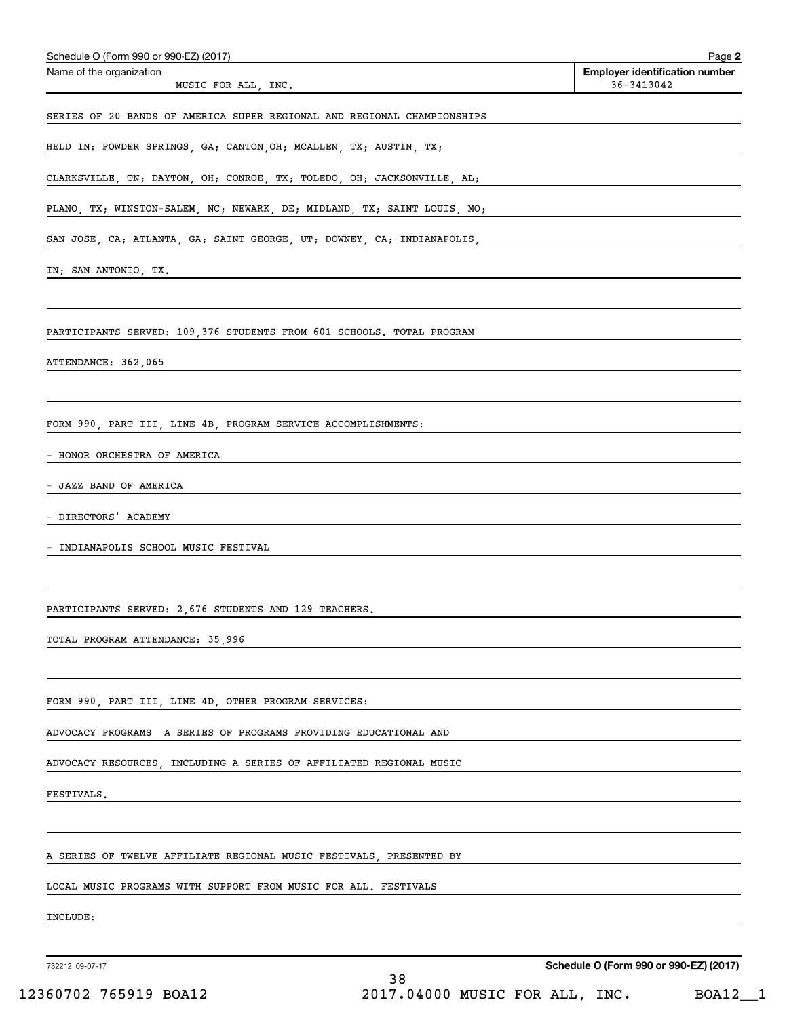| Name of the organization<br>36-3413042<br>MUSIC FOR ALL, INC.<br>SERIES OF 20 BANDS OF AMERICA SUPER REGIONAL AND REGIONAL CHAMPIONSHIPS<br>HELD IN: POWDER SPRINGS, GA; CANTON,OH; MCALLEN, TX; AUSTIN, TX;<br>CLARKSVILLE, TN; DAYTON, OH; CONROE, TX; TOLEDO, OH; JACKSONVILLE, AL;<br>PLANO, TX; WINSTON-SALEM, NC; NEWARK, DE; MIDLAND, TX; SAINT LOUIS, MO;<br>SAN JOSE, CA; ATLANTA, GA; SAINT GEORGE, UT; DOWNEY, CA; INDIANAPOLIS,<br>IN; SAN ANTONIO, TX.<br>PARTICIPANTS SERVED: 109,376 STUDENTS FROM 601 SCHOOLS. TOTAL PROGRAM<br>ATTENDANCE: 362,065<br>FORM 990, PART III, LINE 4B, PROGRAM SERVICE ACCOMPLISHMENTS:<br>- HONOR ORCHESTRA OF AMERICA<br>- JAZZ BAND OF AMERICA<br>- DIRECTORS' ACADEMY<br>- INDIANAPOLIS SCHOOL MUSIC FESTIVAL<br>PARTICIPANTS SERVED: 2,676 STUDENTS AND 129 TEACHERS.<br>TOTAL PROGRAM ATTENDANCE: 35,996<br>FORM 990, PART III, LINE 4D, OTHER PROGRAM SERVICES:<br>ADVOCACY PROGRAMS A SERIES OF PROGRAMS PROVIDING EDUCATIONAL AND<br>ADVOCACY RESOURCES, INCLUDING A SERIES OF AFFILIATED REGIONAL MUSIC<br>FESTIVALS. | Schedule O (Form 990 or 990-EZ) (2017) | Page 2                                |
|------------------------------------------------------------------------------------------------------------------------------------------------------------------------------------------------------------------------------------------------------------------------------------------------------------------------------------------------------------------------------------------------------------------------------------------------------------------------------------------------------------------------------------------------------------------------------------------------------------------------------------------------------------------------------------------------------------------------------------------------------------------------------------------------------------------------------------------------------------------------------------------------------------------------------------------------------------------------------------------------------------------------------------------------------------------------------|----------------------------------------|---------------------------------------|
|                                                                                                                                                                                                                                                                                                                                                                                                                                                                                                                                                                                                                                                                                                                                                                                                                                                                                                                                                                                                                                                                              |                                        | <b>Employer identification number</b> |
|                                                                                                                                                                                                                                                                                                                                                                                                                                                                                                                                                                                                                                                                                                                                                                                                                                                                                                                                                                                                                                                                              |                                        |                                       |
|                                                                                                                                                                                                                                                                                                                                                                                                                                                                                                                                                                                                                                                                                                                                                                                                                                                                                                                                                                                                                                                                              |                                        |                                       |
|                                                                                                                                                                                                                                                                                                                                                                                                                                                                                                                                                                                                                                                                                                                                                                                                                                                                                                                                                                                                                                                                              |                                        |                                       |
|                                                                                                                                                                                                                                                                                                                                                                                                                                                                                                                                                                                                                                                                                                                                                                                                                                                                                                                                                                                                                                                                              |                                        |                                       |
|                                                                                                                                                                                                                                                                                                                                                                                                                                                                                                                                                                                                                                                                                                                                                                                                                                                                                                                                                                                                                                                                              |                                        |                                       |
|                                                                                                                                                                                                                                                                                                                                                                                                                                                                                                                                                                                                                                                                                                                                                                                                                                                                                                                                                                                                                                                                              |                                        |                                       |
|                                                                                                                                                                                                                                                                                                                                                                                                                                                                                                                                                                                                                                                                                                                                                                                                                                                                                                                                                                                                                                                                              |                                        |                                       |
|                                                                                                                                                                                                                                                                                                                                                                                                                                                                                                                                                                                                                                                                                                                                                                                                                                                                                                                                                                                                                                                                              |                                        |                                       |
|                                                                                                                                                                                                                                                                                                                                                                                                                                                                                                                                                                                                                                                                                                                                                                                                                                                                                                                                                                                                                                                                              |                                        |                                       |
|                                                                                                                                                                                                                                                                                                                                                                                                                                                                                                                                                                                                                                                                                                                                                                                                                                                                                                                                                                                                                                                                              |                                        |                                       |
|                                                                                                                                                                                                                                                                                                                                                                                                                                                                                                                                                                                                                                                                                                                                                                                                                                                                                                                                                                                                                                                                              |                                        |                                       |
|                                                                                                                                                                                                                                                                                                                                                                                                                                                                                                                                                                                                                                                                                                                                                                                                                                                                                                                                                                                                                                                                              |                                        |                                       |
|                                                                                                                                                                                                                                                                                                                                                                                                                                                                                                                                                                                                                                                                                                                                                                                                                                                                                                                                                                                                                                                                              |                                        |                                       |
|                                                                                                                                                                                                                                                                                                                                                                                                                                                                                                                                                                                                                                                                                                                                                                                                                                                                                                                                                                                                                                                                              |                                        |                                       |
|                                                                                                                                                                                                                                                                                                                                                                                                                                                                                                                                                                                                                                                                                                                                                                                                                                                                                                                                                                                                                                                                              |                                        |                                       |
|                                                                                                                                                                                                                                                                                                                                                                                                                                                                                                                                                                                                                                                                                                                                                                                                                                                                                                                                                                                                                                                                              |                                        |                                       |
|                                                                                                                                                                                                                                                                                                                                                                                                                                                                                                                                                                                                                                                                                                                                                                                                                                                                                                                                                                                                                                                                              |                                        |                                       |
|                                                                                                                                                                                                                                                                                                                                                                                                                                                                                                                                                                                                                                                                                                                                                                                                                                                                                                                                                                                                                                                                              |                                        |                                       |
|                                                                                                                                                                                                                                                                                                                                                                                                                                                                                                                                                                                                                                                                                                                                                                                                                                                                                                                                                                                                                                                                              |                                        |                                       |
|                                                                                                                                                                                                                                                                                                                                                                                                                                                                                                                                                                                                                                                                                                                                                                                                                                                                                                                                                                                                                                                                              |                                        |                                       |
|                                                                                                                                                                                                                                                                                                                                                                                                                                                                                                                                                                                                                                                                                                                                                                                                                                                                                                                                                                                                                                                                              |                                        |                                       |
|                                                                                                                                                                                                                                                                                                                                                                                                                                                                                                                                                                                                                                                                                                                                                                                                                                                                                                                                                                                                                                                                              |                                        |                                       |
|                                                                                                                                                                                                                                                                                                                                                                                                                                                                                                                                                                                                                                                                                                                                                                                                                                                                                                                                                                                                                                                                              |                                        |                                       |
|                                                                                                                                                                                                                                                                                                                                                                                                                                                                                                                                                                                                                                                                                                                                                                                                                                                                                                                                                                                                                                                                              |                                        |                                       |
|                                                                                                                                                                                                                                                                                                                                                                                                                                                                                                                                                                                                                                                                                                                                                                                                                                                                                                                                                                                                                                                                              |                                        |                                       |
| A SERIES OF TWELVE AFFILIATE REGIONAL MUSIC FESTIVALS, PRESENTED BY                                                                                                                                                                                                                                                                                                                                                                                                                                                                                                                                                                                                                                                                                                                                                                                                                                                                                                                                                                                                          |                                        |                                       |
| LOCAL MUSIC PROGRAMS WITH SUPPORT FROM MUSIC FOR ALL. FESTIVALS                                                                                                                                                                                                                                                                                                                                                                                                                                                                                                                                                                                                                                                                                                                                                                                                                                                                                                                                                                                                              |                                        |                                       |
| INCLUDE:                                                                                                                                                                                                                                                                                                                                                                                                                                                                                                                                                                                                                                                                                                                                                                                                                                                                                                                                                                                                                                                                     |                                        |                                       |
|                                                                                                                                                                                                                                                                                                                                                                                                                                                                                                                                                                                                                                                                                                                                                                                                                                                                                                                                                                                                                                                                              |                                        |                                       |

732212 09-07-17

Schedule O (Form 990 or 990-EZ) (2017)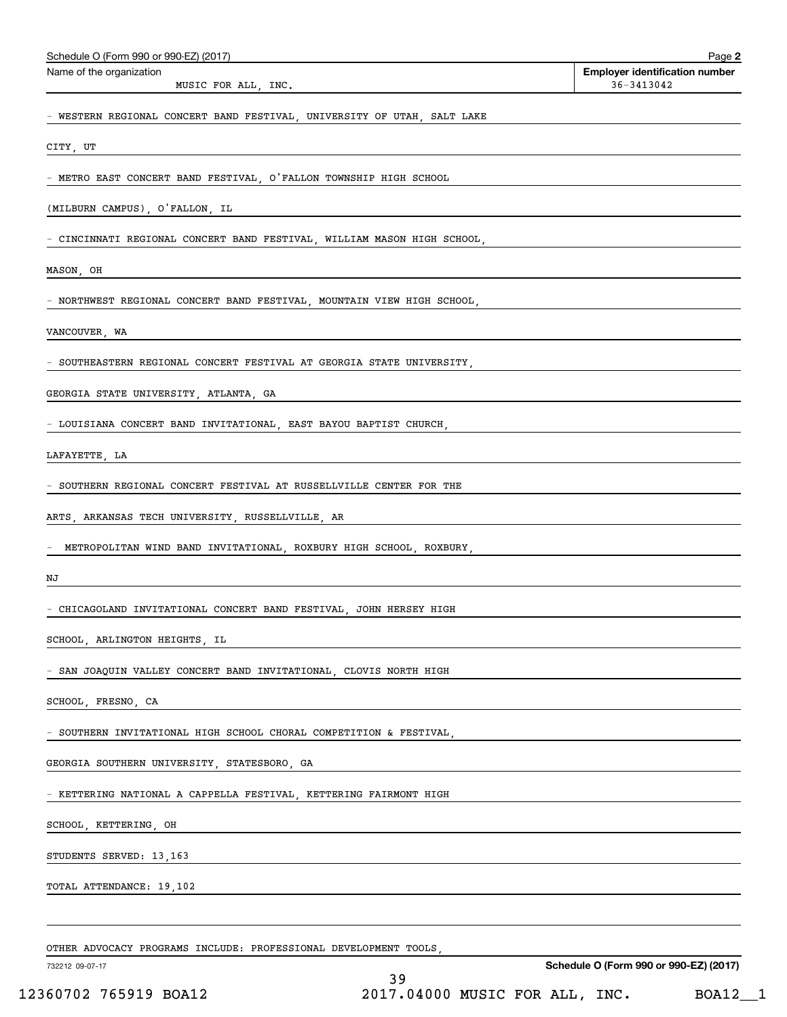| Schedule O (Form 990 or 990-EZ) (2017)                                                                                                            | Page 2                                              |
|---------------------------------------------------------------------------------------------------------------------------------------------------|-----------------------------------------------------|
| Name of the organization<br>MUSIC FOR ALL, INC.                                                                                                   | <b>Employer identification number</b><br>36-3413042 |
| - WESTERN REGIONAL CONCERT BAND FESTIVAL, UNIVERSITY OF UTAH, SALT LAKE                                                                           |                                                     |
| CITY, UT                                                                                                                                          |                                                     |
| - METRO EAST CONCERT BAND FESTIVAL, O'FALLON TOWNSHIP HIGH SCHOOL                                                                                 |                                                     |
| (MILBURN CAMPUS), O'FALLON, IL                                                                                                                    |                                                     |
| - CINCINNATI REGIONAL CONCERT BAND FESTIVAL, WILLIAM MASON HIGH SCHOOL,                                                                           |                                                     |
| MASON, OH                                                                                                                                         |                                                     |
| - NORTHWEST REGIONAL CONCERT BAND FESTIVAL, MOUNTAIN VIEW HIGH SCHOOL,                                                                            |                                                     |
| VANCOUVER, WA                                                                                                                                     |                                                     |
| - SOUTHEASTERN REGIONAL CONCERT FESTIVAL AT GEORGIA STATE UNIVERSITY,                                                                             |                                                     |
| GEORGIA STATE UNIVERSITY, ATLANTA, GA                                                                                                             |                                                     |
| - LOUISIANA CONCERT BAND INVITATIONAL, EAST BAYOU BAPTIST CHURCH,                                                                                 |                                                     |
| LAFAYETTE, LA                                                                                                                                     |                                                     |
| - SOUTHERN REGIONAL CONCERT FESTIVAL AT RUSSELLVILLE CENTER FOR THE                                                                               |                                                     |
| ARTS, ARKANSAS TECH UNIVERSITY, RUSSELLVILLE, AR                                                                                                  |                                                     |
| METROPOLITAN WIND BAND INVITATIONAL, ROXBURY HIGH SCHOOL, ROXBURY,                                                                                |                                                     |
| NJ                                                                                                                                                |                                                     |
| - CHICAGOLAND INVITATIONAL CONCERT BAND FESTIVAL, JOHN HERSEY HIGH                                                                                |                                                     |
| SCHOOL, ARLINGTON HEIGHTS, IL                                                                                                                     |                                                     |
| - SAN JOAQUIN VALLEY CONCERT BAND INVITATIONAL, CLOVIS NORTH HIGH                                                                                 |                                                     |
| SCHOOL, FRESNO, CA                                                                                                                                |                                                     |
| - SOUTHERN INVITATIONAL HIGH SCHOOL CHORAL COMPETITION & FESTIVAL, THE SOUTHERN INVITATIONAL HIGH SCHOOL CHORAL COMPETITION & FESTIVAL,           |                                                     |
| GEORGIA SOUTHERN UNIVERSITY, STATESBORO, GA                                                                                                       |                                                     |
| - KETTERING NATIONAL A CAPPELLA FESTIVAL, KETTERING FAIRMONT HIGH                                                                                 |                                                     |
| SCHOOL, KETTERING, OH                                                                                                                             |                                                     |
| STUDENTS SERVED: 13,163                                                                                                                           |                                                     |
| TOTAL ATTENDANCE: 19,102<br><u> 1989 - Andrea Station Barbara, actor a component de la componentación de la componentación de la componentaci</u> |                                                     |
|                                                                                                                                                   |                                                     |
| OTHER ADVOCACY PROGRAMS INCLUDE: PROFESSIONAL DEVELOPMENT TOOLS,                                                                                  |                                                     |
| 732212 09-07-17<br>39                                                                                                                             | Schedule O (Form 990 or 990-EZ) (2017)              |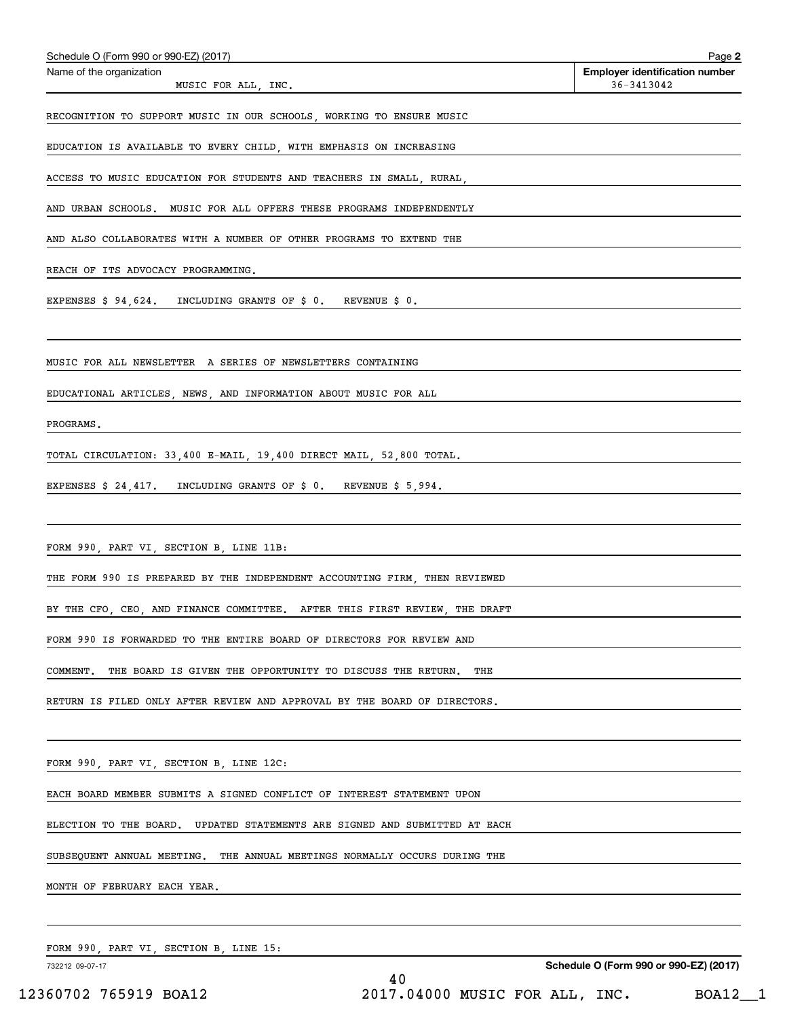| Schedule O (Form 990 or 990-EZ) (2017)<br>Schedule O (Form 990 or 990-EZ) (2017)              | Page 2<br><b>Employer identification number</b> |
|-----------------------------------------------------------------------------------------------|-------------------------------------------------|
| Name of the organization<br>MUSIC FOR ALL, INC.                                               | 36-3413042                                      |
| RECOGNITION TO SUPPORT MUSIC IN OUR SCHOOLS, WORKING TO ENSURE MUSIC                          |                                                 |
| EDUCATION IS AVAILABLE TO EVERY CHILD, WITH EMPHASIS ON INCREASING                            |                                                 |
| ACCESS TO MUSIC EDUCATION FOR STUDENTS AND TEACHERS IN SMALL, RURAL,                          |                                                 |
| AND URBAN SCHOOLS. MUSIC FOR ALL OFFERS THESE PROGRAMS INDEPENDENTLY                          |                                                 |
| AND ALSO COLLABORATES WITH A NUMBER OF OTHER PROGRAMS TO EXTEND THE                           |                                                 |
| REACH OF ITS ADVOCACY PROGRAMMING.                                                            |                                                 |
| EXPENSES \$ 94,624. INCLUDING GRANTS OF \$ 0. REVENUE \$ 0.                                   |                                                 |
|                                                                                               |                                                 |
| MUSIC FOR ALL NEWSLETTER A SERIES OF NEWSLETTERS CONTAINING                                   |                                                 |
| EDUCATIONAL ARTICLES, NEWS, AND INFORMATION ABOUT MUSIC FOR ALL                               |                                                 |
| PROGRAMS.                                                                                     |                                                 |
| TOTAL CIRCULATION: 33,400 E-MAIL, 19,400 DIRECT MAIL, 52,800 TOTAL.                           |                                                 |
| EXPENSES $\frac{24}{417}$ . INCLUDING GRANTS OF $\frac{2}{5}$ 0. REVENUE $\frac{2}{5}$ , 994. |                                                 |
|                                                                                               |                                                 |
| FORM 990, PART VI, SECTION B, LINE 11B:                                                       |                                                 |
| THE FORM 990 IS PREPARED BY THE INDEPENDENT ACCOUNTING FIRM, THEN REVIEWED                    |                                                 |
| BY THE CFO, CEO, AND FINANCE COMMITTEE. AFTER THIS FIRST REVIEW, THE DRAFT                    |                                                 |
| FORM 990 IS FORWARDED TO THE ENTIRE BOARD OF DIRECTORS FOR REVIEW AND                         |                                                 |
|                                                                                               |                                                 |
| COMMENT.<br>THE BOARD IS GIVEN THE OPPORTUNITY TO DISCUSS THE RETURN.<br>THE                  |                                                 |
| RETURN IS FILED ONLY AFTER REVIEW AND APPROVAL BY THE BOARD OF DIRECTORS.                     |                                                 |
|                                                                                               |                                                 |
| FORM 990, PART VI, SECTION B, LINE 12C:                                                       |                                                 |
| EACH BOARD MEMBER SUBMITS A SIGNED CONFLICT OF INTEREST STATEMENT UPON                        |                                                 |
| ELECTION TO THE BOARD. UPDATED STATEMENTS ARE SIGNED AND SUBMITTED AT EACH                    |                                                 |
| SUBSEQUENT ANNUAL MEETING. THE ANNUAL MEETINGS NORMALLY OCCURS DURING THE                     |                                                 |
| MONTH OF FEBRUARY EACH YEAR.                                                                  |                                                 |
|                                                                                               |                                                 |
| FORM 990, PART VI, SECTION B, LINE 15:                                                        |                                                 |

732212 09-07-17

Schedule O (Form 990 or 990-EZ) (2017)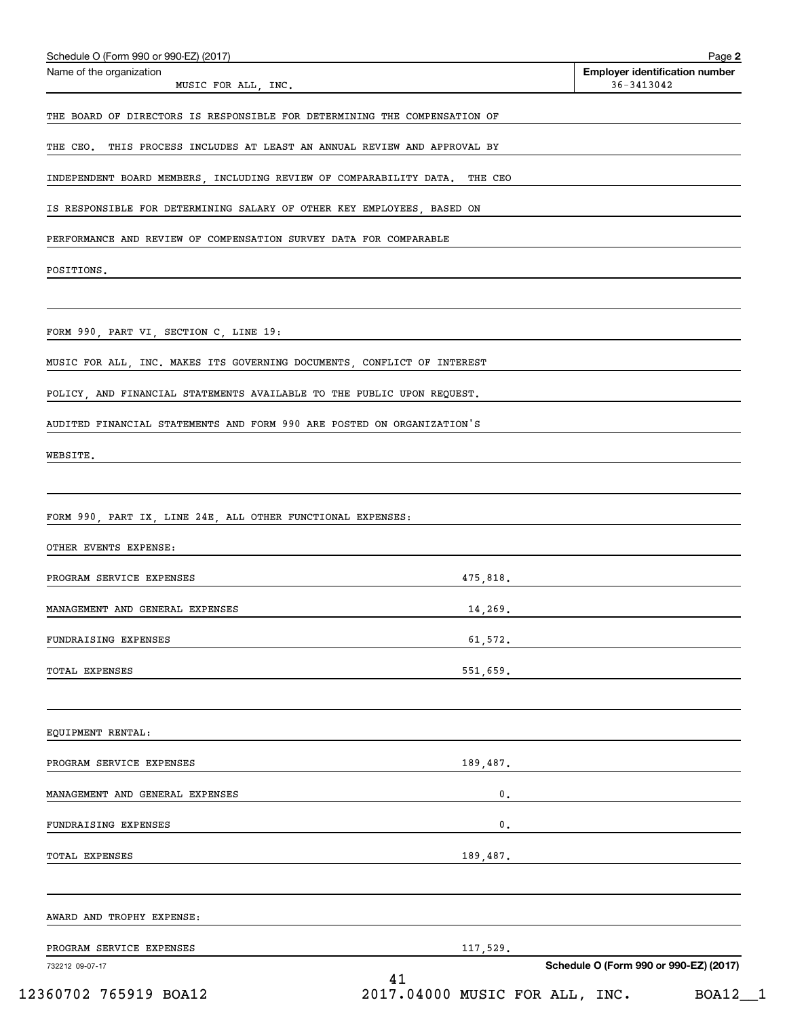| Name of the organization                                                                                                                                                                  | <b>Employer identification number</b> |  |
|-------------------------------------------------------------------------------------------------------------------------------------------------------------------------------------------|---------------------------------------|--|
| MUSIC FOR ALL, INC.                                                                                                                                                                       | 36-3413042                            |  |
| THE BOARD OF DIRECTORS IS RESPONSIBLE FOR DETERMINING THE COMPENSATION OF                                                                                                                 |                                       |  |
| THE CEO. THIS PROCESS INCLUDES AT LEAST AN ANNUAL REVIEW AND APPROVAL BY                                                                                                                  |                                       |  |
| INDEPENDENT BOARD MEMBERS, INCLUDING REVIEW OF COMPARABILITY DATA. THE CEO                                                                                                                |                                       |  |
| IS RESPONSIBLE FOR DETERMINING SALARY OF OTHER KEY EMPLOYEES. BASED ON                                                                                                                    |                                       |  |
|                                                                                                                                                                                           |                                       |  |
| PERFORMANCE AND REVIEW OF COMPENSATION SURVEY DATA FOR COMPARABLE                                                                                                                         |                                       |  |
| POSITIONS.                                                                                                                                                                                |                                       |  |
|                                                                                                                                                                                           |                                       |  |
| FORM 990, PART VI, SECTION C, LINE 19:                                                                                                                                                    |                                       |  |
| MUSIC FOR ALL, INC. MAKES ITS GOVERNING DOCUMENTS, CONFLICT OF INTEREST                                                                                                                   |                                       |  |
|                                                                                                                                                                                           |                                       |  |
| POLICY, AND FINANCIAL STATEMENTS AVAILABLE TO THE PUBLIC UPON REQUEST.                                                                                                                    |                                       |  |
| AUDITED FINANCIAL STATEMENTS AND FORM 990 ARE POSTED ON ORGANIZATION'S                                                                                                                    |                                       |  |
| WEBSITE.                                                                                                                                                                                  |                                       |  |
|                                                                                                                                                                                           |                                       |  |
|                                                                                                                                                                                           |                                       |  |
| FORM 990, PART IX, LINE 24E, ALL OTHER FUNCTIONAL EXPENSES:                                                                                                                               |                                       |  |
|                                                                                                                                                                                           |                                       |  |
| OTHER EVENTS EXPENSE:                                                                                                                                                                     |                                       |  |
|                                                                                                                                                                                           | 475,818.                              |  |
|                                                                                                                                                                                           | 14,269.                               |  |
|                                                                                                                                                                                           | 61,572.                               |  |
|                                                                                                                                                                                           |                                       |  |
|                                                                                                                                                                                           | 551,659.                              |  |
|                                                                                                                                                                                           |                                       |  |
|                                                                                                                                                                                           |                                       |  |
|                                                                                                                                                                                           | 189,487.                              |  |
| PROGRAM SERVICE EXPENSES<br>MANAGEMENT AND GENERAL EXPENSES<br>FUNDRAISING EXPENSES<br>TOTAL EXPENSES<br>EQUIPMENT RENTAL:<br>PROGRAM SERVICE EXPENSES<br>MANAGEMENT AND GENERAL EXPENSES | $\mathbf 0$ .                         |  |
|                                                                                                                                                                                           | 0.                                    |  |
| FUNDRAISING EXPENSES                                                                                                                                                                      |                                       |  |
|                                                                                                                                                                                           | 189,487.                              |  |
|                                                                                                                                                                                           |                                       |  |
| TOTAL EXPENSES<br>AWARD AND TROPHY EXPENSE:<br>PROGRAM SERVICE EXPENSES                                                                                                                   | 117,529.                              |  |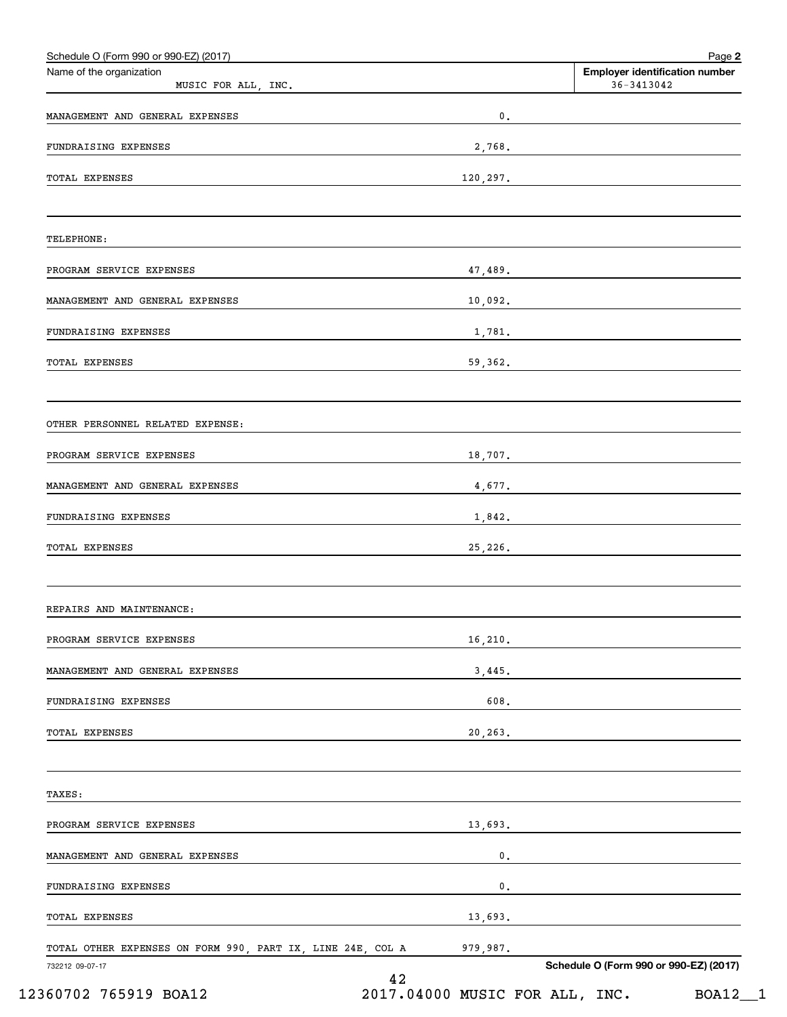| Name of the organization                                   |          | <b>Employer identification number</b>                                                                                                                                                                                                                                                                                                                                                                                                                                           |
|------------------------------------------------------------|----------|---------------------------------------------------------------------------------------------------------------------------------------------------------------------------------------------------------------------------------------------------------------------------------------------------------------------------------------------------------------------------------------------------------------------------------------------------------------------------------|
| MUSIC FOR ALL, INC.                                        |          | 36-3413042                                                                                                                                                                                                                                                                                                                                                                                                                                                                      |
| MANAGEMENT AND GENERAL EXPENSES                            | 0.       |                                                                                                                                                                                                                                                                                                                                                                                                                                                                                 |
| FUNDRAISING EXPENSES                                       |          |                                                                                                                                                                                                                                                                                                                                                                                                                                                                                 |
| <b>TOTAL EXPENSES</b>                                      |          | 120, 297.                                                                                                                                                                                                                                                                                                                                                                                                                                                                       |
| TELEPHONE:                                                 |          |                                                                                                                                                                                                                                                                                                                                                                                                                                                                                 |
| PROGRAM SERVICE EXPENSES                                   |          | 47,489.                                                                                                                                                                                                                                                                                                                                                                                                                                                                         |
| MANAGEMENT AND GENERAL EXPENSES                            |          | 10,092.                                                                                                                                                                                                                                                                                                                                                                                                                                                                         |
| FUNDRAISING EXPENSES                                       |          | 1,781.                                                                                                                                                                                                                                                                                                                                                                                                                                                                          |
| <b>TOTAL EXPENSES</b>                                      |          | 59,362.                                                                                                                                                                                                                                                                                                                                                                                                                                                                         |
| OTHER PERSONNEL RELATED EXPENSE:                           |          |                                                                                                                                                                                                                                                                                                                                                                                                                                                                                 |
| PROGRAM SERVICE EXPENSES                                   |          | 18,707.                                                                                                                                                                                                                                                                                                                                                                                                                                                                         |
| MANAGEMENT AND GENERAL EXPENSES                            |          | 4,677.                                                                                                                                                                                                                                                                                                                                                                                                                                                                          |
| FUNDRAISING EXPENSES                                       |          | 1,842.                                                                                                                                                                                                                                                                                                                                                                                                                                                                          |
| <b>TOTAL EXPENSES</b>                                      |          | 25,226.                                                                                                                                                                                                                                                                                                                                                                                                                                                                         |
| REPAIRS AND MAINTENANCE:                                   |          |                                                                                                                                                                                                                                                                                                                                                                                                                                                                                 |
| PROGRAM SERVICE EXPENSES                                   |          | 16,210.                                                                                                                                                                                                                                                                                                                                                                                                                                                                         |
| MANAGEMENT AND GENERAL EXPENSES                            |          | 3,445.                                                                                                                                                                                                                                                                                                                                                                                                                                                                          |
| FUNDRAISING EXPENSES                                       | 608.     |                                                                                                                                                                                                                                                                                                                                                                                                                                                                                 |
| <b>TOTAL EXPENSES</b>                                      | 20,263.  |                                                                                                                                                                                                                                                                                                                                                                                                                                                                                 |
| TAXES:                                                     |          |                                                                                                                                                                                                                                                                                                                                                                                                                                                                                 |
| PROGRAM SERVICE EXPENSES                                   |          | 13,693.                                                                                                                                                                                                                                                                                                                                                                                                                                                                         |
| MANAGEMENT AND GENERAL EXPENSES                            |          | $\overline{\phantom{a}}$ $\overline{\phantom{a}}$ $\overline{\phantom{a}}$ $\overline{\phantom{a}}$ $\overline{\phantom{a}}$ $\overline{\phantom{a}}$ $\overline{\phantom{a}}$ $\overline{\phantom{a}}$ $\overline{\phantom{a}}$ $\overline{\phantom{a}}$ $\overline{\phantom{a}}$ $\overline{\phantom{a}}$ $\overline{\phantom{a}}$ $\overline{\phantom{a}}$ $\overline{\phantom{a}}$ $\overline{\phantom{a}}$ $\overline{\phantom{a}}$ $\overline{\phantom{a}}$ $\overline{\$ |
| FUNDRAISING EXPENSES                                       |          | $\overline{\phantom{a}}$ $\overline{\phantom{a}}$ $\overline{\phantom{a}}$ $\overline{\phantom{a}}$ $\overline{\phantom{a}}$ $\overline{\phantom{a}}$ $\overline{\phantom{a}}$ $\overline{\phantom{a}}$ $\overline{\phantom{a}}$ $\overline{\phantom{a}}$ $\overline{\phantom{a}}$ $\overline{\phantom{a}}$ $\overline{\phantom{a}}$ $\overline{\phantom{a}}$ $\overline{\phantom{a}}$ $\overline{\phantom{a}}$ $\overline{\phantom{a}}$ $\overline{\phantom{a}}$ $\overline{\$ |
| TOTAL EXPENSES                                             |          |                                                                                                                                                                                                                                                                                                                                                                                                                                                                                 |
| TOTAL OTHER EXPENSES ON FORM 990, PART IX, LINE 24E, COL A | 979,987. |                                                                                                                                                                                                                                                                                                                                                                                                                                                                                 |
| 732212 09-07-17                                            | 42       | Schedule O (Form 990 or 990-EZ) (2017)                                                                                                                                                                                                                                                                                                                                                                                                                                          |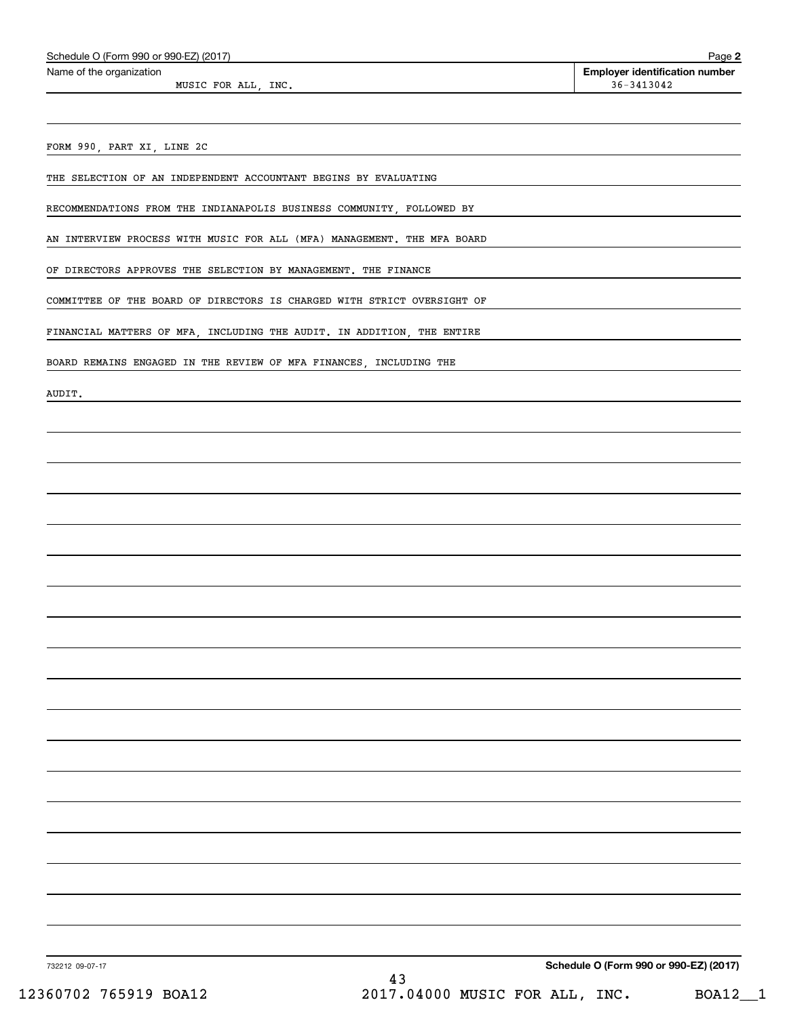Name of the organization

MUSIC FOR ALL, INC.  $36-3413042$ 

Page 2 Employer identification number

FORM 990, PART XI, LINE 2C

THE SELECTION OF AN INDEPENDENT ACCOUNTANT BEGINS BY EVALUATING

RECOMMENDATIONS FROM THE INDIANAPOLIS BUSINESS COMMUNITY, FOLLOWED BY

AN INTERVIEW PROCESS WITH MUSIC FOR ALL (MFA) MANAGEMENT. THE MFA BOARD

OF DIRECTORS APPROVES THE SELECTION BY MANAGEMENT. THE FINANCE

COMMITTEE OF THE BOARD OF DIRECTORS IS CHARGED WITH STRICT OVERSIGHT OF

FINANCIAL MATTERS OF MFA, INCLUDING THE AUDIT. IN ADDITION, THE ENTIRE

BOARD REMAINS ENGAGED IN THE REVIEW OF MFA FINANCES, INCLUDING THE

AUDIT.

732212 09-07-17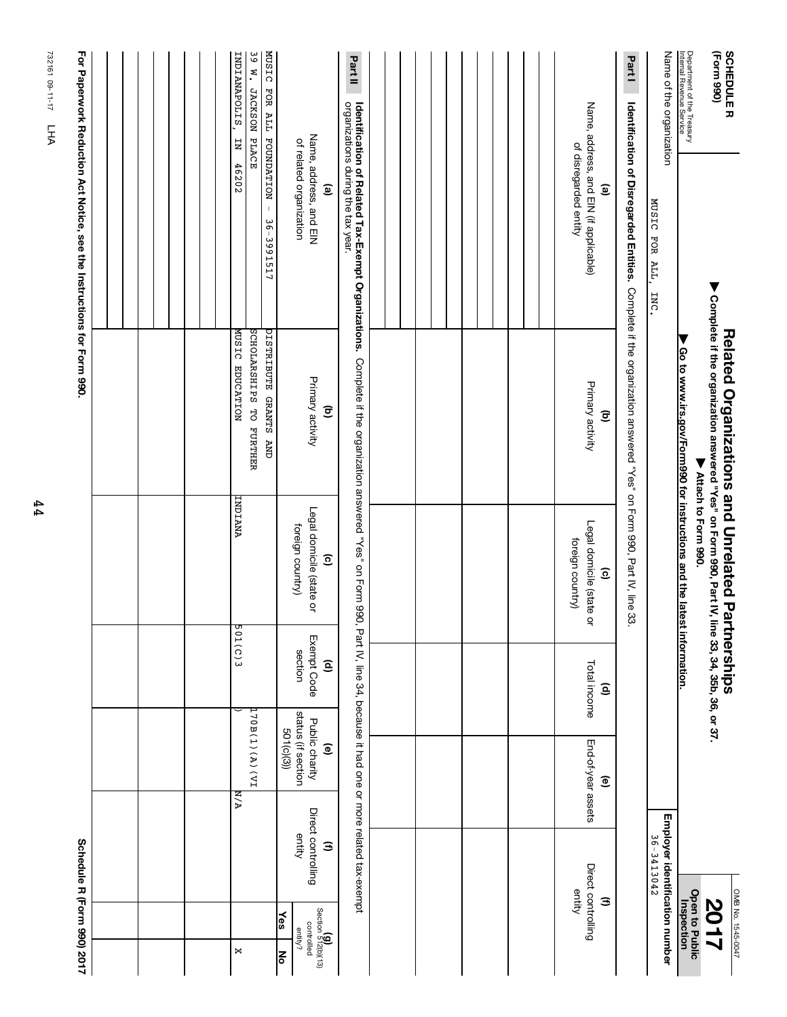| Schedule R (Form 990) 2017                                                |                                              |                                                                     |                                        |                                                                        |                                                                                                                                                    | For Paperwork Reduction Act Notice, see the Instructions for Form 990.                                                                                                                                            |                                                        |
|---------------------------------------------------------------------------|----------------------------------------------|---------------------------------------------------------------------|----------------------------------------|------------------------------------------------------------------------|----------------------------------------------------------------------------------------------------------------------------------------------------|-------------------------------------------------------------------------------------------------------------------------------------------------------------------------------------------------------------------|--------------------------------------------------------|
|                                                                           |                                              |                                                                     |                                        |                                                                        |                                                                                                                                                    |                                                                                                                                                                                                                   |                                                        |
|                                                                           |                                              |                                                                     |                                        |                                                                        |                                                                                                                                                    |                                                                                                                                                                                                                   |                                                        |
|                                                                           |                                              |                                                                     |                                        |                                                                        |                                                                                                                                                    |                                                                                                                                                                                                                   |                                                        |
| ×                                                                         |                                              | IV)(A)(A)(PI<br><b>N/A</b>                                          | 501(C)3                                | INDIANA                                                                | SCHOLARSHIPS TO FURTHER<br>DISTRIBUTE GRANTS AND<br>MUSIC EDUCATION                                                                                | JACKSON PLACE<br>FOUNDATION -<br>Ę<br>46202<br>36-3991517                                                                                                                                                         | MUSIC FOR ALL<br>39 W.<br>INDIANAPOLIS,                |
| (g)<br>Section 512(b)(13)<br>$\frac{1}{2}$<br>controlled<br>entity?<br>∣ह | Direct controlling<br>entity<br>Э            | status (if section<br>Public charity<br>501(c)(3))<br>$\widehat{e}$ | Exempt Code<br>section<br>ê            | Legal domicile (state or<br>foreign country)<br>$\widehat{\mathbf{c}}$ | Primary activity<br>$\widehat{\mathbf{c}}$                                                                                                         | Name, address, and EIN<br>of related organization<br>ම                                                                                                                                                            |                                                        |
|                                                                           |                                              |                                                                     |                                        |                                                                        |                                                                                                                                                    | Identification of Related Tax-Exempt Organizations. Complete if the organization answered "Yes" on Form 990, Pat IV, line 34, because it had one or more related tax-exempt<br>organizations during the tax year. | Part II                                                |
|                                                                           |                                              |                                                                     |                                        |                                                                        |                                                                                                                                                    |                                                                                                                                                                                                                   |                                                        |
|                                                                           |                                              |                                                                     |                                        |                                                                        |                                                                                                                                                    |                                                                                                                                                                                                                   |                                                        |
|                                                                           |                                              |                                                                     |                                        |                                                                        |                                                                                                                                                    |                                                                                                                                                                                                                   |                                                        |
|                                                                           |                                              |                                                                     |                                        |                                                                        |                                                                                                                                                    |                                                                                                                                                                                                                   |                                                        |
| Э                                                                         | Direct controlling<br>entity                 | End-of-year assets<br>ම                                             | Total income<br>$\widehat{\mathsf{e}}$ | Legal domicile (state o<br>foreign country)<br>$\widehat{\mathbf{c}}$  | Primary activity<br>$\widehat{\Xi}$                                                                                                                | Name, address, and EIN (if applicable)<br>of disregarded entity<br>$\mathbf{e}$                                                                                                                                   |                                                        |
|                                                                           |                                              |                                                                     |                                        |                                                                        |                                                                                                                                                    | <b>Identification of Disregarded Entities.</b> Complete if the organization answered "Yes" on Form 990, Part IV, line 33.                                                                                         | Part I                                                 |
|                                                                           | Employer identification number<br>36-3413042 |                                                                     |                                        |                                                                        |                                                                                                                                                    | Name of the organization<br>MUSIC FOR ALL,<br><b>INC</b>                                                                                                                                                          |                                                        |
| <b>Open to Public<br/>Inspection</b>                                      |                                              |                                                                     |                                        | Go to www.irs.gov/Form990 for instructions and the latest information. |                                                                                                                                                    |                                                                                                                                                                                                                   | Department of the Treasury<br>Internal Revenue Service |
| OMB No. 1545-0047<br><b>2017</b>                                          |                                              |                                                                     | tnerships                              | ▼ Attach to Horm 990.                                                  | ▶ Complete if the organization answered "Yes" on Form 990, Part IV, line 33, 34, 35b, 36, or 37.<br><b>Related Organizations and Unrelated Par</b> |                                                                                                                                                                                                                   | (Form 990)<br><b>SCHEDULER</b>                         |

732161 09-11-17 23161 09-11-17 LHA

44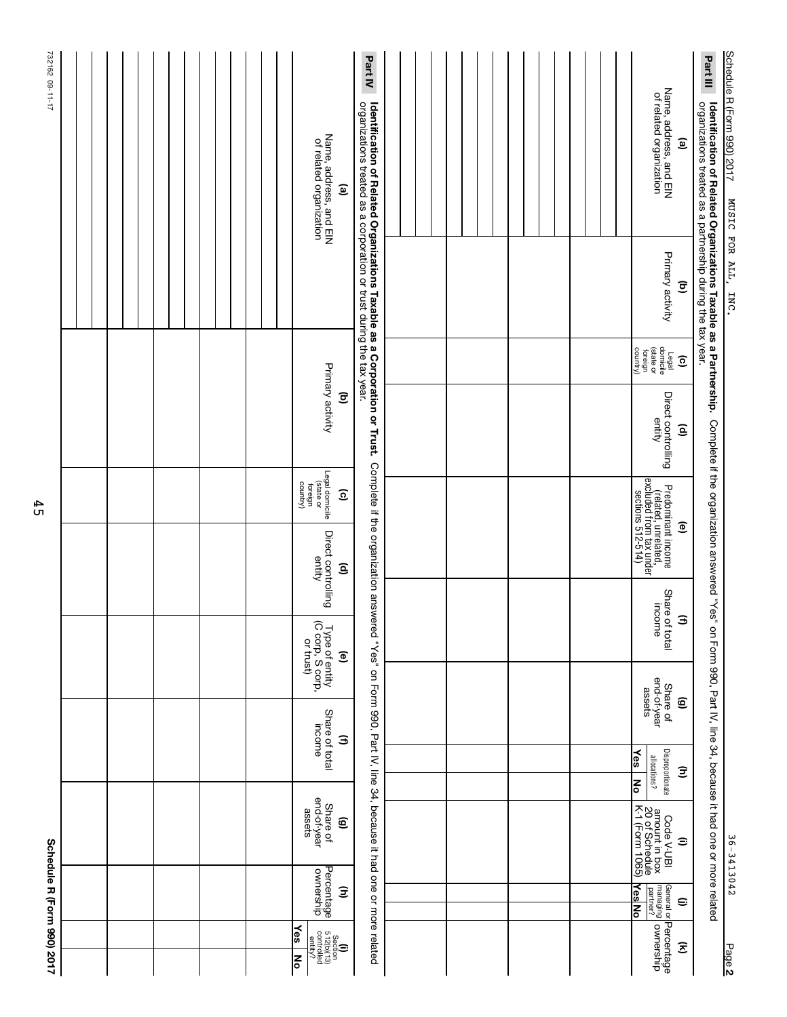|                                                                                                                                                         | Schedule R (Form 990) 2017                         |                                                                   |                                                        |                                   |                                                 |                                                                                                               |                                                                                            |                              |                                             |                              |                                                                                                                                                    | 732162 09-11-17 |
|---------------------------------------------------------------------------------------------------------------------------------------------------------|----------------------------------------------------|-------------------------------------------------------------------|--------------------------------------------------------|-----------------------------------|-------------------------------------------------|---------------------------------------------------------------------------------------------------------------|--------------------------------------------------------------------------------------------|------------------------------|---------------------------------------------|------------------------------|----------------------------------------------------------------------------------------------------------------------------------------------------|-----------------|
|                                                                                                                                                         |                                                    |                                                                   |                                                        |                                   |                                                 |                                                                                                               |                                                                                            |                              |                                             |                              |                                                                                                                                                    |                 |
|                                                                                                                                                         |                                                    |                                                                   |                                                        |                                   |                                                 |                                                                                                               |                                                                                            |                              |                                             |                              |                                                                                                                                                    |                 |
|                                                                                                                                                         |                                                    |                                                                   |                                                        |                                   |                                                 |                                                                                                               |                                                                                            |                              |                                             |                              |                                                                                                                                                    |                 |
|                                                                                                                                                         |                                                    |                                                                   |                                                        |                                   |                                                 |                                                                                                               |                                                                                            |                              |                                             |                              |                                                                                                                                                    |                 |
|                                                                                                                                                         |                                                    |                                                                   |                                                        |                                   |                                                 |                                                                                                               |                                                                                            |                              |                                             |                              |                                                                                                                                                    |                 |
|                                                                                                                                                         |                                                    |                                                                   |                                                        |                                   |                                                 |                                                                                                               |                                                                                            |                              |                                             |                              |                                                                                                                                                    |                 |
|                                                                                                                                                         |                                                    |                                                                   |                                                        |                                   |                                                 |                                                                                                               |                                                                                            |                              |                                             |                              |                                                                                                                                                    |                 |
|                                                                                                                                                         |                                                    |                                                                   |                                                        |                                   |                                                 |                                                                                                               |                                                                                            |                              |                                             |                              |                                                                                                                                                    |                 |
|                                                                                                                                                         |                                                    |                                                                   |                                                        |                                   |                                                 |                                                                                                               |                                                                                            |                              |                                             |                              |                                                                                                                                                    |                 |
|                                                                                                                                                         |                                                    |                                                                   |                                                        |                                   |                                                 |                                                                                                               |                                                                                            |                              |                                             |                              |                                                                                                                                                    |                 |
| $\frac{1}{2}$<br>$\begin{array}{r} \text{Section} \\ \text{Controlved} \\ \text{controlled} \\ \text{controlled} \\ \text{contrivial} \end{array}$<br>봉 | Percentage<br>ownership                            | end-of-year<br>assets<br>Share of                                 |                                                        | Share of total<br>income          | Type of entity<br>(C corp, S corp,<br>or trust) | Direct controlling<br>entity                                                                                  | Legal domicile<br>(state or<br>country)<br>foreign                                         | Primary activity             |                                             |                              | Name, address, and EIN<br>of related organization                                                                                                  |                 |
|                                                                                                                                                         | Ξ                                                  | ©                                                                 |                                                        | Э                                 | $\widehat{e}$                                   | $\widehat{\mathbf{e}}$                                                                                        | $\widehat{\mathbf{c}}$                                                                     | $\overline{\mathbf{e}}$      |                                             |                              | ම                                                                                                                                                  |                 |
|                                                                                                                                                         |                                                    | on Form 990, Part IV, line 34, because it had one or more related |                                                        |                                   |                                                 | Complete if the organization answered "Yes"                                                                   |                                                                                            |                              |                                             |                              | Identification of Related Organizations Taxable as a Corporation or Trust.<br>organizations treated as a corporation or trust during the tax year. | <b>Part IV</b>  |
|                                                                                                                                                         |                                                    |                                                                   |                                                        |                                   |                                                 |                                                                                                               |                                                                                            |                              |                                             |                              |                                                                                                                                                    |                 |
|                                                                                                                                                         |                                                    |                                                                   |                                                        |                                   |                                                 |                                                                                                               |                                                                                            |                              |                                             |                              |                                                                                                                                                    |                 |
|                                                                                                                                                         |                                                    |                                                                   |                                                        |                                   |                                                 |                                                                                                               |                                                                                            |                              |                                             |                              |                                                                                                                                                    |                 |
|                                                                                                                                                         |                                                    |                                                                   |                                                        |                                   |                                                 |                                                                                                               |                                                                                            |                              |                                             |                              |                                                                                                                                                    |                 |
|                                                                                                                                                         |                                                    |                                                                   |                                                        |                                   |                                                 |                                                                                                               |                                                                                            |                              |                                             |                              |                                                                                                                                                    |                 |
|                                                                                                                                                         |                                                    |                                                                   |                                                        |                                   |                                                 |                                                                                                               |                                                                                            |                              |                                             |                              |                                                                                                                                                    |                 |
|                                                                                                                                                         |                                                    |                                                                   |                                                        |                                   |                                                 |                                                                                                               |                                                                                            |                              |                                             |                              |                                                                                                                                                    |                 |
|                                                                                                                                                         |                                                    |                                                                   |                                                        |                                   |                                                 |                                                                                                               |                                                                                            |                              |                                             |                              |                                                                                                                                                    |                 |
|                                                                                                                                                         |                                                    |                                                                   |                                                        |                                   |                                                 |                                                                                                               |                                                                                            |                              |                                             |                              |                                                                                                                                                    |                 |
|                                                                                                                                                         |                                                    |                                                                   |                                                        |                                   |                                                 |                                                                                                               |                                                                                            |                              |                                             |                              |                                                                                                                                                    |                 |
|                                                                                                                                                         |                                                    |                                                                   |                                                        |                                   |                                                 |                                                                                                               |                                                                                            |                              |                                             |                              |                                                                                                                                                    |                 |
| Percentage<br>ownership                                                                                                                                 | <u>YesNo</u><br>General or<br>managing<br>partner? | Code V-UBI<br>amount in box<br>20 of Schedule<br>K-1 (Form 1065)  | Disproportionate<br>$\frac{1}{2}$<br>allocations?<br>ᅙ | end-of-year<br>assets<br>Share of |                                                 | Share of total<br>income                                                                                      | Predominant income<br>(related, unrelated,<br>excluded from tax under<br>sections 512-514) | Direct controlling<br>entity | Legal<br>(state or<br>(state or<br>country) | Primary activity             | Name, address, and EIN<br>of related organization                                                                                                  |                 |
| $\widehat{\mathcal{Z}}$                                                                                                                                 | ⊜                                                  | $\widehat{=}$                                                     | Ξ                                                      | ම                                 |                                                 | $\mathbf{E}$                                                                                                  | ම                                                                                          | $\widehat{\mathbf{e}}$       | $\overline{6}$                              | $\widehat{\mathbf{c}}$       | $\mathbf{e}$                                                                                                                                       |                 |
|                                                                                                                                                         |                                                    |                                                                   |                                                        |                                   |                                                 | Complete if the organization answered "Yes" on Form 990, Part IV, line 34, because it had one or more related |                                                                                            |                              |                                             |                              | organizations treated as a partnership during the tax year.<br>Identification of Related Organizations Taxable as a Partnership.                   | Part III        |
| Page 2                                                                                                                                                  |                                                    | 36-3413042                                                        |                                                        |                                   |                                                 |                                                                                                               |                                                                                            |                              |                                             | MUSIC FOR ALL,<br><b>INC</b> | Schedule R (Form 990) 2017                                                                                                                         |                 |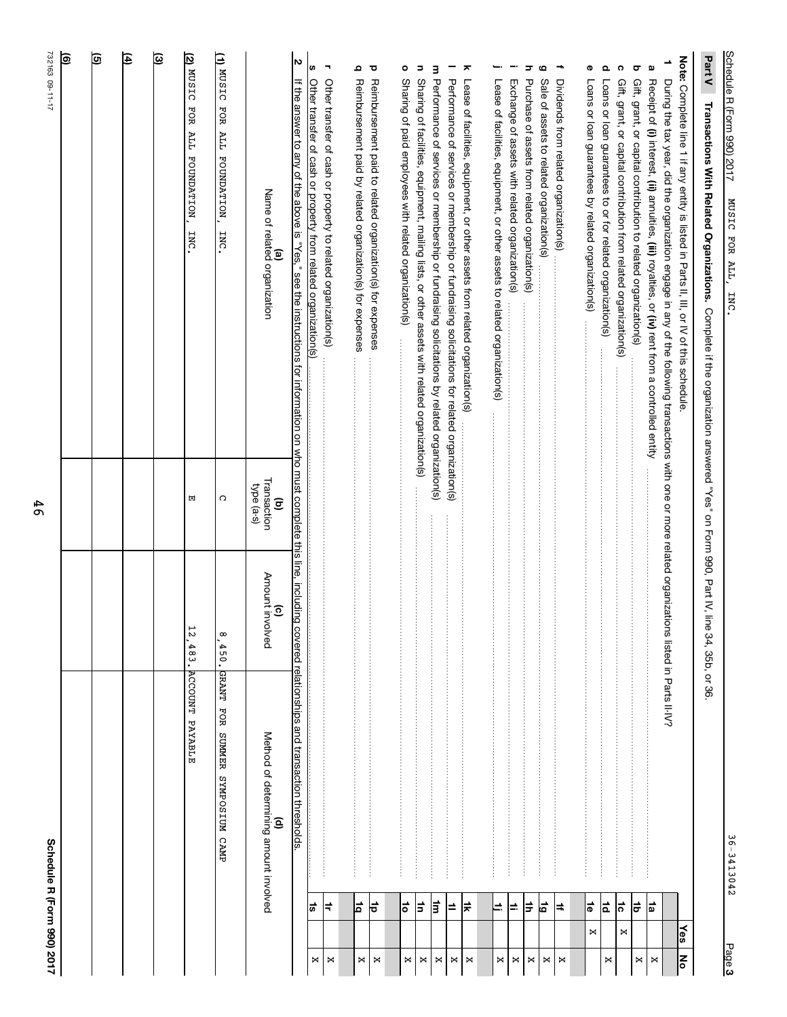|         |                       | Schedule R (Form 990) 2017                       |                                |                                                      | 732163 09-11-17                                                                                                                                                                                                                                                                                                                                                                                                                                                                                                                                                  |
|---------|-----------------------|--------------------------------------------------|--------------------------------|------------------------------------------------------|------------------------------------------------------------------------------------------------------------------------------------------------------------------------------------------------------------------------------------------------------------------------------------------------------------------------------------------------------------------------------------------------------------------------------------------------------------------------------------------------------------------------------------------------------------------|
|         |                       |                                                  |                                |                                                      | ම                                                                                                                                                                                                                                                                                                                                                                                                                                                                                                                                                                |
|         |                       |                                                  |                                |                                                      | তি                                                                                                                                                                                                                                                                                                                                                                                                                                                                                                                                                               |
|         |                       |                                                  |                                |                                                      | 闰                                                                                                                                                                                                                                                                                                                                                                                                                                                                                                                                                                |
|         |                       |                                                  |                                |                                                      | ত্র                                                                                                                                                                                                                                                                                                                                                                                                                                                                                                                                                              |
|         |                       | <b>ACCOUNT PAYABLE</b>                           | $\frac{1}{2}$<br>483.          | 団                                                    | $\frac{20 \text{ NUSIC}}{20 \text{ NUSIC}}$<br>FOR ALL FOUNDATION<br><b>INC</b>                                                                                                                                                                                                                                                                                                                                                                                                                                                                                  |
|         |                       | <b>GRANT</b><br>FOR<br>SUMMER SYMPOSIUM CAMP     | $\infty$<br>450.               | C                                                    | (1) MUSIC<br>FOR ALL FOUNDATION<br>INC.                                                                                                                                                                                                                                                                                                                                                                                                                                                                                                                          |
|         |                       | Method of determining amount involved<br>ê       | Amount involved<br>$\tilde{c}$ | Transaction<br>type (a-s)<br>$\overline{\mathbf{e}}$ | <b>(a)</b><br>Name of related organization                                                                                                                                                                                                                                                                                                                                                                                                                                                                                                                       |
|         |                       | covered relationships and transaction thresholds |                                |                                                      | N<br>If the answer to any of the above is "Yes," see the instructions for information on who must complete this line, including                                                                                                                                                                                                                                                                                                                                                                                                                                  |
| ×       | ¦≌                    |                                                  |                                |                                                      | ഗ<br>Other transfer of cash or property from related organization(s)                                                                                                                                                                                                                                                                                                                                                                                                                                                                                             |
| ×       | ≑                     |                                                  |                                |                                                      | $\overline{\phantom{a}}$<br>Other transfer of cash or property to related organization(s)                                                                                                                                                                                                                                                                                                                                                                                                                                                                        |
| ×       | 비                     |                                                  |                                |                                                      | ء<br>Reimbursement paid by related organization(s) for expenses                                                                                                                                                                                                                                                                                                                                                                                                                                                                                                  |
| ×       | 능                     |                                                  |                                |                                                      | $\bf \sigma$<br>Reimbursement paid to related organization(s) for expenses                                                                                                                                                                                                                                                                                                                                                                                                                                                                                       |
| ×       | 능                     |                                                  |                                |                                                      | ۰<br>Sharing of paid employees with related organization(s)<br>$\label{def:3} \begin{split} \mathcal{L}_{\mathcal{A}}(\mathcal{A})=\mathcal{L}_{\mathcal{A}}(\mathcal{A})=\mathcal{L}_{\mathcal{A}}(\mathcal{A})=\mathcal{L}_{\mathcal{A}}(\mathcal{A})=\mathcal{L}_{\mathcal{A}}(\mathcal{A})=\mathcal{L}_{\mathcal{A}}(\mathcal{A})=\mathcal{L}_{\mathcal{A}}(\mathcal{A})=\mathcal{L}_{\mathcal{A}}(\mathcal{A})=\mathcal{L}_{\mathcal{A}}(\mathcal{A})=\mathcal{L}_{\mathcal{A}}(\mathcal{A})=\mathcal{L}_{\mathcal{A}}(\mathcal{A})=\mathcal{L}_{\mathcal{$ |
| ×       | ∣≑                    |                                                  |                                |                                                      | Ξ<br>Sharing of facilities, equipment, mailing lists, or other assets with related organization(s)                                                                                                                                                                                                                                                                                                                                                                                                                                                               |
| ×       | ╞                     |                                                  |                                |                                                      | m Performance of services or membership or fundraising solicitations by related organization(s)                                                                                                                                                                                                                                                                                                                                                                                                                                                                  |
| $\Join$ | ≐                     |                                                  |                                |                                                      | -<br>Performance of services or membership or fundraising solicitations for related organization(s)                                                                                                                                                                                                                                                                                                                                                                                                                                                              |
| ×       | ∣≑                    |                                                  |                                |                                                      | ᅔ<br>Lease of facilities, equipment, or other assets from related organization(s)                                                                                                                                                                                                                                                                                                                                                                                                                                                                                |
| ×       | E                     |                                                  |                                |                                                      | <b>-</b><br>Lease of facilities, equipment, or other assets to related organization(s)                                                                                                                                                                                                                                                                                                                                                                                                                                                                           |
| ×       | ⊫                     |                                                  |                                |                                                      | ÷<br>Exchange of assets with related organization(s)                                                                                                                                                                                                                                                                                                                                                                                                                                                                                                             |
| ×       | ╞                     |                                                  |                                |                                                      | ᇰ<br>Purchase of assets from related organization(s)                                                                                                                                                                                                                                                                                                                                                                                                                                                                                                             |
| $\Join$ | 눕                     |                                                  |                                |                                                      | 6<br>Sale of assets to related organization(s)                                                                                                                                                                                                                                                                                                                                                                                                                                                                                                                   |
| ×       | ∣≠                    |                                                  |                                |                                                      | ÷<br>Dividends from related organization(s)                                                                                                                                                                                                                                                                                                                                                                                                                                                                                                                      |
|         | $\frac{1}{\Phi}$<br>× |                                                  |                                |                                                      | Φ<br>Loans or loan guarantees by related organization(s)                                                                                                                                                                                                                                                                                                                                                                                                                                                                                                         |
| ×       | 효                     |                                                  |                                |                                                      | o.<br>Loans or loan guarantees to or for related organization(s)                                                                                                                                                                                                                                                                                                                                                                                                                                                                                                 |
|         | ¦ನ<br>×               |                                                  |                                |                                                      | ດ<br>Gift, grant, or capital contribution from related organization(s)                                                                                                                                                                                                                                                                                                                                                                                                                                                                                           |
| ×       | ≑                     |                                                  |                                |                                                      | $\overline{\mathbf{o}}$<br>Gift, grant, or capital contribution to related organization(s)                                                                                                                                                                                                                                                                                                                                                                                                                                                                       |
| ×       | †¤                    |                                                  |                                |                                                      | Q<br>Receipt of (i) interest, (ii) annuities, (iii) royalties, or (iv) rent from a controlled entity                                                                                                                                                                                                                                                                                                                                                                                                                                                             |
|         |                       |                                                  |                                |                                                      | ∸<br>During the tax year, did the organization engage in any of the following transactions with one or more related organizations listed in Parts II-IV?                                                                                                                                                                                                                                                                                                                                                                                                         |
| Ι₹      | ∤ङ                    |                                                  |                                |                                                      | Note: Complete line 1 if any entity is listed in Parts II, III, or IV of this schedule.                                                                                                                                                                                                                                                                                                                                                                                                                                                                          |
|         |                       |                                                  | le 34, 35b, or 36              |                                                      | Part V<br>Transactions With Related Organizations. Complete if the organization answered "Yes" on Form 990, Pat IV, lir                                                                                                                                                                                                                                                                                                                                                                                                                                          |
| Page 3  |                       | 36-3413042                                       |                                |                                                      | Schedule R (Form 990) 2017<br>MUSIC FOR ALL, INC                                                                                                                                                                                                                                                                                                                                                                                                                                                                                                                 |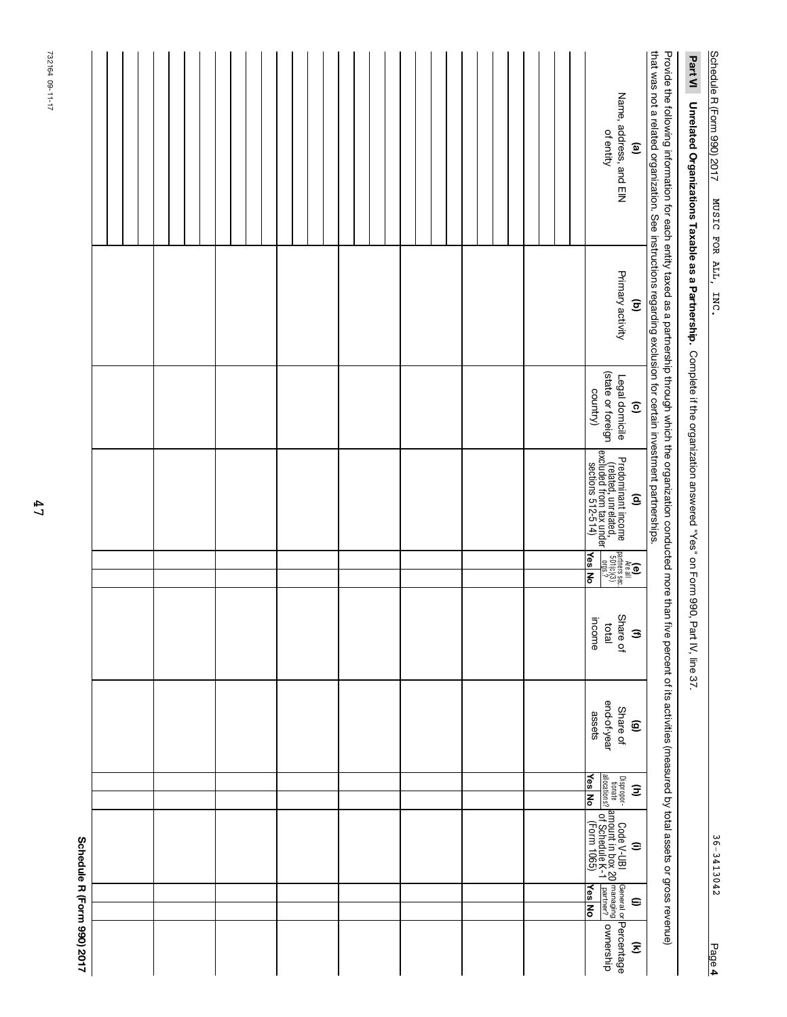| Part VI Unrelated Organizations Taxable as a Partnership. Complete if the organization answered "Yes" on Form 990, Part IV, line 37.                                                                                                                                                                                     |                                     |                                                                  |                                                                                                                      |                                                                                  |                                                       |                                                             |                    |                                                                                                                                                                               |                                           |                                                |
|--------------------------------------------------------------------------------------------------------------------------------------------------------------------------------------------------------------------------------------------------------------------------------------------------------------------------|-------------------------------------|------------------------------------------------------------------|----------------------------------------------------------------------------------------------------------------------|----------------------------------------------------------------------------------|-------------------------------------------------------|-------------------------------------------------------------|--------------------|-------------------------------------------------------------------------------------------------------------------------------------------------------------------------------|-------------------------------------------|------------------------------------------------|
| that was not a related organization. See instructions regarding exclusion for certain investment partnerships.<br>Provide the following information for each entity taxed as a partnership through which the organization conducted more than five percent of its activities (measured by total assets or gross revenue) |                                     |                                                                  |                                                                                                                      |                                                                                  |                                                       |                                                             |                    |                                                                                                                                                                               |                                           |                                                |
| Name, address, and EIN<br>of entity<br>ම                                                                                                                                                                                                                                                                                 | Primary activity<br>$\widehat{\Xi}$ | (state or foreign<br>Legal domicile<br>country)<br>$\widehat{c}$ | Predominant income<br>(related, unrelated,<br>excluded from tax under<br>sections 512-514)<br>sections 512-514)<br>ê | (e)<br>Areal<br>Artners sec.<br>$\frac{100(0)(3)}{501(0)(3)}$ .<br><b>Yes</b> No | Share of<br>income<br>latal<br>$\widehat{\mathbf{z}}$ | end-of-year<br>Share of<br>assets<br>$\widehat{\mathbf{e}}$ | <b>Yes</b> No<br>Ξ | Dispropor- Code V-UBI General or<br>Internate amrount in box 20 managing<br><u>aliocations?</u> of Schedule K-1 <u>partner?</u><br>Yes No (Form 1065) Yes No<br>$\widehat{=}$ | <u><b>Nes</b></u> No<br>$\mathbf{\Theta}$ | General or <b>Percentage</b><br>ownership<br>Ξ |
|                                                                                                                                                                                                                                                                                                                          |                                     |                                                                  |                                                                                                                      |                                                                                  |                                                       |                                                             |                    |                                                                                                                                                                               |                                           |                                                |
|                                                                                                                                                                                                                                                                                                                          |                                     |                                                                  |                                                                                                                      |                                                                                  |                                                       |                                                             |                    |                                                                                                                                                                               |                                           |                                                |
|                                                                                                                                                                                                                                                                                                                          |                                     |                                                                  |                                                                                                                      |                                                                                  |                                                       |                                                             |                    |                                                                                                                                                                               |                                           |                                                |
|                                                                                                                                                                                                                                                                                                                          |                                     |                                                                  |                                                                                                                      |                                                                                  |                                                       |                                                             |                    |                                                                                                                                                                               |                                           |                                                |
|                                                                                                                                                                                                                                                                                                                          |                                     |                                                                  |                                                                                                                      |                                                                                  |                                                       |                                                             |                    |                                                                                                                                                                               |                                           |                                                |
|                                                                                                                                                                                                                                                                                                                          |                                     |                                                                  |                                                                                                                      |                                                                                  |                                                       |                                                             |                    |                                                                                                                                                                               |                                           |                                                |
|                                                                                                                                                                                                                                                                                                                          |                                     |                                                                  |                                                                                                                      |                                                                                  |                                                       |                                                             |                    |                                                                                                                                                                               |                                           |                                                |
|                                                                                                                                                                                                                                                                                                                          |                                     |                                                                  |                                                                                                                      |                                                                                  |                                                       |                                                             |                    |                                                                                                                                                                               |                                           |                                                |
|                                                                                                                                                                                                                                                                                                                          |                                     |                                                                  |                                                                                                                      |                                                                                  |                                                       |                                                             |                    |                                                                                                                                                                               |                                           | Schedule R (Form 990) 2017                     |

Schedule R (Form 990) 2017 MUSIC FOR ALL, INC. Schedule R (Form 990) 2017 36-3413042 MUSIC FOR ALL, INC.